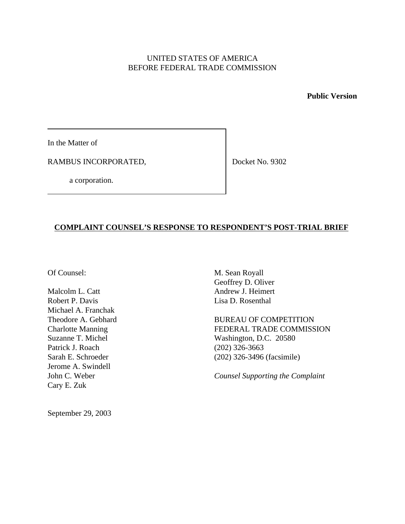## UNITED STATES OF AMERICA BEFORE FEDERAL TRADE COMMISSION

**Public Version**

In the Matter of

RAMBUS INCORPORATED,

Docket No. 9302

a corporation.

# **COMPLAINT COUNSEL'S RESPONSE TO RESPONDENT'S POST-TRIAL BRIEF**

Malcolm L. Catt Andrew J. Heimert Robert P. Davis Lisa D. Rosenthal Michael A. Franchak Patrick J. Roach (202) 326-3663 Jerome A. Swindell Cary E. Zuk

Of Counsel: M. Sean Royall Geoffrey D. Oliver

Theodore A. Gebhard BUREAU OF COMPETITION Charlotte Manning FEDERAL TRADE COMMISSION Suzanne T. Michel Washington, D.C. 20580 Sarah E. Schroeder (202) 326-3496 (facsimile)

John C. Weber *Counsel Supporting the Complaint*

September 29, 2003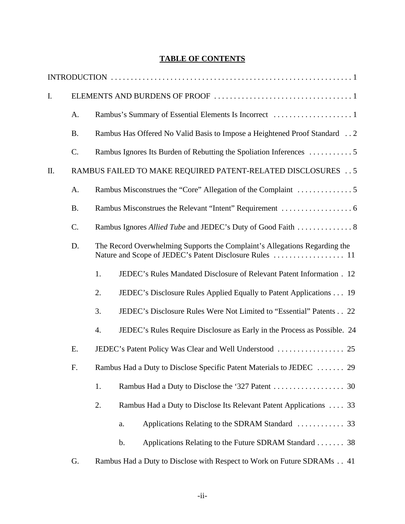## **TABLE OF CONTENTS**

| I. |                                                             |    |                                                                            |  |  |
|----|-------------------------------------------------------------|----|----------------------------------------------------------------------------|--|--|
|    | A.                                                          |    |                                                                            |  |  |
|    | <b>B.</b>                                                   |    | Rambus Has Offered No Valid Basis to Impose a Heightened Proof Standard  2 |  |  |
|    | C.                                                          |    | Rambus Ignores Its Burden of Rebutting the Spoliation Inferences 5         |  |  |
| Π. | RAMBUS FAILED TO MAKE REQUIRED PATENT-RELATED DISCLOSURES 5 |    |                                                                            |  |  |
|    | A.                                                          |    |                                                                            |  |  |
|    | <b>B.</b>                                                   |    |                                                                            |  |  |
|    | C.                                                          |    |                                                                            |  |  |
|    | D.                                                          |    | The Record Overwhelming Supports the Complaint's Allegations Regarding the |  |  |
|    |                                                             | 1. | JEDEC's Rules Mandated Disclosure of Relevant Patent Information . 12      |  |  |
|    |                                                             | 2. | JEDEC's Disclosure Rules Applied Equally to Patent Applications 19         |  |  |
|    |                                                             | 3. | JEDEC's Disclosure Rules Were Not Limited to "Essential" Patents 22        |  |  |
|    |                                                             | 4. | JEDEC's Rules Require Disclosure as Early in the Process as Possible. 24   |  |  |
|    | E.                                                          |    |                                                                            |  |  |
|    | F.                                                          |    | Rambus Had a Duty to Disclose Specific Patent Materials to JEDEC  29       |  |  |
|    |                                                             | 1. |                                                                            |  |  |
|    |                                                             | 2. | Rambus Had a Duty to Disclose Its Relevant Patent Applications  33         |  |  |
|    |                                                             |    | a.                                                                         |  |  |
|    |                                                             |    | Applications Relating to the Future SDRAM Standard 38<br>b.                |  |  |
|    | G.                                                          |    | Rambus Had a Duty to Disclose with Respect to Work on Future SDRAMs 41     |  |  |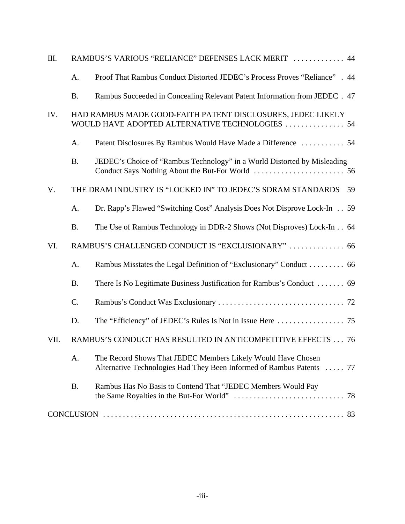| Ш.   | RAMBUS'S VARIOUS "RELIANCE" DEFENSES LACK MERIT  44 |                                                                                                                                       |  |  |
|------|-----------------------------------------------------|---------------------------------------------------------------------------------------------------------------------------------------|--|--|
|      | A.                                                  | Proof That Rambus Conduct Distorted JEDEC's Process Proves "Reliance" . 44                                                            |  |  |
|      | <b>B.</b>                                           | Rambus Succeeded in Concealing Relevant Patent Information from JEDEC . 47                                                            |  |  |
| IV.  |                                                     | HAD RAMBUS MADE GOOD-FAITH PATENT DISCLOSURES, JEDEC LIKELY<br>WOULD HAVE ADOPTED ALTERNATIVE TECHNOLOGIES  54                        |  |  |
|      | A.                                                  | Patent Disclosures By Rambus Would Have Made a Difference  54                                                                         |  |  |
|      | <b>B.</b>                                           | JEDEC's Choice of "Rambus Technology" in a World Distorted by Misleading                                                              |  |  |
| V.   |                                                     | THE DRAM INDUSTRY IS "LOCKED IN" TO JEDEC'S SDRAM STANDARDS<br>59                                                                     |  |  |
|      | A.                                                  | Dr. Rapp's Flawed "Switching Cost" Analysis Does Not Disprove Lock-In 59                                                              |  |  |
|      | <b>B.</b>                                           | The Use of Rambus Technology in DDR-2 Shows (Not Disproves) Lock-In 64                                                                |  |  |
| VI.  |                                                     | RAMBUS'S CHALLENGED CONDUCT IS "EXCLUSIONARY"  66                                                                                     |  |  |
|      | A.                                                  | Rambus Misstates the Legal Definition of "Exclusionary" Conduct 66                                                                    |  |  |
|      | <b>B.</b>                                           | There Is No Legitimate Business Justification for Rambus's Conduct  69                                                                |  |  |
|      | C.                                                  |                                                                                                                                       |  |  |
|      | D.                                                  |                                                                                                                                       |  |  |
| VII. |                                                     | RAMBUS'S CONDUCT HAS RESULTED IN ANTICOMPETITIVE EFFECTS 76                                                                           |  |  |
|      | A.                                                  | The Record Shows That JEDEC Members Likely Would Have Chosen<br>Alternative Technologies Had They Been Informed of Rambus Patents  77 |  |  |
|      | <b>B.</b>                                           | Rambus Has No Basis to Contend That "JEDEC Members Would Pay                                                                          |  |  |
|      |                                                     |                                                                                                                                       |  |  |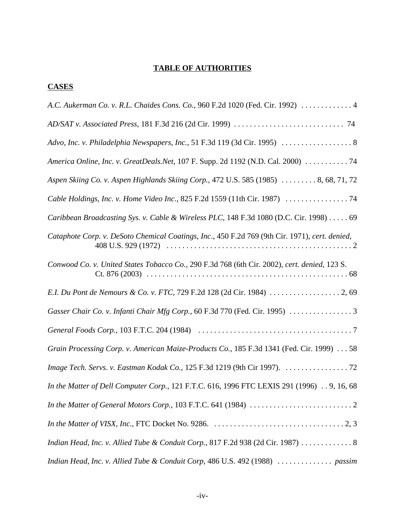# **TABLE OF AUTHORITIES**

# **CASES**

| A.C. Aukerman Co. v. R.L. Chaides Cons. Co., 960 F.2d 1020 (Fed. Cir. 1992)  4                 |
|------------------------------------------------------------------------------------------------|
|                                                                                                |
| Advo, Inc. v. Philadelphia Newspapers, Inc., 51 F.3d 119 (3d Cir. 1995)  8                     |
| America Online, Inc. v. GreatDeals.Net, 107 F. Supp. 2d 1192 (N.D. Cal. 2000)  74              |
| Aspen Skiing Co. v. Aspen Highlands Skiing Corp., 472 U.S. 585 (1985)  8, 68, 71, 72           |
|                                                                                                |
| Caribbean Broadcasting Sys. v. Cable & Wireless PLC, 148 F.3d 1080 (D.C. Cir. 1998) 69         |
| Cataphote Corp. v. DeSoto Chemical Coatings, Inc., 450 F.2d 769 (9th Cir. 1971), cert. denied, |
| Conwood Co. v. United States Tobacco Co., 290 F.3d 768 (6th Cir. 2002), cert. denied, 123 S.   |
|                                                                                                |
|                                                                                                |
|                                                                                                |
| Grain Processing Corp. v. American Maize-Products Co., 185 F.3d 1341 (Fed. Cir. 1999)  58      |
| Image Tech. Servs. v. Eastman Kodak Co., 125 F.3d 1219 (9th Cir 1997). 72                      |
| In the Matter of Dell Computer Corp., 121 F.T.C. 616, 1996 FTC LEXIS 291 (1996) 9, 16, 68      |
|                                                                                                |
|                                                                                                |
| Indian Head, Inc. v. Allied Tube & Conduit Corp., 817 F.2d 938 (2d Cir. 1987)  8               |
| Indian Head, Inc. v. Allied Tube & Conduit Corp, 486 U.S. 492 (1988)  passim                   |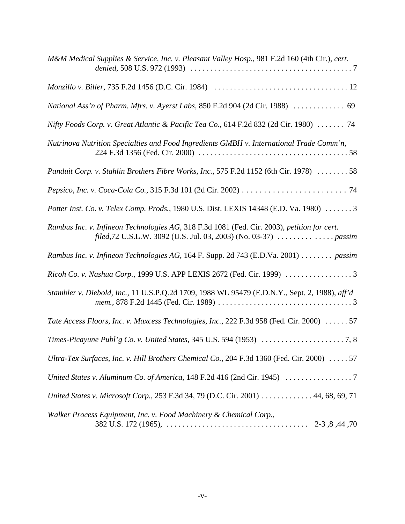| M&M Medical Supplies & Service, Inc. v. Pleasant Valley Hosp., 981 F.2d 160 (4th Cir.), cert. |
|-----------------------------------------------------------------------------------------------|
|                                                                                               |
| National Ass'n of Pharm. Mfrs. v. Ayerst Labs, 850 F.2d 904 (2d Cir. 1988)  69                |
| Nifty Foods Corp. v. Great Atlantic & Pacific Tea Co., 614 F.2d 832 (2d Cir. 1980)  74        |
| Nutrinova Nutrition Specialties and Food Ingredients GMBH v. International Trade Comm'n,      |
| Panduit Corp. v. Stahlin Brothers Fibre Works, Inc., 575 F.2d 1152 (6th Cir. 1978) 58         |
|                                                                                               |
| Potter Inst. Co. v. Telex Comp. Prods., 1980 U.S. Dist. LEXIS 14348 (E.D. Va. 1980)  3        |
| Rambus Inc. v. Infineon Technologies AG, 318 F.3d 1081 (Fed. Cir. 2003), petition for cert.   |
| Rambus Inc. v. Infineon Technologies AG, 164 F. Supp. 2d 743 (E.D.Va. 2001) passim            |
|                                                                                               |
| Stambler v. Diebold, Inc., 11 U.S.P.Q.2d 1709, 1988 WL 95479 (E.D.N.Y., Sept. 2, 1988), aff'd |
| Tate Access Floors, Inc. v. Maxcess Technologies, Inc., 222 F.3d 958 (Fed. Cir. 2000) 57      |
|                                                                                               |
| Ultra-Tex Surfaces, Inc. v. Hill Brothers Chemical Co., 204 F.3d 1360 (Fed. Cir. 2000)  57    |
| United States v. Aluminum Co. of America, 148 F.2d 416 (2nd Cir. 1945) 7                      |
| United States v. Microsoft Corp., 253 F.3d 34, 79 (D.C. Cir. 2001) 44, 68, 69, 71             |
| Walker Process Equipment, Inc. v. Food Machinery & Chemical Corp.,                            |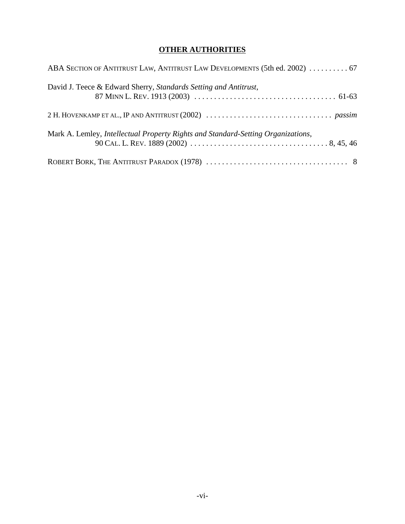# **OTHER AUTHORITIES**

| ABA SECTION OF ANTITRUST LAW, ANTITRUST LAW DEVELOPMENTS (5th ed. 2002)  67      |
|----------------------------------------------------------------------------------|
| David J. Teece & Edward Sherry, Standards Setting and Antitrust,                 |
|                                                                                  |
| Mark A. Lemley, Intellectual Property Rights and Standard-Setting Organizations, |
|                                                                                  |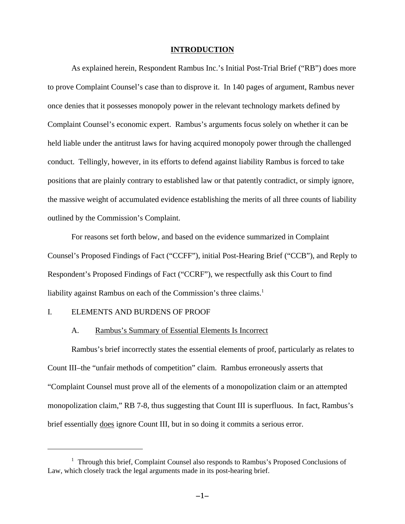### **INTRODUCTION**

As explained herein, Respondent Rambus Inc.'s Initial Post-Trial Brief ("RB") does more to prove Complaint Counsel's case than to disprove it. In 140 pages of argument, Rambus never once denies that it possesses monopoly power in the relevant technology markets defined by Complaint Counsel's economic expert. Rambus's arguments focus solely on whether it can be held liable under the antitrust laws for having acquired monopoly power through the challenged conduct. Tellingly, however, in its efforts to defend against liability Rambus is forced to take positions that are plainly contrary to established law or that patently contradict, or simply ignore, the massive weight of accumulated evidence establishing the merits of all three counts of liability outlined by the Commission's Complaint.

For reasons set forth below, and based on the evidence summarized in Complaint Counsel's Proposed Findings of Fact ("CCFF"), initial Post-Hearing Brief ("CCB"), and Reply to Respondent's Proposed Findings of Fact ("CCRF"), we respectfully ask this Court to find liability against Rambus on each of the Commission's three claims.<sup>1</sup>

#### I. ELEMENTS AND BURDENS OF PROOF

#### A. Rambus's Summary of Essential Elements Is Incorrect

Rambus's brief incorrectly states the essential elements of proof, particularly as relates to Count III–the "unfair methods of competition" claim. Rambus erroneously asserts that "Complaint Counsel must prove all of the elements of a monopolization claim or an attempted monopolization claim," RB 7-8, thus suggesting that Count III is superfluous. In fact, Rambus's brief essentially does ignore Count III, but in so doing it commits a serious error.

<sup>&</sup>lt;sup>1</sup> Through this brief, Complaint Counsel also responds to Rambus's Proposed Conclusions of Law, which closely track the legal arguments made in its post-hearing brief.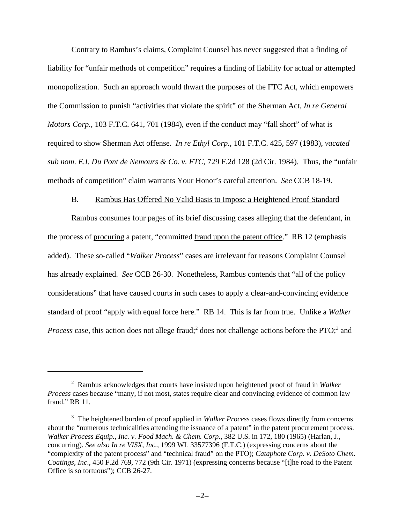Contrary to Rambus's claims, Complaint Counsel has never suggested that a finding of liability for "unfair methods of competition" requires a finding of liability for actual or attempted monopolization. Such an approach would thwart the purposes of the FTC Act, which empowers the Commission to punish "activities that violate the spirit" of the Sherman Act, *In re General Motors Corp.*, 103 F.T.C. 641, 701 (1984), even if the conduct may "fall short" of what is required to show Sherman Act offense. *In re Ethyl Corp.*, 101 F.T.C. 425, 597 (1983), *vacated sub nom*. *E.I. Du Pont de Nemours & Co. v. FTC*, 729 F.2d 128 (2d Cir. 1984). Thus, the "unfair methods of competition" claim warrants Your Honor's careful attention. *See* CCB 18-19.

#### B. Rambus Has Offered No Valid Basis to Impose a Heightened Proof Standard

Rambus consumes four pages of its brief discussing cases alleging that the defendant, in the process of procuring a patent, "committed fraud upon the patent office." RB 12 (emphasis added). These so-called "*Walker Process*" cases are irrelevant for reasons Complaint Counsel has already explained. *See* CCB 26-30. Nonetheless, Rambus contends that "all of the policy considerations" that have caused courts in such cases to apply a clear-and-convincing evidence standard of proof "apply with equal force here." RB 14. This is far from true. Unlike a *Walker Process* case, this action does not allege fraud;<sup>2</sup> does not challenge actions before the PTO;<sup>3</sup> and

<sup>2</sup> Rambus acknowledges that courts have insisted upon heightened proof of fraud in *Walker Process* cases because "many, if not most, states require clear and convincing evidence of common law fraud." RB 11.

<sup>&</sup>lt;sup>3</sup> The heightened burden of proof applied in *Walker Process* cases flows directly from concerns about the "numerous technicalities attending the issuance of a patent" in the patent procurement process. *Walker Process Equip., Inc. v. Food Mach. & Chem. Corp.*, 382 U.S. in 172, 180 (1965) (Harlan, J., concurring). *See also In re VISX, Inc.*, 1999 WL 33577396 (F.T.C.) (expressing concerns about the "complexity of the patent process" and "technical fraud" on the PTO); *Cataphote Corp. v. DeSoto Chem. Coatings, Inc*., 450 F.2d 769, 772 (9th Cir. 1971) (expressing concerns because "[t]he road to the Patent Office is so tortuous"); CCB 26-27.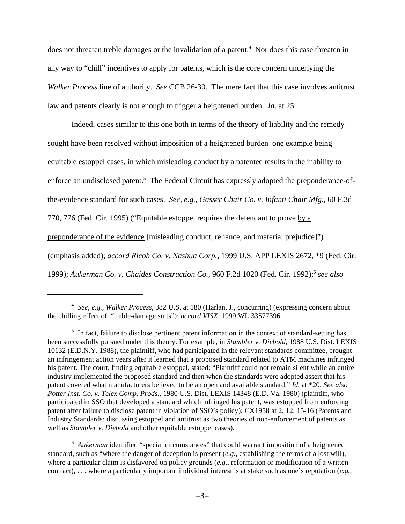does not threaten treble damages or the invalidation of a patent.<sup>4</sup> Nor does this case threaten in any way to "chill" incentives to apply for patents, which is the core concern underlying the *Walker Process* line of authority. *See* CCB 26-30. The mere fact that this case involves antitrust law and patents clearly is not enough to trigger a heightened burden. *Id*. at 25.

Indeed, cases similar to this one both in terms of the theory of liability and the remedy sought have been resolved without imposition of a heightened burden–one example being equitable estoppel cases, in which misleading conduct by a patentee results in the inability to enforce an undisclosed patent.<sup>5</sup> The Federal Circuit has expressly adopted the preponderance-ofthe-evidence standard for such cases. *See, e.g.*, *Gasser Chair Co. v. Infanti Chair Mfg.,* 60 F.3d 770, 776 (Fed. Cir. 1995) ("Equitable estoppel requires the defendant to prove by a preponderance of the evidence [misleading conduct, reliance, and material prejudice]") (emphasis added); *accord Ricoh Co. v. Nashua Corp.,* 1999 U.S. APP LEXIS 2672, \*9 (Fed. Cir. 1999); Aukerman Co. v. Chaides Construction Co., 960 F.2d 1020 (Fed. Cir. 1992);<sup>6</sup> see also

<sup>6</sup> Aukerman identified "special circumstances" that could warrant imposition of a heightened standard, such as "where the danger of deception is present (*e.g.*, establishing the terms of a lost will), where a particular claim is disfavored on policy grounds (*e.g.*, reformation or modification of a written contract), . . . where a particularly important individual interest is at stake such as one's reputation (*e.g.*,

<sup>4</sup> *See, e.g.*, *Walker Process*, 382 U.S. at 180 (Harlan, J., concurring) (expressing concern about the chilling effect of "treble-damage suits"); *accord VISX*, 1999 WL 33577396.

<sup>&</sup>lt;sup>5</sup> In fact, failure to disclose pertinent patent information in the context of standard-setting has been successfully pursued under this theory. For example, in *Stambler v. Diebold,* 1988 U.S. Dist. LEXIS 10132 (E.D.N.Y. 1988)*,* the plaintiff, who had participated in the relevant standards committee, brought an infringement action years after it learned that a proposed standard related to ATM machines infringed his patent. The court, finding equitable estoppel, stated: "Plaintiff could not remain silent while an entire industry implemented the proposed standard and then when the standards were adopted assert that his patent covered what manufacturers believed to be an open and available standard." *Id.* at \*20. *See also Potter Inst. Co. v. Telex Comp. Prods.*, 1980 U.S. Dist. LEXIS 14348 (E.D. Va. 1980) (plaintiff, who participated in SSO that developed a standard which infringed his patent, was estopped from enforcing patent after failure to disclose patent in violation of SSO's policy); CX1958 at 2, 12, 15-16 (Patents and Industry Standards: discussing estoppel and antitrust as two theories of non-enforcement of patents as well as *Stambler v. Diebold* and other equitable estoppel cases).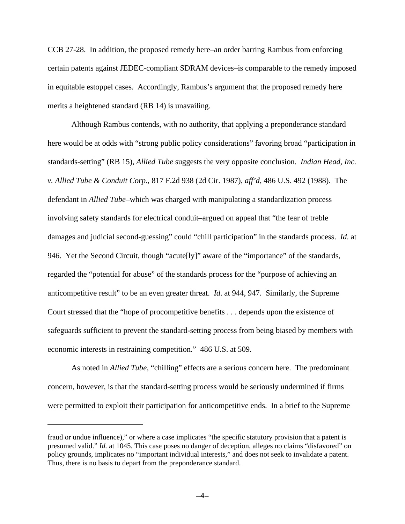CCB 27-28. In addition, the proposed remedy here–an order barring Rambus from enforcing certain patents against JEDEC-compliant SDRAM devices–is comparable to the remedy imposed in equitable estoppel cases. Accordingly, Rambus's argument that the proposed remedy here merits a heightened standard (RB 14) is unavailing.

Although Rambus contends, with no authority, that applying a preponderance standard here would be at odds with "strong public policy considerations" favoring broad "participation in standards-setting" (RB 15), *Allied Tube* suggests the very opposite conclusion. *Indian Head, Inc. v. Allied Tube & Conduit Corp.*, 817 F.2d 938 (2d Cir. 1987), *aff'd*, 486 U.S. 492 (1988). The defendant in *Allied Tube*–which was charged with manipulating a standardization process involving safety standards for electrical conduit–argued on appeal that "the fear of treble damages and judicial second-guessing" could "chill participation" in the standards process. *Id*. at 946. Yet the Second Circuit, though "acute[ly]" aware of the "importance" of the standards, regarded the "potential for abuse" of the standards process for the "purpose of achieving an anticompetitive result" to be an even greater threat. *Id*. at 944, 947. Similarly, the Supreme Court stressed that the "hope of procompetitive benefits . . . depends upon the existence of safeguards sufficient to prevent the standard-setting process from being biased by members with economic interests in restraining competition." 486 U.S. at 509.

As noted in *Allied Tube*, "chilling" effects are a serious concern here. The predominant concern, however, is that the standard-setting process would be seriously undermined if firms were permitted to exploit their participation for anticompetitive ends. In a brief to the Supreme

fraud or undue influence)," or where a case implicates "the specific statutory provision that a patent is presumed valid." *Id.* at 1045. This case poses no danger of deception, alleges no claims "disfavored" on policy grounds, implicates no "important individual interests," and does not seek to invalidate a patent. Thus, there is no basis to depart from the preponderance standard.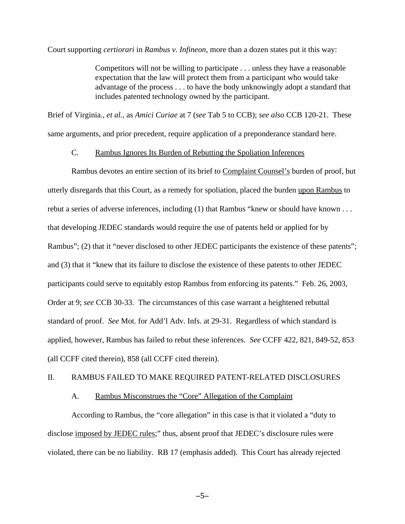Court supporting *certiorari* in *Rambus v. Infineon*, more than a dozen states put it this way:

Competitors will not be willing to participate . . . unless they have a reasonable expectation that the law will protect them from a participant who would take advantage of the process . . . to have the body unknowingly adopt a standard that includes patented technology owned by the participant.

Brief of Virginia., *et al.*, as *Amici Curiae* at 7 (*see* Tab 5 to CCB); *see also* CCB 120-21. These same arguments, and prior precedent, require application of a preponderance standard here.

## C. Rambus Ignores Its Burden of Rebutting the Spoliation Inferences

Rambus devotes an entire section of its brief to Complaint Counsel's burden of proof, but utterly disregards that this Court, as a remedy for spoliation, placed the burden upon Rambus to rebut a series of adverse inferences, including (1) that Rambus "knew or should have known . . . that developing JEDEC standards would require the use of patents held or applied for by Rambus"; (2) that it "never disclosed to other JEDEC participants the existence of these patents"; and (3) that it "knew that its failure to disclose the existence of these patents to other JEDEC participants could serve to equitably estop Rambus from enforcing its patents." Feb. 26, 2003, Order at 9; *see* CCB 30-33. The circumstances of this case warrant a heightened rebuttal standard of proof. *See* Mot. for Add'l Adv. Infs. at 29-31. Regardless of which standard is applied, however, Rambus has failed to rebut these inferences. *See* CCFF 422, 821, 849-52, 853 (all CCFF cited therein), 858 (all CCFF cited therein).

#### II. RAMBUS FAILED TO MAKE REQUIRED PATENT-RELATED DISCLOSURES

## A. Rambus Misconstrues the "Core" Allegation of the Complaint

According to Rambus, the "core allegation" in this case is that it violated a "duty to disclose imposed by JEDEC rules;" thus, absent proof that JEDEC's disclosure rules were violated, there can be no liability. RB 17 (emphasis added). This Court has already rejected

 $-5-$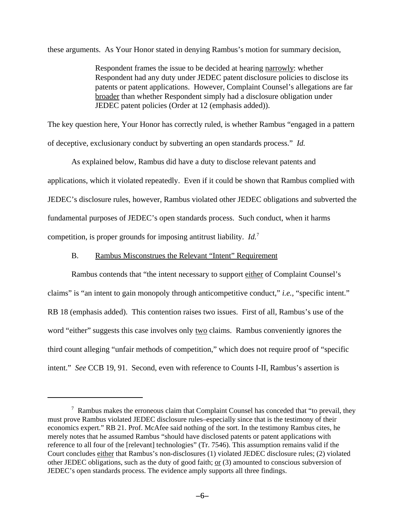these arguments. As Your Honor stated in denying Rambus's motion for summary decision,

Respondent frames the issue to be decided at hearing narrowly: whether Respondent had any duty under JEDEC patent disclosure policies to disclose its patents or patent applications. However, Complaint Counsel's allegations are far broader than whether Respondent simply had a disclosure obligation under JEDEC patent policies (Order at 12 (emphasis added)).

The key question here, Your Honor has correctly ruled, is whether Rambus "engaged in a pattern of deceptive, exclusionary conduct by subverting an open standards process." *Id.*

As explained below, Rambus did have a duty to disclose relevant patents and applications, which it violated repeatedly. Even if it could be shown that Rambus complied with JEDEC's disclosure rules, however, Rambus violated other JEDEC obligations and subverted the fundamental purposes of JEDEC's open standards process. Such conduct, when it harms competition, is proper grounds for imposing antitrust liability. *Id.*<sup>7</sup>

## B. Rambus Misconstrues the Relevant "Intent" Requirement

Rambus contends that "the intent necessary to support either of Complaint Counsel's claims" is "an intent to gain monopoly through anticompetitive conduct," *i.e.*, "specific intent." RB 18 (emphasis added). This contention raises two issues. First of all, Rambus's use of the word "either" suggests this case involves only two claims. Rambus conveniently ignores the third count alleging "unfair methods of competition," which does not require proof of "specific intent." *See* CCB 19, 91. Second, even with reference to Counts I-II, Rambus's assertion is

 $7$  Rambus makes the erroneous claim that Complaint Counsel has conceded that "to prevail, they must prove Rambus violated JEDEC disclosure rules–especially since that is the testimony of their economics expert." RB 21. Prof. McAfee said nothing of the sort. In the testimony Rambus cites, he merely notes that he assumed Rambus "should have disclosed patents or patent applications with reference to all four of the [relevant] technologies" (Tr. 7546). This assumption remains valid if the Court concludes either that Rambus's non-disclosures (1) violated JEDEC disclosure rules; (2) violated other JEDEC obligations, such as the duty of good faith;  $or(3)$  amounted to conscious subversion of JEDEC's open standards process. The evidence amply supports all three findings.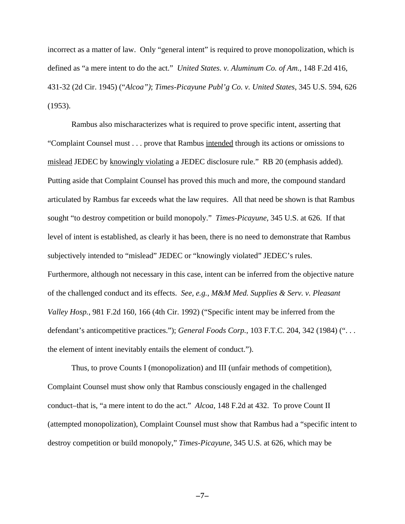incorrect as a matter of law. Only "general intent" is required to prove monopolization, which is defined as "a mere intent to do the act." *United States. v. Aluminum Co. of Am.*, 148 F.2d 416, 431-32 (2d Cir. 1945) ("*Alcoa")*; *Times-Picayune Publ'g Co. v. United States*, 345 U.S. 594, 626 (1953).

Rambus also mischaracterizes what is required to prove specific intent, asserting that "Complaint Counsel must . . . prove that Rambus intended through its actions or omissions to mislead JEDEC by knowingly violating a JEDEC disclosure rule." RB 20 (emphasis added). Putting aside that Complaint Counsel has proved this much and more, the compound standard articulated by Rambus far exceeds what the law requires. All that need be shown is that Rambus sought "to destroy competition or build monopoly." *Times-Picayune*, 345 U.S. at 626. If that level of intent is established, as clearly it has been, there is no need to demonstrate that Rambus subjectively intended to "mislead" JEDEC or "knowingly violated" JEDEC's rules. Furthermore, although not necessary in this case, intent can be inferred from the objective nature of the challenged conduct and its effects. *See, e.g.*, *M&M Med. Supplies & Serv. v. Pleasant Valley Hosp.*, 981 F.2d 160, 166 (4th Cir. 1992) ("Specific intent may be inferred from the defendant's anticompetitive practices."); *General Foods Corp.*, 103 F.T.C. 204, 342 (1984) (". . . the element of intent inevitably entails the element of conduct.").

Thus, to prove Counts I (monopolization) and III (unfair methods of competition), Complaint Counsel must show only that Rambus consciously engaged in the challenged conduct–that is, "a mere intent to do the act." *Alcoa*, 148 F.2d at 432. To prove Count II (attempted monopolization), Complaint Counsel must show that Rambus had a "specific intent to destroy competition or build monopoly," *Times-Picayune*, 345 U.S. at 626, which may be

 $-7-$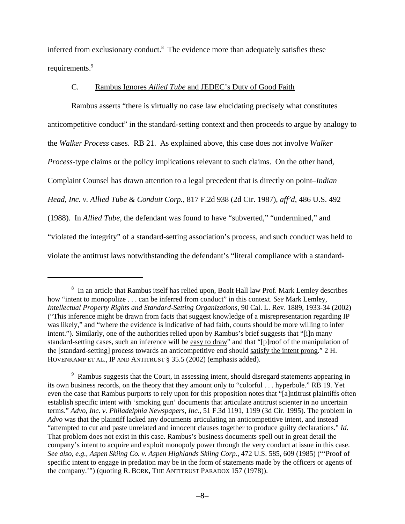inferred from exclusionary conduct.<sup>8</sup> The evidence more than adequately satisfies these requirements.<sup>9</sup>

## C. Rambus Ignores *Allied Tube* and JEDEC's Duty of Good Faith

Rambus asserts "there is virtually no case law elucidating precisely what constitutes anticompetitive conduct" in the standard-setting context and then proceeds to argue by analogy to the *Walker Process* cases. RB 21. As explained above, this case does not involve *Walker Process*-type claims or the policy implications relevant to such claims. On the other hand, Complaint Counsel has drawn attention to a legal precedent that is directly on point–*Indian Head, Inc. v. Allied Tube & Conduit Corp.*, 817 F.2d 938 (2d Cir. 1987), *aff'd*, 486 U.S. 492 (1988). In *Allied Tube*, the defendant was found to have "subverted," "undermined," and "violated the integrity" of a standard-setting association's process, and such conduct was held to violate the antitrust laws notwithstanding the defendant's "literal compliance with a standard-

<sup>&</sup>lt;sup>8</sup> In an article that Rambus itself has relied upon, Boalt Hall law Prof. Mark Lemley describes how "intent to monopolize . . . can be inferred from conduct" in this context. *See* Mark Lemley, *Intellectual Property Rights and Standard-Setting Organizations*, 90 Cal. L. Rev. 1889, 1933-34 (2002) ("This inference might be drawn from facts that suggest knowledge of a misrepresentation regarding IP was likely," and "where the evidence is indicative of bad faith, courts should be more willing to infer intent."). Similarly, one of the authorities relied upon by Rambus's brief suggests that "[i]n many standard-setting cases, such an inference will be easy to draw" and that "[p]roof of the manipulation of the [standard-setting] process towards an anticompetitive end should satisfy the intent prong." 2 H. HOVENKAMP ET AL., IP AND ANTITRUST § 35.5 (2002) (emphasis added).

<sup>&</sup>lt;sup>9</sup> Rambus suggests that the Court, in assessing intent, should disregard statements appearing in its own business records, on the theory that they amount only to "colorful . . . hyperbole." RB 19. Yet even the case that Rambus purports to rely upon for this proposition notes that "[a]ntitrust plaintiffs often establish specific intent with 'smoking gun' documents that articulate antitrust scienter in no uncertain terms." *Advo, Inc. v. Philadelphia Newspapers, Inc.*, 51 F.3d 1191, 1199 (3d Cir. 1995). The problem in *Advo* was that the plaintiff lacked any documents articulating an anticompetitive intent, and instead "attempted to cut and paste unrelated and innocent clauses together to produce guilty declarations." *Id*. That problem does not exist in this case. Rambus's business documents spell out in great detail the company's intent to acquire and exploit monopoly power through the very conduct at issue in this case. *See also, e.g.*, *Aspen Skiing Co. v. Aspen Highlands Skiing Corp.*, 472 U.S. 585, 609 (1985) ("'Proof of specific intent to engage in predation may be in the form of statements made by the officers or agents of the company.'") (quoting R. BORK, THE ANTITRUST PARADOX 157 (1978)).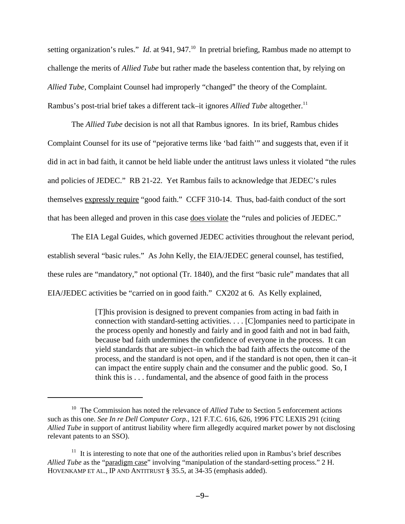setting organization's rules." *Id.* at 941, 947.<sup>10</sup> In pretrial briefing, Rambus made no attempt to challenge the merits of *Allied Tube* but rather made the baseless contention that, by relying on *Allied Tube*, Complaint Counsel had improperly "changed" the theory of the Complaint. Rambus's post-trial brief takes a different tack–it ignores *Allied Tube* altogether.<sup>11</sup>

The *Allied Tube* decision is not all that Rambus ignores. In its brief, Rambus chides Complaint Counsel for its use of "pejorative terms like 'bad faith'" and suggests that, even if it did in act in bad faith, it cannot be held liable under the antitrust laws unless it violated "the rules and policies of JEDEC." RB 21-22. Yet Rambus fails to acknowledge that JEDEC's rules themselves expressly require "good faith." CCFF 310-14. Thus, bad-faith conduct of the sort that has been alleged and proven in this case does violate the "rules and policies of JEDEC."

The EIA Legal Guides, which governed JEDEC activities throughout the relevant period, establish several "basic rules." As John Kelly, the EIA/JEDEC general counsel, has testified, these rules are "mandatory," not optional (Tr. 1840), and the first "basic rule" mandates that all EIA/JEDEC activities be "carried on in good faith." CX202 at 6. As Kelly explained,

> [T]his provision is designed to prevent companies from acting in bad faith in connection with standard-setting activities. . . . [C]ompanies need to participate in the process openly and honestly and fairly and in good faith and not in bad faith, because bad faith undermines the confidence of everyone in the process. It can yield standards that are subject–in which the bad faith affects the outcome of the process, and the standard is not open, and if the standard is not open, then it can–it can impact the entire supply chain and the consumer and the public good. So, I think this is . . . fundamental, and the absence of good faith in the process

<sup>&</sup>lt;sup>10</sup> The Commission has noted the relevance of *Allied Tube* to Section 5 enforcement actions such as this one. *See In re Dell Computer Corp.*, 121 F.T.C. 616, 626, 1996 FTC LEXIS 291 (citing *Allied Tube* in support of antitrust liability where firm allegedly acquired market power by not disclosing relevant patents to an SSO).

<sup>&</sup>lt;sup>11</sup> It is interesting to note that one of the authorities relied upon in Rambus's brief describes *Allied Tube* as the "paradigm case" involving "manipulation of the standard-setting process." 2 H. HOVENKAMP ET AL., IP AND ANTITRUST § 35.5, at 34-35 (emphasis added).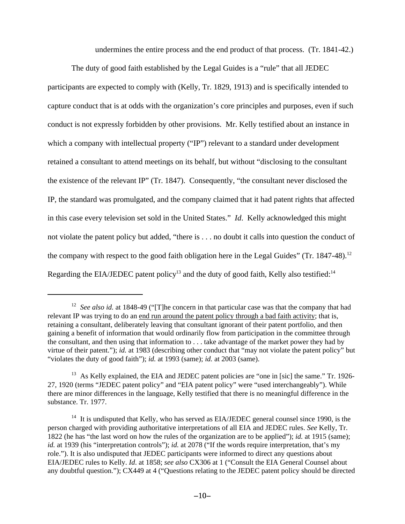undermines the entire process and the end product of that process. (Tr. 1841-42.)

The duty of good faith established by the Legal Guides is a "rule" that all JEDEC participants are expected to comply with (Kelly, Tr. 1829, 1913) and is specifically intended to capture conduct that is at odds with the organization's core principles and purposes, even if such conduct is not expressly forbidden by other provisions. Mr. Kelly testified about an instance in which a company with intellectual property ("IP") relevant to a standard under development retained a consultant to attend meetings on its behalf, but without "disclosing to the consultant the existence of the relevant IP" (Tr. 1847). Consequently, "the consultant never disclosed the IP, the standard was promulgated, and the company claimed that it had patent rights that affected in this case every television set sold in the United States." *Id*. Kelly acknowledged this might not violate the patent policy but added, "there is . . . no doubt it calls into question the conduct of the company with respect to the good faith obligation here in the Legal Guides" (Tr.  $1847-48$ ).<sup>12</sup> Regarding the EIA/JEDEC patent policy<sup>13</sup> and the duty of good faith, Kelly also testified:<sup>14</sup>

<sup>&</sup>lt;sup>12</sup> See also id. at 1848-49 ("[T]he concern in that particular case was that the company that had relevant IP was trying to do an end run around the patent policy through a bad faith activity; that is, retaining a consultant, deliberately leaving that consultant ignorant of their patent portfolio, and then gaining a benefit of information that would ordinarily flow from participation in the committee through the consultant, and then using that information to . . . take advantage of the market power they had by virtue of their patent."); *id.* at 1983 (describing other conduct that "may not violate the patent policy" but "violates the duty of good faith"); *id.* at 1993 (same); *id.* at 2003 (same).

<sup>&</sup>lt;sup>13</sup> As Kelly explained, the EIA and JEDEC patent policies are "one in [sic] the same." Tr. 1926-27, 1920 (terms "JEDEC patent policy" and "EIA patent policy" were "used interchangeably"). While there are minor differences in the language, Kelly testified that there is no meaningful difference in the substance. Tr. 1977.

<sup>&</sup>lt;sup>14</sup> It is undisputed that Kelly, who has served as EIA/JEDEC general counsel since 1990, is the person charged with providing authoritative interpretations of all EIA and JEDEC rules. *See* Kelly, Tr. 1822 (he has "the last word on how the rules of the organization are to be applied"); *id.* at 1915 (same); *id.* at 1939 (his "interpretation controls"); *id.* at 2078 ("If the words require interpretation, that's my role."). It is also undisputed that JEDEC participants were informed to direct any questions about EIA/JEDEC rules to Kelly. *Id*. at 1858; *see also* CX306 at 1 ("Consult the EIA General Counsel about any doubtful question."); CX449 at 4 ("Questions relating to the JEDEC patent policy should be directed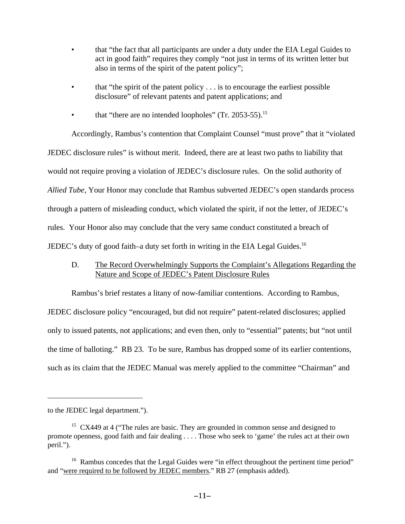- that "the fact that all participants are under a duty under the EIA Legal Guides to act in good faith" requires they comply "not just in terms of its written letter but also in terms of the spirit of the patent policy";
- that "the spirit of the patent policy  $\dots$  is to encourage the earliest possible disclosure" of relevant patents and patent applications; and
- that "there are no intended loopholes" (Tr. 2053-55).<sup>15</sup>

Accordingly, Rambus's contention that Complaint Counsel "must prove" that it "violated JEDEC disclosure rules" is without merit. Indeed, there are at least two paths to liability that would not require proving a violation of JEDEC's disclosure rules. On the solid authority of *Allied Tube*, Your Honor may conclude that Rambus subverted JEDEC's open standards process through a pattern of misleading conduct, which violated the spirit, if not the letter, of JEDEC's rules. Your Honor also may conclude that the very same conduct constituted a breach of JEDEC's duty of good faith–a duty set forth in writing in the EIA Legal Guides.<sup>16</sup>

D. The Record Overwhelmingly Supports the Complaint's Allegations Regarding the Nature and Scope of JEDEC's Patent Disclosure Rules

Rambus's brief restates a litany of now-familiar contentions. According to Rambus,

JEDEC disclosure policy "encouraged, but did not require" patent-related disclosures; applied only to issued patents, not applications; and even then, only to "essential" patents; but "not until the time of balloting." RB 23. To be sure, Rambus has dropped some of its earlier contentions, such as its claim that the JEDEC Manual was merely applied to the committee "Chairman" and

to the JEDEC legal department.").

 $15$  CX449 at 4 ("The rules are basic. They are grounded in common sense and designed to promote openness, good faith and fair dealing . . . . Those who seek to 'game' the rules act at their own peril.").

<sup>&</sup>lt;sup>16</sup> Rambus concedes that the Legal Guides were "in effect throughout the pertinent time period" and "were required to be followed by JEDEC members." RB 27 (emphasis added).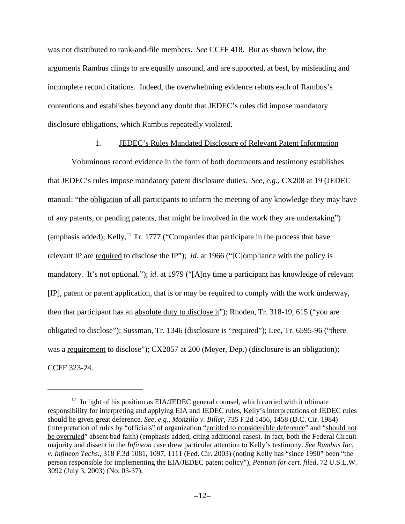was not distributed to rank-and-file members. *See* CCFF 418. But as shown below, the arguments Rambus clings to are equally unsound, and are supported, at best, by misleading and incomplete record citations. Indeed, the overwhelming evidence rebuts each of Rambus's contentions and establishes beyond any doubt that JEDEC's rules did impose mandatory disclosure obligations, which Rambus repeatedly violated.

## 1. JEDEC's Rules Mandated Disclosure of Relevant Patent Information

Voluminous record evidence in the form of both documents and testimony establishes that JEDEC's rules impose mandatory patent disclosure duties. *See, e.g.*, CX208 at 19 (JEDEC manual: "the obligation of all participants to inform the meeting of any knowledge they may have of any patents, or pending patents, that might be involved in the work they are undertaking") (emphasis added); Kelly,  $^{17}$  Tr. 1777 ("Companies that participate in the process that have relevant IP are required to disclose the IP"); *id*. at 1966 ("[C]ompliance with the policy is mandatory. It's not optional."); *id*. at 1979 ("[A]ny time a participant has knowledge of relevant [IP], patent or patent application, that is or may be required to comply with the work underway, then that participant has an absolute duty to disclose it"); Rhoden, Tr. 318-19, 615 ("you are obligated to disclose"); Sussman, Tr. 1346 (disclosure is "required"); Lee, Tr. 6595-96 ("there was a requirement to disclose"); CX2057 at 200 (Meyer, Dep.) (disclosure is an obligation); CCFF 323-24.

 $17$  In light of his position as EIA/JEDEC general counsel, which carried with it ultimate responsibility for interpreting and applying EIA and JEDEC rules, Kelly's interpretations of JEDEC rules should be given great deference. *See, e.g.*, *Monzillo v. Biller*, 735 F.2d 1456, 1458 (D.C. Cir. 1984) (interpretation of rules by "officials" of organization "entitled to considerable deference" and "should not be overruled" absent bad faith) (emphasis added; citing additional cases). In fact, both the Federal Circuit majority and dissent in the *Infineon* case drew particular attention to Kelly's testimony. *See Rambus Inc. v. Infineon Techs.*, 318 F.3d 1081, 1097, 1111 (Fed. Cir. 2003) (noting Kelly has "since 1990" been "the person responsible for implementing the EIA/JEDEC patent policy"), *Petition for cert. filed,* 72 U.S.L.W. 3092 (July 3, 2003) (No. 03-37).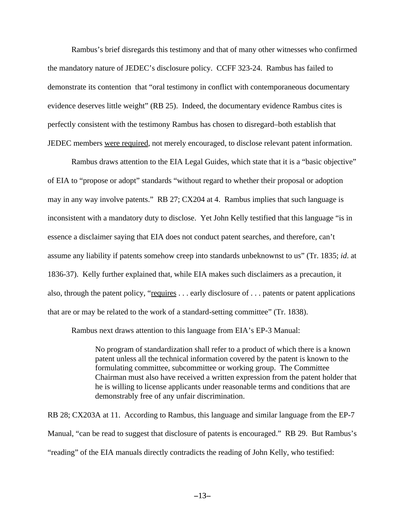Rambus's brief disregards this testimony and that of many other witnesses who confirmed the mandatory nature of JEDEC's disclosure policy. CCFF 323-24. Rambus has failed to demonstrate its contention that "oral testimony in conflict with contemporaneous documentary evidence deserves little weight" (RB 25). Indeed, the documentary evidence Rambus cites is perfectly consistent with the testimony Rambus has chosen to disregard–both establish that JEDEC members were required, not merely encouraged, to disclose relevant patent information.

Rambus draws attention to the EIA Legal Guides, which state that it is a "basic objective" of EIA to "propose or adopt" standards "without regard to whether their proposal or adoption may in any way involve patents." RB 27; CX204 at 4. Rambus implies that such language is inconsistent with a mandatory duty to disclose. Yet John Kelly testified that this language "is in essence a disclaimer saying that EIA does not conduct patent searches, and therefore, can't assume any liability if patents somehow creep into standards unbeknownst to us" (Tr. 1835; *id*. at 1836-37). Kelly further explained that, while EIA makes such disclaimers as a precaution, it also, through the patent policy, "requires  $\dots$  early disclosure of  $\dots$  patents or patent applications that are or may be related to the work of a standard-setting committee" (Tr. 1838).

Rambus next draws attention to this language from EIA's EP-3 Manual:

No program of standardization shall refer to a product of which there is a known patent unless all the technical information covered by the patent is known to the formulating committee, subcommittee or working group. The Committee Chairman must also have received a written expression from the patent holder that he is willing to license applicants under reasonable terms and conditions that are demonstrably free of any unfair discrimination.

RB 28; CX203A at 11. According to Rambus, this language and similar language from the EP-7 Manual, "can be read to suggest that disclosure of patents is encouraged." RB 29. But Rambus's "reading" of the EIA manuals directly contradicts the reading of John Kelly, who testified: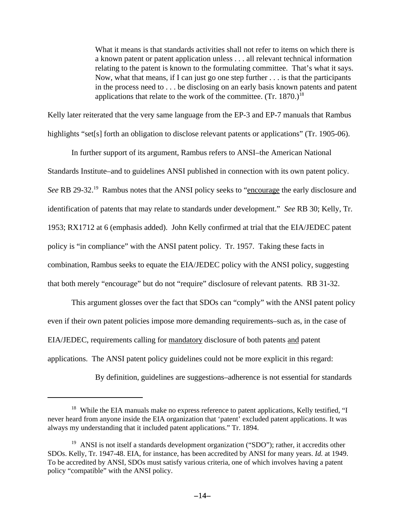What it means is that standards activities shall not refer to items on which there is a known patent or patent application unless . . . all relevant technical information relating to the patent is known to the formulating committee. That's what it says. Now, what that means, if I can just go one step further . . . is that the participants in the process need to . . . be disclosing on an early basis known patents and patent applications that relate to the work of the committee.  $(Tr. 1870.)^{18}$ 

Kelly later reiterated that the very same language from the EP-3 and EP-7 manuals that Rambus highlights "set[s] forth an obligation to disclose relevant patents or applications" (Tr. 1905-06).

In further support of its argument, Rambus refers to ANSI–the American National Standards Institute–and to guidelines ANSI published in connection with its own patent policy. See RB 29-32.<sup>19</sup> Rambus notes that the ANSI policy seeks to "encourage the early disclosure and identification of patents that may relate to standards under development." *See* RB 30; Kelly, Tr. 1953; RX1712 at 6 (emphasis added). John Kelly confirmed at trial that the EIA/JEDEC patent policy is "in compliance" with the ANSI patent policy. Tr. 1957. Taking these facts in combination, Rambus seeks to equate the EIA/JEDEC policy with the ANSI policy, suggesting that both merely "encourage" but do not "require" disclosure of relevant patents. RB 31-32.

This argument glosses over the fact that SDOs can "comply" with the ANSI patent policy even if their own patent policies impose more demanding requirements–such as, in the case of EIA/JEDEC, requirements calling for mandatory disclosure of both patents and patent applications. The ANSI patent policy guidelines could not be more explicit in this regard:

By definition, guidelines are suggestions–adherence is not essential for standards

<sup>&</sup>lt;sup>18</sup> While the EIA manuals make no express reference to patent applications, Kelly testified, "I never heard from anyone inside the EIA organization that 'patent' excluded patent applications. It was always my understanding that it included patent applications." Tr. 1894.

<sup>&</sup>lt;sup>19</sup> ANSI is not itself a standards development organization ("SDO"); rather, it accredits other SDOs. Kelly, Tr. 1947-48. EIA, for instance, has been accredited by ANSI for many years. *Id.* at 1949. To be accredited by ANSI, SDOs must satisfy various criteria, one of which involves having a patent policy "compatible" with the ANSI policy.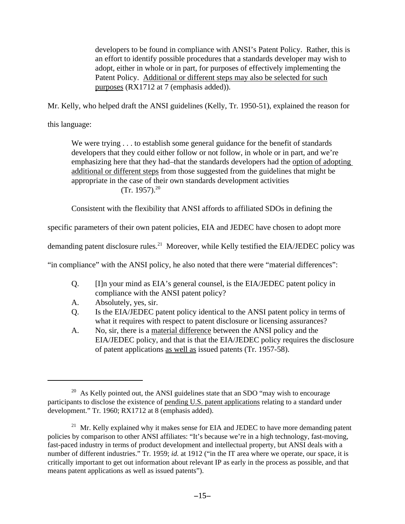developers to be found in compliance with ANSI's Patent Policy. Rather, this is an effort to identify possible procedures that a standards developer may wish to adopt, either in whole or in part, for purposes of effectively implementing the Patent Policy. Additional or different steps may also be selected for such purposes (RX1712 at 7 (emphasis added)).

Mr. Kelly, who helped draft the ANSI guidelines (Kelly, Tr. 1950-51), explained the reason for

this language:

We were trying . . . to establish some general guidance for the benefit of standards developers that they could either follow or not follow, in whole or in part, and we're emphasizing here that they had–that the standards developers had the option of adopting additional or different steps from those suggested from the guidelines that might be appropriate in the case of their own standards development activities  $(Tr. 1957).^{20}$ 

Consistent with the flexibility that ANSI affords to affiliated SDOs in defining the

specific parameters of their own patent policies, EIA and JEDEC have chosen to adopt more

demanding patent disclosure rules.<sup>21</sup> Moreover, while Kelly testified the EIA/JEDEC policy was

"in compliance" with the ANSI policy, he also noted that there were "material differences":

- Q. [I]n your mind as EIA's general counsel, is the EIA/JEDEC patent policy in compliance with the ANSI patent policy?
- A. Absolutely, yes, sir.
- Q. Is the EIA/JEDEC patent policy identical to the ANSI patent policy in terms of what it requires with respect to patent disclosure or licensing assurances?
- A. No, sir, there is a material difference between the ANSI policy and the EIA/JEDEC policy, and that is that the EIA/JEDEC policy requires the disclosure of patent applications as well as issued patents (Tr. 1957-58).

 $20$  As Kelly pointed out, the ANSI guidelines state that an SDO "may wish to encourage participants to disclose the existence of pending U.S. patent applications relating to a standard under development." Tr. 1960; RX1712 at 8 (emphasis added).

<sup>&</sup>lt;sup>21</sup> Mr. Kelly explained why it makes sense for EIA and JEDEC to have more demanding patent policies by comparison to other ANSI affiliates: "It's because we're in a high technology, fast-moving, fast-paced industry in terms of product development and intellectual property, but ANSI deals with a number of different industries." Tr. 1959; *id.* at 1912 ("in the IT area where we operate, our space, it is critically important to get out information about relevant IP as early in the process as possible, and that means patent applications as well as issued patents").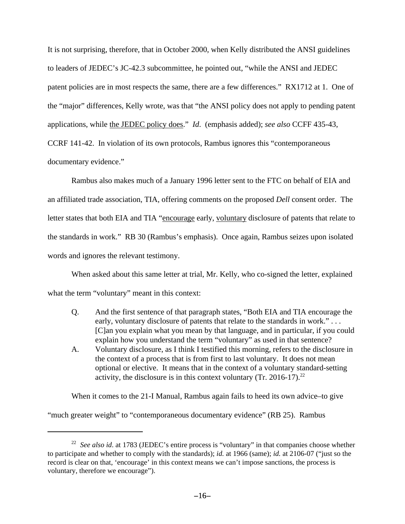It is not surprising, therefore, that in October 2000, when Kelly distributed the ANSI guidelines to leaders of JEDEC's JC-42.3 subcommittee, he pointed out, "while the ANSI and JEDEC patent policies are in most respects the same, there are a few differences." RX1712 at 1. One of the "major" differences, Kelly wrote, was that "the ANSI policy does not apply to pending patent applications, while the JEDEC policy does." *Id*. (emphasis added); *see also* CCFF 435-43, CCRF 141-42. In violation of its own protocols, Rambus ignores this "contemporaneous documentary evidence."

Rambus also makes much of a January 1996 letter sent to the FTC on behalf of EIA and an affiliated trade association, TIA, offering comments on the proposed *Dell* consent order. The letter states that both EIA and TIA "encourage early, voluntary disclosure of patents that relate to the standards in work." RB 30 (Rambus's emphasis). Once again, Rambus seizes upon isolated words and ignores the relevant testimony.

When asked about this same letter at trial, Mr. Kelly, who co-signed the letter, explained what the term "voluntary" meant in this context:

- Q. And the first sentence of that paragraph states, "Both EIA and TIA encourage the early, voluntary disclosure of patents that relate to the standards in work." . . . [C]an you explain what you mean by that language, and in particular, if you could explain how you understand the term "voluntary" as used in that sentence?
- A. Voluntary disclosure, as I think I testified this morning, refers to the disclosure in the context of a process that is from first to last voluntary. It does not mean optional or elective. It means that in the context of a voluntary standard-setting activity, the disclosure is in this context voluntary  $(Tr. 2016-17).^{22}$

When it comes to the 21-I Manual, Rambus again fails to heed its own advice–to give "much greater weight" to "contemporaneous documentary evidence" (RB 25). Rambus

<sup>&</sup>lt;sup>22</sup> See also id. at 1783 (JEDEC's entire process is "voluntary" in that companies choose whether to participate and whether to comply with the standards); *id.* at 1966 (same); *id.* at 2106-07 ("just so the record is clear on that, 'encourage' in this context means we can't impose sanctions, the process is voluntary, therefore we encourage").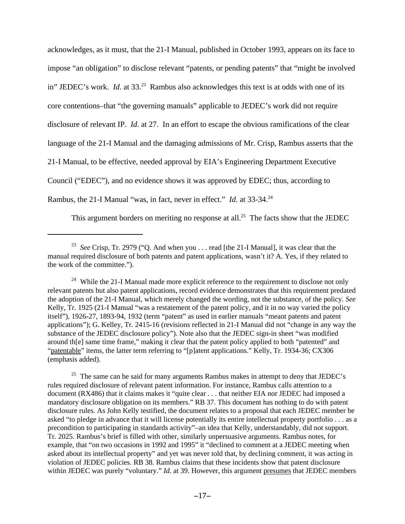acknowledges, as it must, that the 21-I Manual, published in October 1993, appears on its face to impose "an obligation" to disclose relevant "patents, or pending patents" that "might be involved in" JEDEC's work. *Id.* at 33.<sup>23</sup> Rambus also acknowledges this text is at odds with one of its core contentions–that "the governing manuals" applicable to JEDEC's work did not require disclosure of relevant IP. *Id*. at 27. In an effort to escape the obvious ramifications of the clear language of the 21-I Manual and the damaging admissions of Mr. Crisp, Rambus asserts that the 21-I Manual, to be effective, needed approval by EIA's Engineering Department Executive Council ("EDEC"), and no evidence shows it was approved by EDEC; thus, according to Rambus, the 21-I Manual "was, in fact, never in effect." *Id.* at 33-34.<sup>24</sup>

This argument borders on meriting no response at all.<sup>25</sup> The facts show that the JEDEC

 $25$  The same can be said for many arguments Rambus makes in attempt to deny that JEDEC's rules required disclosure of relevant patent information. For instance, Rambus calls attention to a document (RX486) that it claims makes it "quite clear . . . that neither EIA nor JEDEC had imposed a mandatory disclosure obligation on its members." RB 37. This document has nothing to do with patent disclosure rules. As John Kelly testified, the document relates to a proposal that each JEDEC member be asked "to pledge in advance that it will license potentially its entire intellectual property portfolio . . . as a precondition to participating in standards activity"–an idea that Kelly, understandably, did not support. Tr. 2025. Rambus's brief is filled with other, similarly unpersuasive arguments. Rambus notes, for example, that "on two occasions in 1992 and 1995" it "declined to comment at a JEDEC meeting when asked about its intellectual property" and yet was never told that, by declining comment, it was acting in violation of JEDEC policies. RB 38. Rambus claims that these incidents show that patent disclosure within JEDEC was purely "voluntary." *Id.* at 39. However, this argument presumes that JEDEC members

<sup>23</sup> *See* Crisp, Tr. 2979 ("Q. And when you . . . read [the 21-I Manual], it was clear that the manual required disclosure of both patents and patent applications, wasn't it? A. Yes, if they related to the work of the committee.").

<sup>&</sup>lt;sup>24</sup> While the 21-I Manual made more explicit reference to the requirement to disclose not only relevant patents but also patent applications, record evidence demonstrates that this requirement predated the adoption of the 21-I Manual, which merely changed the wording, not the substance, of the policy. *See* Kelly, Tr. 1925 (21-I Manual "was a restatement of the patent policy, and it in no way varied the policy itself"), 1926-27, 1893-94, 1932 (term "patent" as used in earlier manuals "meant patents and patent applications"); G. Kelley, Tr. 2415-16 (revisions reflected in 21-I Manual did not "change in any way the substance of the JEDEC disclosure policy"). Note also that the JEDEC sign-in sheet "was modified around th[e] same time frame," making it clear that the patent policy applied to both "patented" and "patentable" items, the latter term referring to "[p]atent applications." Kelly, Tr. 1934-36; CX306 (emphasis added).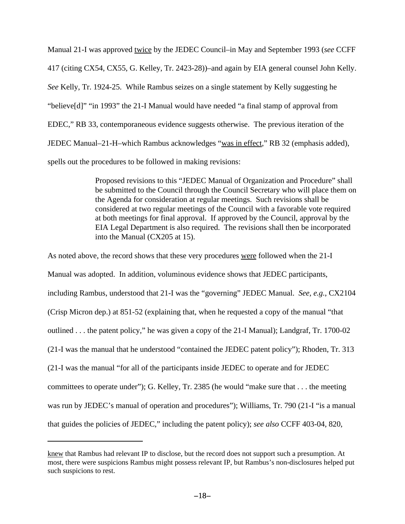Manual 21-I was approved twice by the JEDEC Council–in May and September 1993 (*see* CCFF 417 (citing CX54, CX55, G. Kelley, Tr. 2423-28))–and again by EIA general counsel John Kelly. *See* Kelly, Tr. 1924-25. While Rambus seizes on a single statement by Kelly suggesting he "believe[d]" "in 1993" the 21-I Manual would have needed "a final stamp of approval from EDEC," RB 33, contemporaneous evidence suggests otherwise. The previous iteration of the JEDEC Manual–21-H–which Rambus acknowledges "was in effect," RB 32 (emphasis added), spells out the procedures to be followed in making revisions:

> Proposed revisions to this "JEDEC Manual of Organization and Procedure" shall be submitted to the Council through the Council Secretary who will place them on the Agenda for consideration at regular meetings. Such revisions shall be considered at two regular meetings of the Council with a favorable vote required at both meetings for final approval. If approved by the Council, approval by the EIA Legal Department is also required. The revisions shall then be incorporated into the Manual (CX205 at 15).

As noted above, the record shows that these very procedures were followed when the 21-I Manual was adopted. In addition, voluminous evidence shows that JEDEC participants, including Rambus, understood that 21-I was the "governing" JEDEC Manual. *See, e.g.*, CX2104 (Crisp Micron dep.) at 851-52 (explaining that, when he requested a copy of the manual "that outlined . . . the patent policy," he was given a copy of the 21-I Manual); Landgraf, Tr. 1700-02 (21-I was the manual that he understood "contained the JEDEC patent policy"); Rhoden, Tr. 313 (21-I was the manual "for all of the participants inside JEDEC to operate and for JEDEC committees to operate under"); G. Kelley, Tr. 2385 (he would "make sure that . . . the meeting was run by JEDEC's manual of operation and procedures"); Williams, Tr. 790 (21-I "is a manual that guides the policies of JEDEC," including the patent policy); *see also* CCFF 403-04, 820,

knew that Rambus had relevant IP to disclose, but the record does not support such a presumption. At most, there were suspicions Rambus might possess relevant IP, but Rambus's non-disclosures helped put such suspicions to rest.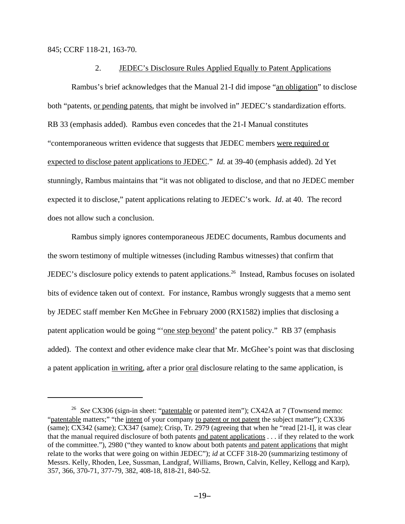845; CCRF 118-21, 163-70.

#### 2. JEDEC's Disclosure Rules Applied Equally to Patent Applications

Rambus's brief acknowledges that the Manual 21-I did impose "an obligation" to disclose both "patents, or pending patents, that might be involved in" JEDEC's standardization efforts. RB 33 (emphasis added). Rambus even concedes that the 21-I Manual constitutes "contemporaneous written evidence that suggests that JEDEC members were required or expected to disclose patent applications to JEDEC." *Id.* at 39-40 (emphasis added). 2d Yet stunningly, Rambus maintains that "it was not obligated to disclose, and that no JEDEC member expected it to disclose," patent applications relating to JEDEC's work. *Id*. at 40. The record does not allow such a conclusion.

Rambus simply ignores contemporaneous JEDEC documents, Rambus documents and the sworn testimony of multiple witnesses (including Rambus witnesses) that confirm that JEDEC's disclosure policy extends to patent applications.<sup>26</sup> Instead, Rambus focuses on isolated bits of evidence taken out of context. For instance, Rambus wrongly suggests that a memo sent by JEDEC staff member Ken McGhee in February 2000 (RX1582) implies that disclosing a patent application would be going "'one step beyond' the patent policy." RB 37 (emphasis added). The context and other evidence make clear that Mr. McGhee's point was that disclosing a patent application in writing, after a prior oral disclosure relating to the same application, is

<sup>&</sup>lt;sup>26</sup> See CX306 (sign-in sheet: "patentable or patented item"); CX42A at 7 (Townsend memo: "patentable matters;" "the intent of your company to patent or not patent the subject matter"); CX336 (same); CX342 (same); CX347 (same); Crisp, Tr. 2979 (agreeing that when he "read [21-I], it was clear that the manual required disclosure of both patents and patent applications . . . if they related to the work of the committee."), 2980 ("they wanted to know about both patents and patent applications that might relate to the works that were going on within JEDEC"); *id* at CCFF 318-20 (summarizing testimony of Messrs. Kelly, Rhoden, Lee, Sussman, Landgraf, Williams, Brown, Calvin, Kelley, Kellogg and Karp), 357, 366, 370-71, 377-79, 382, 408-18, 818-21, 840-52.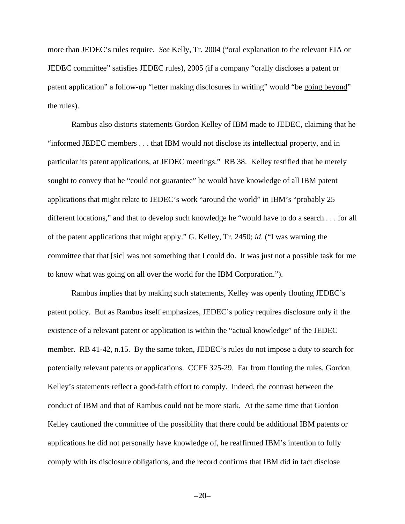more than JEDEC's rules require. *See* Kelly, Tr. 2004 ("oral explanation to the relevant EIA or JEDEC committee" satisfies JEDEC rules), 2005 (if a company "orally discloses a patent or patent application" a follow-up "letter making disclosures in writing" would "be going beyond" the rules).

Rambus also distorts statements Gordon Kelley of IBM made to JEDEC, claiming that he "informed JEDEC members . . . that IBM would not disclose its intellectual property, and in particular its patent applications, at JEDEC meetings." RB 38. Kelley testified that he merely sought to convey that he "could not guarantee" he would have knowledge of all IBM patent applications that might relate to JEDEC's work "around the world" in IBM's "probably 25 different locations," and that to develop such knowledge he "would have to do a search . . . for all of the patent applications that might apply." G. Kelley, Tr. 2450; *id*. ("I was warning the committee that that [sic] was not something that I could do. It was just not a possible task for me to know what was going on all over the world for the IBM Corporation.").

Rambus implies that by making such statements, Kelley was openly flouting JEDEC's patent policy. But as Rambus itself emphasizes, JEDEC's policy requires disclosure only if the existence of a relevant patent or application is within the "actual knowledge" of the JEDEC member. RB 41-42, n.15. By the same token, JEDEC's rules do not impose a duty to search for potentially relevant patents or applications. CCFF 325-29. Far from flouting the rules, Gordon Kelley's statements reflect a good-faith effort to comply. Indeed, the contrast between the conduct of IBM and that of Rambus could not be more stark. At the same time that Gordon Kelley cautioned the committee of the possibility that there could be additional IBM patents or applications he did not personally have knowledge of, he reaffirmed IBM's intention to fully comply with its disclosure obligations, and the record confirms that IBM did in fact disclose

 $-20-$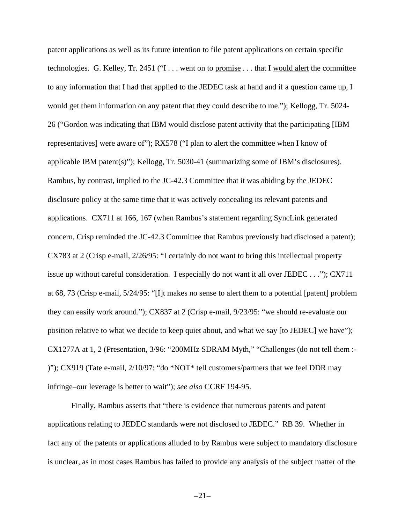patent applications as well as its future intention to file patent applications on certain specific technologies. G. Kelley, Tr. 2451 ("I . . . went on to promise . . . that I would alert the committee to any information that I had that applied to the JEDEC task at hand and if a question came up, I would get them information on any patent that they could describe to me."); Kellogg, Tr. 5024- 26 ("Gordon was indicating that IBM would disclose patent activity that the participating [IBM representatives] were aware of"); RX578 ("I plan to alert the committee when I know of applicable IBM patent(s)"); Kellogg, Tr. 5030-41 (summarizing some of IBM's disclosures). Rambus, by contrast, implied to the JC-42.3 Committee that it was abiding by the JEDEC disclosure policy at the same time that it was actively concealing its relevant patents and applications. CX711 at 166, 167 (when Rambus's statement regarding SyncLink generated concern, Crisp reminded the JC-42.3 Committee that Rambus previously had disclosed a patent); CX783 at 2 (Crisp e-mail, 2/26/95: "I certainly do not want to bring this intellectual property issue up without careful consideration. I especially do not want it all over JEDEC . . ."); CX711 at 68, 73 (Crisp e-mail, 5/24/95: "[I]t makes no sense to alert them to a potential [patent] problem they can easily work around."); CX837 at 2 (Crisp e-mail, 9/23/95: "we should re-evaluate our position relative to what we decide to keep quiet about, and what we say [to JEDEC] we have"); CX1277A at 1, 2 (Presentation, 3/96: "200MHz SDRAM Myth," "Challenges (do not tell them :- )"); CX919 (Tate e-mail, 2/10/97: "do \*NOT\* tell customers/partners that we feel DDR may infringe–our leverage is better to wait"); *see also* CCRF 194-95.

Finally, Rambus asserts that "there is evidence that numerous patents and patent applications relating to JEDEC standards were not disclosed to JEDEC." RB 39. Whether in fact any of the patents or applications alluded to by Rambus were subject to mandatory disclosure is unclear, as in most cases Rambus has failed to provide any analysis of the subject matter of the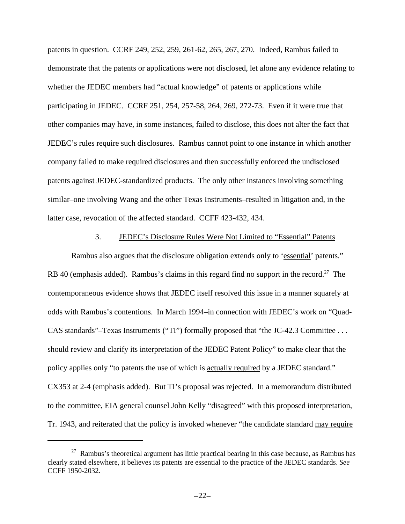patents in question. CCRF 249, 252, 259, 261-62, 265, 267, 270. Indeed, Rambus failed to demonstrate that the patents or applications were not disclosed, let alone any evidence relating to whether the JEDEC members had "actual knowledge" of patents or applications while participating in JEDEC. CCRF 251, 254, 257-58, 264, 269, 272-73. Even if it were true that other companies may have, in some instances, failed to disclose, this does not alter the fact that JEDEC's rules require such disclosures. Rambus cannot point to one instance in which another company failed to make required disclosures and then successfully enforced the undisclosed patents against JEDEC-standardized products. The only other instances involving something similar–one involving Wang and the other Texas Instruments–resulted in litigation and, in the latter case, revocation of the affected standard. CCFF 423-432, 434.

### 3. JEDEC's Disclosure Rules Were Not Limited to "Essential" Patents

Rambus also argues that the disclosure obligation extends only to 'essential' patents." RB 40 (emphasis added). Rambus's claims in this regard find no support in the record.<sup>27</sup> The contemporaneous evidence shows that JEDEC itself resolved this issue in a manner squarely at odds with Rambus's contentions. In March 1994–in connection with JEDEC's work on "Quad-CAS standards"–Texas Instruments ("TI") formally proposed that "the JC-42.3 Committee . . . should review and clarify its interpretation of the JEDEC Patent Policy" to make clear that the policy applies only "to patents the use of which is actually required by a JEDEC standard." CX353 at 2-4 (emphasis added). But TI's proposal was rejected. In a memorandum distributed to the committee, EIA general counsel John Kelly "disagreed" with this proposed interpretation, Tr. 1943, and reiterated that the policy is invoked whenever "the candidate standard may require

<sup>&</sup>lt;sup>27</sup> Rambus's theoretical argument has little practical bearing in this case because, as Rambus has clearly stated elsewhere, it believes its patents are essential to the practice of the JEDEC standards. *See* CCFF 1950-2032.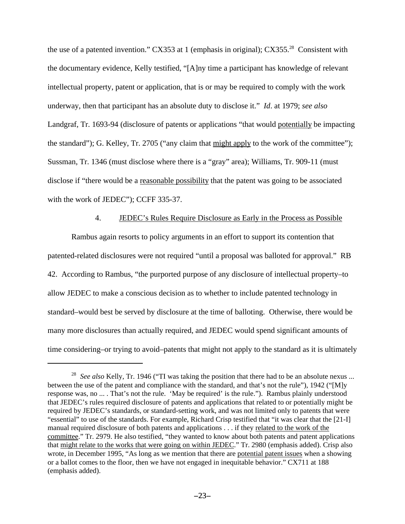the use of a patented invention." CX353 at 1 (emphasis in original); CX355.<sup>28</sup> Consistent with the documentary evidence, Kelly testified, "[A]ny time a participant has knowledge of relevant intellectual property, patent or application, that is or may be required to comply with the work underway, then that participant has an absolute duty to disclose it." *Id*. at 1979; *see also* Landgraf, Tr. 1693-94 (disclosure of patents or applications "that would potentially be impacting the standard"); G. Kelley, Tr. 2705 ("any claim that might apply to the work of the committee"); Sussman, Tr. 1346 (must disclose where there is a "gray" area); Williams, Tr. 909-11 (must disclose if "there would be a reasonable possibility that the patent was going to be associated with the work of JEDEC"); CCFF 335-37.

## 4. JEDEC's Rules Require Disclosure as Early in the Process as Possible

Rambus again resorts to policy arguments in an effort to support its contention that patented-related disclosures were not required "until a proposal was balloted for approval." RB 42. According to Rambus, "the purported purpose of any disclosure of intellectual property–to allow JEDEC to make a conscious decision as to whether to include patented technology in standard–would best be served by disclosure at the time of balloting. Otherwise, there would be many more disclosures than actually required, and JEDEC would spend significant amounts of time considering–or trying to avoid–patents that might not apply to the standard as it is ultimately

<sup>28</sup> *See also* Kelly, Tr. 1946 ("TI was taking the position that there had to be an absolute nexus ... between the use of the patent and compliance with the standard, and that's not the rule"), 1942 ("[M]y response was, no ... . That's not the rule. 'May be required' is the rule."). Rambus plainly understood that JEDEC's rules required disclosure of patents and applications that related to or potentially might be required by JEDEC's standards, or standard-setting work, and was not limited only to patents that were "essential" to use of the standards. For example, Richard Crisp testified that "it was clear that the [21-I] manual required disclosure of both patents and applications . . . if they related to the work of the committee." Tr. 2979. He also testified, "they wanted to know about both patents and patent applications that might relate to the works that were going on within JEDEC." Tr. 2980 (emphasis added). Crisp also wrote, in December 1995, "As long as we mention that there are potential patent issues when a showing or a ballot comes to the floor, then we have not engaged in inequitable behavior." CX711 at 188 (emphasis added).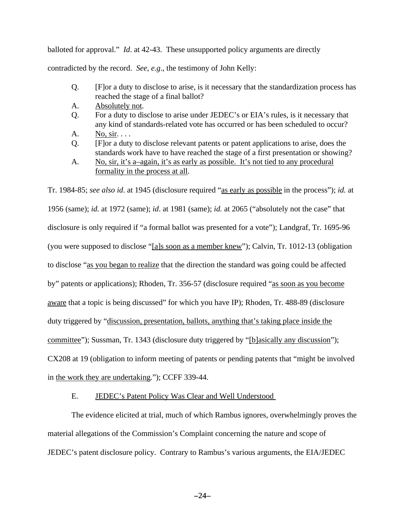balloted for approval." *Id*. at 42-43. These unsupported policy arguments are directly contradicted by the record. *See, e.g*., the testimony of John Kelly:

- Q. [F]or a duty to disclose to arise, is it necessary that the standardization process has reached the stage of a final ballot?
- A. Absolutely not.
- Q. For a duty to disclose to arise under JEDEC's or EIA's rules, is it necessary that any kind of standards-related vote has occurred or has been scheduled to occur?
- A. No, sir. . . .
- Q. [F]or a duty to disclose relevant patents or patent applications to arise, does the standards work have to have reached the stage of a first presentation or showing?
- A. No, sir, it's a–again, it's as early as possible. It's not tied to any procedural formality in the process at all.

Tr. 1984-85; *see also id*. at 1945 (disclosure required "as early as possible in the process"); *id.* at 1956 (same); *id.* at 1972 (same); *id*. at 1981 (same); *id.* at 2065 ("absolutely not the case" that disclosure is only required if "a formal ballot was presented for a vote"); Landgraf, Tr. 1695-96 (you were supposed to disclose "[a]s soon as a member knew"); Calvin, Tr. 1012-13 (obligation to disclose "as you began to realize that the direction the standard was going could be affected by" patents or applications); Rhoden, Tr. 356-57 (disclosure required "as soon as you become aware that a topic is being discussed" for which you have IP); Rhoden, Tr. 488-89 (disclosure duty triggered by "discussion, presentation, ballots, anything that's taking place inside the committee"); Sussman, Tr. 1343 (disclosure duty triggered by "[b]asically any discussion"); CX208 at 19 (obligation to inform meeting of patents or pending patents that "might be involved in the work they are undertaking."); CCFF 339-44.

### E. JEDEC's Patent Policy Was Clear and Well Understood

The evidence elicited at trial, much of which Rambus ignores, overwhelmingly proves the material allegations of the Commission's Complaint concerning the nature and scope of JEDEC's patent disclosure policy. Contrary to Rambus's various arguments, the EIA/JEDEC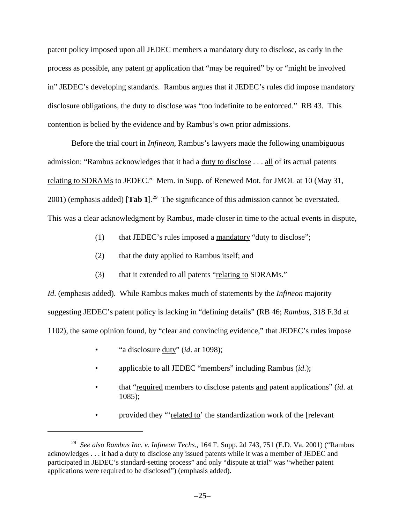patent policy imposed upon all JEDEC members a mandatory duty to disclose, as early in the process as possible, any patent or application that "may be required" by or "might be involved in" JEDEC's developing standards. Rambus argues that if JEDEC's rules did impose mandatory disclosure obligations, the duty to disclose was "too indefinite to be enforced." RB 43. This contention is belied by the evidence and by Rambus's own prior admissions.

Before the trial court in *Infineon*, Rambus's lawyers made the following unambiguous admission: "Rambus acknowledges that it had a duty to disclose . . . all of its actual patents relating to SDRAMs to JEDEC." Mem. in Supp. of Renewed Mot. for JMOL at 10 (May 31, 2001) (emphasis added)  $\text{Tab } 1$ <sup>29</sup> The significance of this admission cannot be overstated. This was a clear acknowledgment by Rambus, made closer in time to the actual events in dispute,

- (1) that JEDEC's rules imposed a mandatory "duty to disclose";
- (2) that the duty applied to Rambus itself; and
- (3) that it extended to all patents "relating to SDRAMs."

*Id*. (emphasis added). While Rambus makes much of statements by the *Infineon* majority suggesting JEDEC's patent policy is lacking in "defining details" (RB 46; *Rambus*, 318 F.3d at 1102), the same opinion found, by "clear and convincing evidence," that JEDEC's rules impose

- "a disclosure duty" (*id*. at 1098);
- applicable to all JEDEC "members" including Rambus (*id*.);
- that "required members to disclose patents and patent applications" (*id*. at 1085);
- provided they "'related to' the standardization work of the [relevant

<sup>29</sup> *See also Rambus Inc. v. Infineon Techs.*, 164 F. Supp. 2d 743, 751 (E.D. Va. 2001) ("Rambus acknowledges . . . it had a duty to disclose any issued patents while it was a member of JEDEC and participated in JEDEC's standard-setting process" and only "dispute at trial" was "whether patent applications were required to be disclosed") (emphasis added).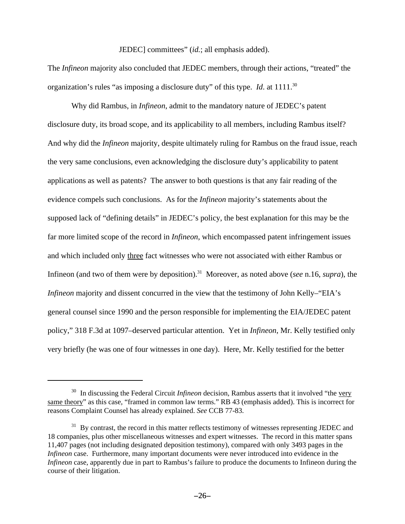### JEDEC] committees" (*id.*; all emphasis added).

The *Infineon* majority also concluded that JEDEC members, through their actions, "treated" the organization's rules "as imposing a disclosure duty" of this type. *Id.* at 1111.<sup>30</sup>

Why did Rambus, in *Infineon*, admit to the mandatory nature of JEDEC's patent disclosure duty, its broad scope, and its applicability to all members, including Rambus itself? And why did the *Infineon* majority, despite ultimately ruling for Rambus on the fraud issue, reach the very same conclusions, even acknowledging the disclosure duty's applicability to patent applications as well as patents? The answer to both questions is that any fair reading of the evidence compels such conclusions. As for the *Infineon* majority's statements about the supposed lack of "defining details" in JEDEC's policy, the best explanation for this may be the far more limited scope of the record in *Infineon*, which encompassed patent infringement issues and which included only three fact witnesses who were not associated with either Rambus or Infineon (and two of them were by deposition).<sup>31</sup> Moreover, as noted above (*see* n.16, *supra*), the *Infineon* majority and dissent concurred in the view that the testimony of John Kelly–"EIA's general counsel since 1990 and the person responsible for implementing the EIA/JEDEC patent policy," 318 F.3d at 1097–deserved particular attention. Yet in *Infineon*, Mr. Kelly testified only very briefly (he was one of four witnesses in one day). Here, Mr. Kelly testified for the better

<sup>&</sup>lt;sup>30</sup> In discussing the Federal Circuit *Infineon* decision, Rambus asserts that it involved "the very same theory" as this case, "framed in common law terms." RB 43 (emphasis added). This is incorrect for reasons Complaint Counsel has already explained. *See* CCB 77-83.

<sup>&</sup>lt;sup>31</sup> By contrast, the record in this matter reflects testimony of witnesses representing JEDEC and 18 companies, plus other miscellaneous witnesses and expert witnesses. The record in this matter spans 11,407 pages (not including designated deposition testimony), compared with only 3493 pages in the *Infineon* case. Furthermore, many important documents were never introduced into evidence in the *Infineon* case, apparently due in part to Rambus's failure to produce the documents to Infineon during the course of their litigation.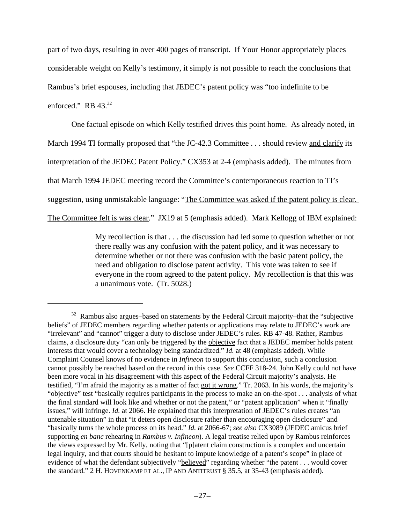part of two days, resulting in over 400 pages of transcript. If Your Honor appropriately places considerable weight on Kelly's testimony, it simply is not possible to reach the conclusions that Rambus's brief espouses, including that JEDEC's patent policy was "too indefinite to be enforced." RB 43.<sup>32</sup>

One factual episode on which Kelly testified drives this point home. As already noted, in

March 1994 TI formally proposed that "the JC-42.3 Committee . . . should review and clarify its

interpretation of the JEDEC Patent Policy." CX353 at 2-4 (emphasis added). The minutes from

that March 1994 JEDEC meeting record the Committee's contemporaneous reaction to TI's

suggestion, using unmistakable language: "The Committee was asked if the patent policy is clear.

The Committee felt is was clear." JX19 at 5 (emphasis added). Mark Kellogg of IBM explained:

My recollection is that . . . the discussion had led some to question whether or not there really was any confusion with the patent policy, and it was necessary to determine whether or not there was confusion with the basic patent policy, the need and obligation to disclose patent activity. This vote was taken to see if everyone in the room agreed to the patent policy. My recollection is that this was a unanimous vote. (Tr. 5028.)

 $32$  Rambus also argues–based on statements by the Federal Circuit majority–that the "subjective" beliefs" of JEDEC members regarding whether patents or applications may relate to JEDEC's work are "irrelevant" and "cannot" trigger a duty to disclose under JEDEC's rules. RB 47-48. Rather, Rambus claims, a disclosure duty "can only be triggered by the objective fact that a JEDEC member holds patent interests that would cover a technology being standardized." *Id.* at 48 (emphasis added). While Complaint Counsel knows of no evidence in *Infineon* to support this conclusion, such a conclusion cannot possibly be reached based on the record in this case. *See* CCFF 318-24. John Kelly could not have been more vocal in his disagreement with this aspect of the Federal Circuit majority's analysis. He testified, "I'm afraid the majority as a matter of fact got it wrong." Tr. 2063. In his words, the majority's "objective" test "basically requires participants in the process to make an on-the-spot . . . analysis of what the final standard will look like and whether or not the patent," or "patent application" when it "finally issues," will infringe. *Id.* at 2066. He explained that this interpretation of JEDEC's rules creates "an untenable situation" in that "it deters open disclosure rather than encouraging open disclosure" and "basically turns the whole process on its head." *Id.* at 2066-67; *see also* CX3089 (JEDEC amicus brief supporting *en banc* rehearing in *Rambus v. Infineon*). A legal treatise relied upon by Rambus reinforces the views expressed by Mr. Kelly, noting that "[p]atent claim construction is a complex and uncertain legal inquiry, and that courts should be hesitant to impute knowledge of a patent's scope" in place of evidence of what the defendant subjectively "believed" regarding whether "the patent . . . would cover the standard." 2 H. HOVENKAMP ET AL., IP AND ANTITRUST § 35.5, at 35-43 (emphasis added).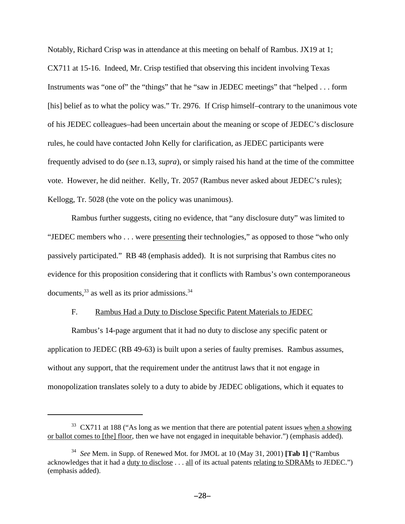Notably, Richard Crisp was in attendance at this meeting on behalf of Rambus. JX19 at 1; CX711 at 15-16. Indeed, Mr. Crisp testified that observing this incident involving Texas Instruments was "one of" the "things" that he "saw in JEDEC meetings" that "helped . . . form [his] belief as to what the policy was." Tr. 2976. If Crisp himself-contrary to the unanimous vote of his JEDEC colleagues–had been uncertain about the meaning or scope of JEDEC's disclosure rules, he could have contacted John Kelly for clarification, as JEDEC participants were frequently advised to do (*see* n.13, *supra*), or simply raised his hand at the time of the committee vote. However, he did neither. Kelly, Tr. 2057 (Rambus never asked about JEDEC's rules); Kellogg, Tr. 5028 (the vote on the policy was unanimous).

Rambus further suggests, citing no evidence, that "any disclosure duty" was limited to "JEDEC members who . . . were presenting their technologies," as opposed to those "who only passively participated." RB 48 (emphasis added). It is not surprising that Rambus cites no evidence for this proposition considering that it conflicts with Rambus's own contemporaneous documents,  $33$  as well as its prior admissions.  $34$ 

## F. Rambus Had a Duty to Disclose Specific Patent Materials to JEDEC

Rambus's 14-page argument that it had no duty to disclose any specific patent or application to JEDEC (RB 49-63) is built upon a series of faulty premises. Rambus assumes, without any support, that the requirement under the antitrust laws that it not engage in monopolization translates solely to a duty to abide by JEDEC obligations, which it equates to

 $33$  CX711 at 188 ("As long as we mention that there are potential patent issues when a showing or ballot comes to [the] floor, then we have not engaged in inequitable behavior.") (emphasis added).

<sup>34</sup> *See* Mem. in Supp. of Renewed Mot. for JMOL at 10 (May 31, 2001) **[Tab 1]** ("Rambus acknowledges that it had a <u>duty to disclose</u> . . . <u>all</u> of its actual patents <u>relating to SDRAMs</u> to JEDEC.") (emphasis added).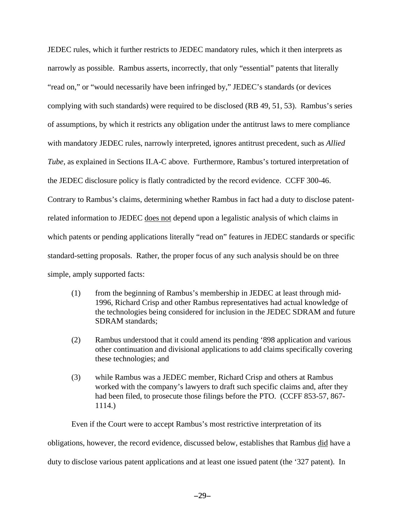JEDEC rules, which it further restricts to JEDEC mandatory rules, which it then interprets as narrowly as possible. Rambus asserts, incorrectly, that only "essential" patents that literally "read on," or "would necessarily have been infringed by," JEDEC's standards (or devices complying with such standards) were required to be disclosed (RB 49, 51, 53). Rambus's series of assumptions, by which it restricts any obligation under the antitrust laws to mere compliance with mandatory JEDEC rules, narrowly interpreted, ignores antitrust precedent, such as *Allied Tube*, as explained in Sections II.A-C above. Furthermore, Rambus's tortured interpretation of the JEDEC disclosure policy is flatly contradicted by the record evidence. CCFF 300-46. Contrary to Rambus's claims, determining whether Rambus in fact had a duty to disclose patentrelated information to JEDEC does not depend upon a legalistic analysis of which claims in which patents or pending applications literally "read on" features in JEDEC standards or specific standard-setting proposals. Rather, the proper focus of any such analysis should be on three simple, amply supported facts:

- (1) from the beginning of Rambus's membership in JEDEC at least through mid-1996, Richard Crisp and other Rambus representatives had actual knowledge of the technologies being considered for inclusion in the JEDEC SDRAM and future SDRAM standards;
- (2) Rambus understood that it could amend its pending '898 application and various other continuation and divisional applications to add claims specifically covering these technologies; and
- (3) while Rambus was a JEDEC member, Richard Crisp and others at Rambus worked with the company's lawyers to draft such specific claims and, after they had been filed, to prosecute those filings before the PTO. (CCFF 853-57, 867- 1114.)

Even if the Court were to accept Rambus's most restrictive interpretation of its obligations, however, the record evidence, discussed below, establishes that Rambus did have a duty to disclose various patent applications and at least one issued patent (the '327 patent). In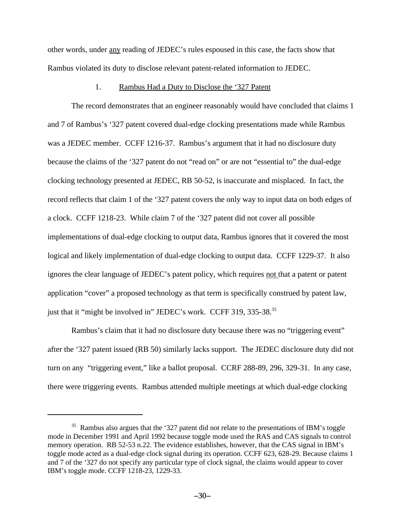other words, under any reading of JEDEC's rules espoused in this case, the facts show that Rambus violated its duty to disclose relevant patent-related information to JEDEC.

### 1. Rambus Had a Duty to Disclose the '327 Patent

The record demonstrates that an engineer reasonably would have concluded that claims 1 and 7 of Rambus's '327 patent covered dual-edge clocking presentations made while Rambus was a JEDEC member. CCFF 1216-37. Rambus's argument that it had no disclosure duty because the claims of the '327 patent do not "read on" or are not "essential to" the dual-edge clocking technology presented at JEDEC, RB 50-52, is inaccurate and misplaced. In fact, the record reflects that claim 1 of the '327 patent covers the only way to input data on both edges of a clock. CCFF 1218-23. While claim 7 of the '327 patent did not cover all possible implementations of dual-edge clocking to output data, Rambus ignores that it covered the most logical and likely implementation of dual-edge clocking to output data. CCFF 1229-37. It also ignores the clear language of JEDEC's patent policy, which requires not that a patent or patent application "cover" a proposed technology as that term is specifically construed by patent law, just that it "might be involved in" JEDEC's work. CCFF 319, 335-38.<sup>35</sup>

Rambus's claim that it had no disclosure duty because there was no "triggering event" after the '327 patent issued (RB 50) similarly lacks support. The JEDEC disclosure duty did not turn on any "triggering event," like a ballot proposal. CCRF 288-89, 296, 329-31. In any case, there were triggering events. Rambus attended multiple meetings at which dual-edge clocking

 $35$  Rambus also argues that the '327 patent did not relate to the presentations of IBM's toggle mode in December 1991 and April 1992 because toggle mode used the RAS and CAS signals to control memory operation. RB 52-53 n.22. The evidence establishes, however, that the CAS signal in IBM's toggle mode acted as a dual-edge clock signal during its operation. CCFF 623, 628-29. Because claims 1 and 7 of the '327 do not specify any particular type of clock signal, the claims would appear to cover IBM's toggle mode. CCFF 1218-23, 1229-33.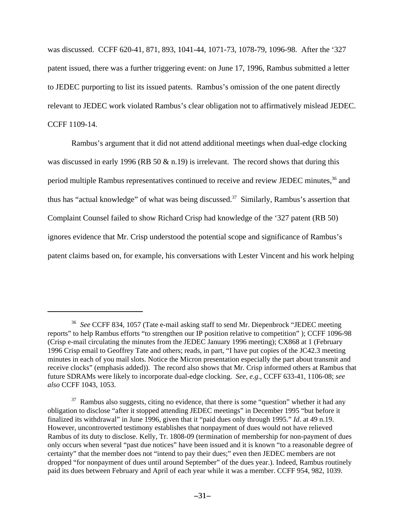was discussed. CCFF 620-41, 871, 893, 1041-44, 1071-73, 1078-79, 1096-98. After the '327 patent issued, there was a further triggering event: on June 17, 1996, Rambus submitted a letter to JEDEC purporting to list its issued patents. Rambus's omission of the one patent directly relevant to JEDEC work violated Rambus's clear obligation not to affirmatively mislead JEDEC. CCFF 1109-14.

Rambus's argument that it did not attend additional meetings when dual-edge clocking was discussed in early 1996 (RB 50  $\&$  n.19) is irrelevant. The record shows that during this period multiple Rambus representatives continued to receive and review JEDEC minutes,<sup>36</sup> and thus has "actual knowledge" of what was being discussed.<sup>37</sup> Similarly, Rambus's assertion that Complaint Counsel failed to show Richard Crisp had knowledge of the '327 patent (RB 50) ignores evidence that Mr. Crisp understood the potential scope and significance of Rambus's patent claims based on, for example, his conversations with Lester Vincent and his work helping

<sup>36</sup> *See* CCFF 834, 1057 (Tate e-mail asking staff to send Mr. Diepenbrock "JEDEC meeting reports" to help Rambus efforts "to strengthen our IP position relative to competition" ); CCFF 1096-98 (Crisp e-mail circulating the minutes from the JEDEC January 1996 meeting); CX868 at 1 (February 1996 Crisp email to Geoffrey Tate and others; reads, in part, "I have put copies of the JC42.3 meeting minutes in each of you mail slots. Notice the Micron presentation especially the part about transmit and receive clocks" (emphasis added)). The record also shows that Mr. Crisp informed others at Rambus that future SDRAMs were likely to incorporate dual-edge clocking. *See, e.g*., CCFF 633-41, 1106-08; *see also* CCFF 1043, 1053.

 $37$  Rambus also suggests, citing no evidence, that there is some "question" whether it had any obligation to disclose "after it stopped attending JEDEC meetings" in December 1995 "but before it finalized its withdrawal" in June 1996, given that it "paid dues only through 1995." *Id*. at 49 n.19. However, uncontroverted testimony establishes that nonpayment of dues would not have relieved Rambus of its duty to disclose. Kelly, Tr. 1808-09 (termination of membership for non-payment of dues only occurs when several "past due notices" have been issued and it is known "to a reasonable degree of certainty" that the member does not "intend to pay their dues;" even then JEDEC members are not dropped "for nonpayment of dues until around September" of the dues year.). Indeed, Rambus routinely paid its dues between February and April of each year while it was a member. CCFF 954, 982, 1039.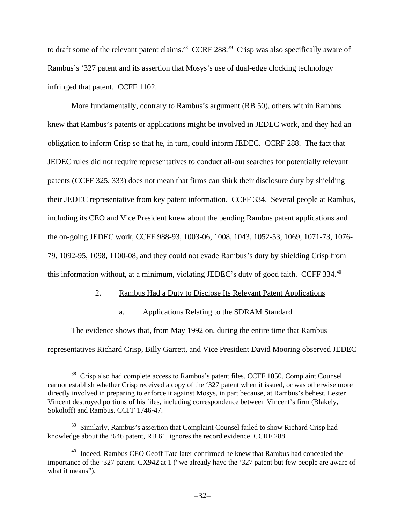to draft some of the relevant patent claims.<sup>38</sup> CCRF 288.<sup>39</sup> Crisp was also specifically aware of Rambus's '327 patent and its assertion that Mosys's use of dual-edge clocking technology infringed that patent. CCFF 1102.

More fundamentally, contrary to Rambus's argument (RB 50), others within Rambus knew that Rambus's patents or applications might be involved in JEDEC work, and they had an obligation to inform Crisp so that he, in turn, could inform JEDEC. CCRF 288. The fact that JEDEC rules did not require representatives to conduct all-out searches for potentially relevant patents (CCFF 325, 333) does not mean that firms can shirk their disclosure duty by shielding their JEDEC representative from key patent information. CCFF 334. Several people at Rambus, including its CEO and Vice President knew about the pending Rambus patent applications and the on-going JEDEC work, CCFF 988-93, 1003-06, 1008, 1043, 1052-53, 1069, 1071-73, 1076- 79, 1092-95, 1098, 1100-08, and they could not evade Rambus's duty by shielding Crisp from this information without, at a minimum, violating JEDEC's duty of good faith. CCFF 334.<sup>40</sup>

## 2. Rambus Had a Duty to Disclose Its Relevant Patent Applications

## a. Applications Relating to the SDRAM Standard

The evidence shows that, from May 1992 on, during the entire time that Rambus representatives Richard Crisp, Billy Garrett, and Vice President David Mooring observed JEDEC

<sup>&</sup>lt;sup>38</sup> Crisp also had complete access to Rambus's patent files. CCFF 1050. Complaint Counsel cannot establish whether Crisp received a copy of the '327 patent when it issued, or was otherwise more directly involved in preparing to enforce it against Mosys, in part because, at Rambus's behest, Lester Vincent destroyed portions of his files, including correspondence between Vincent's firm (Blakely, Sokoloff) and Rambus. CCFF 1746-47.

<sup>&</sup>lt;sup>39</sup> Similarly, Rambus's assertion that Complaint Counsel failed to show Richard Crisp had knowledge about the '646 patent, RB 61, ignores the record evidence. CCRF 288.

<sup>&</sup>lt;sup>40</sup> Indeed, Rambus CEO Geoff Tate later confirmed he knew that Rambus had concealed the importance of the '327 patent. CX942 at 1 ("we already have the '327 patent but few people are aware of what it means").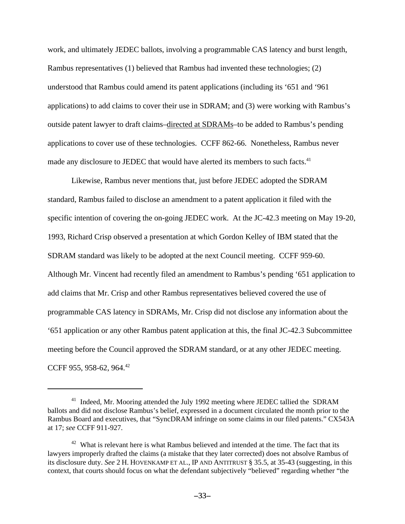work, and ultimately JEDEC ballots, involving a programmable CAS latency and burst length, Rambus representatives (1) believed that Rambus had invented these technologies; (2) understood that Rambus could amend its patent applications (including its '651 and '961 applications) to add claims to cover their use in SDRAM; and (3) were working with Rambus's outside patent lawyer to draft claims–directed at SDRAMs–to be added to Rambus's pending applications to cover use of these technologies. CCFF 862-66. Nonetheless, Rambus never made any disclosure to JEDEC that would have alerted its members to such facts.<sup>41</sup>

Likewise, Rambus never mentions that, just before JEDEC adopted the SDRAM standard, Rambus failed to disclose an amendment to a patent application it filed with the specific intention of covering the on-going JEDEC work. At the JC-42.3 meeting on May 19-20, 1993, Richard Crisp observed a presentation at which Gordon Kelley of IBM stated that the SDRAM standard was likely to be adopted at the next Council meeting. CCFF 959-60. Although Mr. Vincent had recently filed an amendment to Rambus's pending '651 application to add claims that Mr. Crisp and other Rambus representatives believed covered the use of programmable CAS latency in SDRAMs, Mr. Crisp did not disclose any information about the '651 application or any other Rambus patent application at this, the final JC-42.3 Subcommittee meeting before the Council approved the SDRAM standard, or at any other JEDEC meeting. CCFF 955, 958-62, 964.<sup>42</sup>

<sup>&</sup>lt;sup>41</sup> Indeed, Mr. Mooring attended the July 1992 meeting where JEDEC tallied the SDRAM ballots and did not disclose Rambus's belief, expressed in a document circulated the month prior to the Rambus Board and executives, that "SyncDRAM infringe on some claims in our filed patents." CX543A at 17; *see* CCFF 911-927.

 $42$  What is relevant here is what Rambus believed and intended at the time. The fact that its lawyers improperly drafted the claims (a mistake that they later corrected) does not absolve Rambus of its disclosure duty. *See* 2 H. HOVENKAMP ET AL., IP AND ANTITRUST § 35.5, at 35-43 (suggesting, in this context, that courts should focus on what the defendant subjectively "believed" regarding whether "the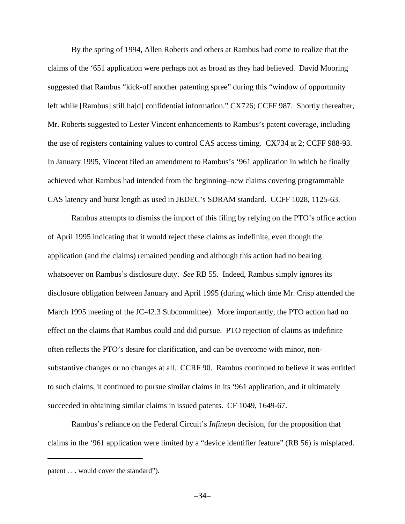By the spring of 1994, Allen Roberts and others at Rambus had come to realize that the claims of the '651 application were perhaps not as broad as they had believed. David Mooring suggested that Rambus "kick-off another patenting spree" during this "window of opportunity left while [Rambus] still ha[d] confidential information." CX726; CCFF 987. Shortly thereafter, Mr. Roberts suggested to Lester Vincent enhancements to Rambus's patent coverage, including the use of registers containing values to control CAS access timing. CX734 at 2; CCFF 988-93. In January 1995, Vincent filed an amendment to Rambus's '961 application in which he finally achieved what Rambus had intended from the beginning–new claims covering programmable CAS latency and burst length as used in JEDEC's SDRAM standard. CCFF 1028, 1125-63.

Rambus attempts to dismiss the import of this filing by relying on the PTO's office action of April 1995 indicating that it would reject these claims as indefinite, even though the application (and the claims) remained pending and although this action had no bearing whatsoever on Rambus's disclosure duty. *See* RB 55. Indeed, Rambus simply ignores its disclosure obligation between January and April 1995 (during which time Mr. Crisp attended the March 1995 meeting of the JC-42.3 Subcommittee). More importantly, the PTO action had no effect on the claims that Rambus could and did pursue. PTO rejection of claims as indefinite often reflects the PTO's desire for clarification, and can be overcome with minor, nonsubstantive changes or no changes at all. CCRF 90. Rambus continued to believe it was entitled to such claims, it continued to pursue similar claims in its '961 application, and it ultimately succeeded in obtaining similar claims in issued patents. CF 1049, 1649-67.

Rambus's reliance on the Federal Circuit's *Infineon* decision, for the proposition that claims in the '961 application were limited by a "device identifier feature" (RB 56) is misplaced.

patent . . . would cover the standard").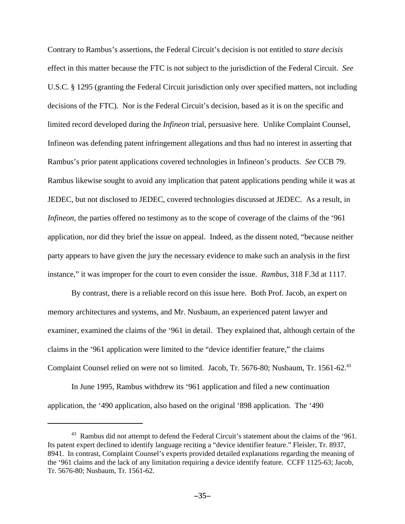Contrary to Rambus's assertions, the Federal Circuit's decision is not entitled to *stare decisis* effect in this matter because the FTC is not subject to the jurisdiction of the Federal Circuit. *See* U.S.C. § 1295 (granting the Federal Circuit jurisdiction only over specified matters, not including decisions of the FTC). Nor is the Federal Circuit's decision, based as it is on the specific and limited record developed during the *Infineon* trial, persuasive here. Unlike Complaint Counsel, Infineon was defending patent infringement allegations and thus had no interest in asserting that Rambus's prior patent applications covered technologies in Infineon's products. *See* CCB 79. Rambus likewise sought to avoid any implication that patent applications pending while it was at JEDEC, but not disclosed to JEDEC, covered technologies discussed at JEDEC. As a result, in *Infineon*, the parties offered no testimony as to the scope of coverage of the claims of the '961 application, nor did they brief the issue on appeal. Indeed, as the dissent noted, "because neither party appears to have given the jury the necessary evidence to make such an analysis in the first instance," it was improper for the court to even consider the issue. *Rambus*, 318 F.3d at 1117.

By contrast, there is a reliable record on this issue here. Both Prof. Jacob, an expert on memory architectures and systems, and Mr. Nusbaum, an experienced patent lawyer and examiner, examined the claims of the '961 in detail. They explained that, although certain of the claims in the '961 application were limited to the "device identifier feature," the claims Complaint Counsel relied on were not so limited. Jacob, Tr. 5676-80; Nusbaum, Tr. 1561-62.<sup>43</sup>

In June 1995, Rambus withdrew its '961 application and filed a new continuation application, the '490 application, also based on the original '898 application. The '490

<sup>&</sup>lt;sup>43</sup> Rambus did not attempt to defend the Federal Circuit's statement about the claims of the '961. Its patent expert declined to identify language reciting a "device identifier feature." Fleisler, Tr. 8937, 8941. In contrast, Complaint Counsel's experts provided detailed explanations regarding the meaning of the '961 claims and the lack of any limitation requiring a device identify feature. CCFF 1125-63; Jacob, Tr. 5676-80; Nusbaum, Tr. 1561-62.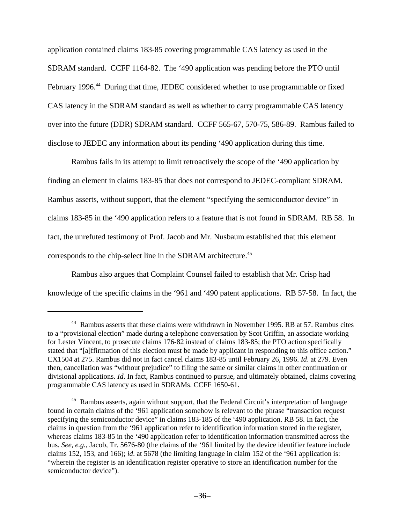application contained claims 183-85 covering programmable CAS latency as used in the SDRAM standard. CCFF 1164-82. The '490 application was pending before the PTO until February 1996.<sup>44</sup> During that time, JEDEC considered whether to use programmable or fixed CAS latency in the SDRAM standard as well as whether to carry programmable CAS latency over into the future (DDR) SDRAM standard. CCFF 565-67, 570-75, 586-89. Rambus failed to disclose to JEDEC any information about its pending '490 application during this time.

Rambus fails in its attempt to limit retroactively the scope of the '490 application by finding an element in claims 183-85 that does not correspond to JEDEC-compliant SDRAM. Rambus asserts, without support, that the element "specifying the semiconductor device" in claims 183-85 in the '490 application refers to a feature that is not found in SDRAM. RB 58. In fact, the unrefuted testimony of Prof. Jacob and Mr. Nusbaum established that this element corresponds to the chip-select line in the SDRAM architecture.<sup>45</sup>

Rambus also argues that Complaint Counsel failed to establish that Mr. Crisp had knowledge of the specific claims in the '961 and '490 patent applications. RB 57-58. In fact, the

<sup>&</sup>lt;sup>44</sup> Rambus asserts that these claims were withdrawn in November 1995. RB at 57. Rambus cites to a "provisional election" made during a telephone conversation by Scot Griffin, an associate working for Lester Vincent, to prosecute claims 176-82 instead of claims 183-85; the PTO action specifically stated that "[a]ffirmation of this election must be made by applicant in responding to this office action." CX1504 at 275. Rambus did not in fact cancel claims 183-85 until February 26, 1996. *Id*. at 279. Even then, cancellation was "without prejudice" to filing the same or similar claims in other continuation or divisional applications. *Id*. In fact, Rambus continued to pursue, and ultimately obtained, claims covering programmable CAS latency as used in SDRAMs. CCFF 1650-61.

<sup>&</sup>lt;sup>45</sup> Rambus asserts, again without support, that the Federal Circuit's interpretation of language found in certain claims of the '961 application somehow is relevant to the phrase "transaction request specifying the semiconductor device" in claims 183-185 of the '490 application. RB 58. In fact, the claims in question from the '961 application refer to identification information stored in the register, whereas claims 183-85 in the '490 application refer to identification information transmitted across the bus. *See, e.g.*, Jacob, Tr. 5676-80 (the claims of the '961 limited by the device identifier feature include claims 152, 153, and 166); *id*. at 5678 (the limiting language in claim 152 of the '961 application is: "wherein the register is an identification register operative to store an identification number for the semiconductor device").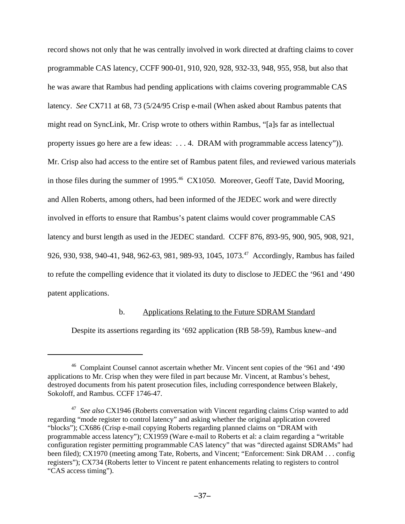record shows not only that he was centrally involved in work directed at drafting claims to cover programmable CAS latency, CCFF 900-01, 910, 920, 928, 932-33, 948, 955, 958, but also that he was aware that Rambus had pending applications with claims covering programmable CAS latency. *See* CX711 at 68, 73 (5/24/95 Crisp e-mail (When asked about Rambus patents that might read on SyncLink, Mr. Crisp wrote to others within Rambus, "[a]s far as intellectual property issues go here are a few ideas: . . . 4. DRAM with programmable access latency")). Mr. Crisp also had access to the entire set of Rambus patent files, and reviewed various materials in those files during the summer of 1995.<sup>46</sup> CX1050. Moreover, Geoff Tate, David Mooring, and Allen Roberts, among others, had been informed of the JEDEC work and were directly involved in efforts to ensure that Rambus's patent claims would cover programmable CAS latency and burst length as used in the JEDEC standard. CCFF 876, 893-95, 900, 905, 908, 921, 926, 930, 938, 940-41, 948, 962-63, 981, 989-93, 1045, 1073.<sup>47</sup> Accordingly, Rambus has failed to refute the compelling evidence that it violated its duty to disclose to JEDEC the '961 and '490 patent applications.

## b. Applications Relating to the Future SDRAM Standard

Despite its assertions regarding its '692 application (RB 58-59), Rambus knew–and

<sup>&</sup>lt;sup>46</sup> Complaint Counsel cannot ascertain whether Mr. Vincent sent copies of the '961 and '490 applications to Mr. Crisp when they were filed in part because Mr. Vincent, at Rambus's behest, destroyed documents from his patent prosecution files, including correspondence between Blakely, Sokoloff, and Rambus. CCFF 1746-47.

<sup>47</sup> *See also* CX1946 (Roberts conversation with Vincent regarding claims Crisp wanted to add regarding "mode register to control latency" and asking whether the original application covered "blocks"); CX686 (Crisp e-mail copying Roberts regarding planned claims on "DRAM with programmable access latency"); CX1959 (Ware e-mail to Roberts et al: a claim regarding a "writable configuration register permitting programmable CAS latency" that was "directed against SDRAMs" had been filed); CX1970 (meeting among Tate, Roberts, and Vincent; "Enforcement: Sink DRAM . . . config registers"); CX734 (Roberts letter to Vincent re patent enhancements relating to registers to control "CAS access timing").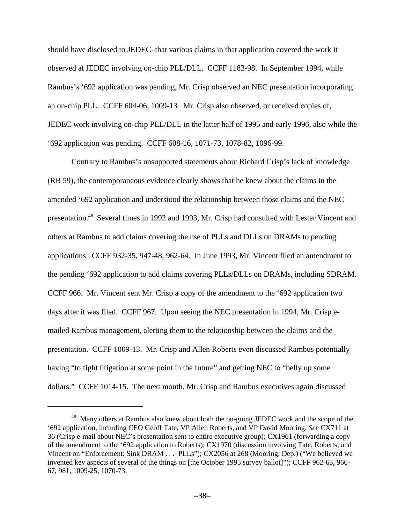should have disclosed to JEDEC–that various claims in that application covered the work it observed at JEDEC involving on-chip PLL/DLL. CCFF 1183-98. In September 1994, while Rambus's '692 application was pending, Mr. Crisp observed an NEC presentation incorporating an on-chip PLL. CCFF 604-06, 1009-13. Mr. Crisp also observed, or received copies of, JEDEC work involving on-chip PLL/DLL in the latter half of 1995 and early 1996, also while the '692 application was pending. CCFF 608-16, 1071-73, 1078-82, 1096-99.

Contrary to Rambus's unsupported statements about Richard Crisp's lack of knowledge (RB 59), the contemporaneous evidence clearly shows that he knew about the claims in the amended '692 application and understood the relationship between those claims and the NEC presentation.<sup>48</sup> Several times in 1992 and 1993, Mr. Crisp had consulted with Lester Vincent and others at Rambus to add claims covering the use of PLLs and DLLs on DRAMs to pending applications. CCFF 932-35, 947-48, 962-64. In June 1993, Mr. Vincent filed an amendment to the pending '692 application to add claims covering PLLs/DLLs on DRAMs, including SDRAM. CCFF 966. Mr. Vincent sent Mr. Crisp a copy of the amendment to the '692 application two days after it was filed. CCFF 967. Upon seeing the NEC presentation in 1994, Mr. Crisp emailed Rambus management, alerting them to the relationship between the claims and the presentation. CCFF 1009-13. Mr. Crisp and Allen Roberts even discussed Rambus potentially having "to fight litigation at some point in the future" and getting NEC to "belly up some dollars." CCFF 1014-15. The next month, Mr. Crisp and Rambus executives again discussed

<sup>&</sup>lt;sup>48</sup> Many others at Rambus also knew about both the on-going JEDEC work and the scope of the '692 application, including CEO Geoff Tate, VP Allen Roberts, and VP David Mooring. *See* CX711 at 36 (Crisp e-mail about NEC's presentation sent to entire executive group); CX1961 (forwarding a copy of the amendment to the '692 application to Roberts); CX1970 (discussion involving Tate, Roberts, and Vincent on "Enforcement: Sink DRAM . . . PLLs"); CX2056 at 268 (Mooring, Dep.) ("We believed we invented key aspects of several of the things on [the October 1995 survey ballot]"); CCFF 962-63, 966- 67, 981, 1009-25, 1070-73.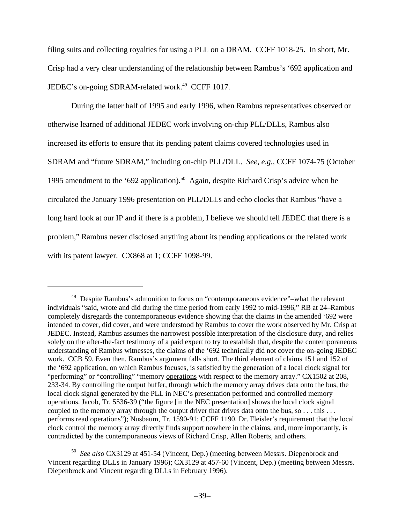filing suits and collecting royalties for using a PLL on a DRAM. CCFF 1018-25. In short, Mr. Crisp had a very clear understanding of the relationship between Rambus's '692 application and JEDEC's on-going SDRAM-related work.<sup>49</sup> CCFF 1017.

During the latter half of 1995 and early 1996, when Rambus representatives observed or otherwise learned of additional JEDEC work involving on-chip PLL/DLLs, Rambus also increased its efforts to ensure that its pending patent claims covered technologies used in SDRAM and "future SDRAM," including on-chip PLL/DLL. *See, e.g.,* CCFF 1074-75 (October 1995 amendment to the '692 application).<sup>50</sup> Again, despite Richard Crisp's advice when he circulated the January 1996 presentation on PLL/DLLs and echo clocks that Rambus "have a long hard look at our IP and if there is a problem, I believe we should tell JEDEC that there is a problem," Rambus never disclosed anything about its pending applications or the related work with its patent lawyer. CX868 at 1; CCFF 1098-99.

<sup>&</sup>lt;sup>49</sup> Despite Rambus's admonition to focus on "contemporaneous evidence"–what the relevant individuals "said, wrote and did during the time period from early 1992 to mid-1996," RB at 24–Rambus completely disregards the contemporaneous evidence showing that the claims in the amended '692 were intended to cover, did cover, and were understood by Rambus to cover the work observed by Mr. Crisp at JEDEC. Instead, Rambus assumes the narrowest possible interpretation of the disclosure duty, and relies solely on the after-the-fact testimony of a paid expert to try to establish that, despite the contemporaneous understanding of Rambus witnesses, the claims of the '692 technically did not cover the on-going JEDEC work. CCB 59. Even then, Rambus's argument falls short. The third element of claims 151 and 152 of the '692 application, on which Rambus focuses, is satisfied by the generation of a local clock signal for "performing" or "controlling" "memory operations with respect to the memory array." CX1502 at 208, 233-34. By controlling the output buffer, through which the memory array drives data onto the bus, the local clock signal generated by the PLL in NEC's presentation performed and controlled memory operations. Jacob, Tr. 5536-39 ("the figure [in the NEC presentation] shows the local clock signal coupled to the memory array through the output driver that drives data onto the bus, so . . . this . . . performs read operations"); Nusbaum, Tr. 1590-91; CCFF 1190. Dr. Fleisler's requirement that the local clock control the memory array directly finds support nowhere in the claims, and, more importantly, is contradicted by the contemporaneous views of Richard Crisp, Allen Roberts, and others.

<sup>50</sup> *See also* CX3129 at 451-54 (Vincent, Dep.) (meeting between Messrs. Diepenbrock and Vincent regarding DLLs in January 1996); CX3129 at 457-60 (Vincent, Dep.) (meeting between Messrs. Diepenbrock and Vincent regarding DLLs in February 1996).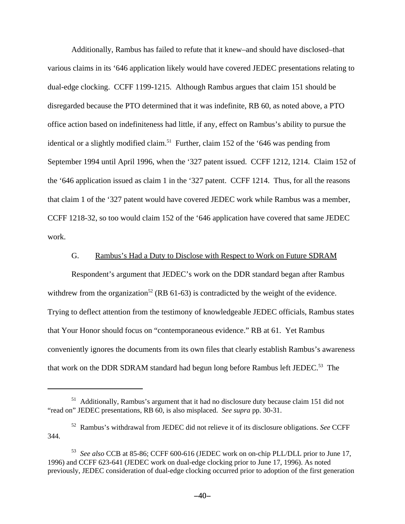Additionally, Rambus has failed to refute that it knew–and should have disclosed–that various claims in its '646 application likely would have covered JEDEC presentations relating to dual-edge clocking. CCFF 1199-1215. Although Rambus argues that claim 151 should be disregarded because the PTO determined that it was indefinite, RB 60, as noted above, a PTO office action based on indefiniteness had little, if any, effect on Rambus's ability to pursue the identical or a slightly modified claim.<sup>51</sup> Further, claim 152 of the '646 was pending from September 1994 until April 1996, when the '327 patent issued. CCFF 1212, 1214. Claim 152 of the '646 application issued as claim 1 in the '327 patent. CCFF 1214. Thus, for all the reasons that claim 1 of the '327 patent would have covered JEDEC work while Rambus was a member, CCFF 1218-32, so too would claim 152 of the '646 application have covered that same JEDEC work.

## G. Rambus's Had a Duty to Disclose with Respect to Work on Future SDRAM

Respondent's argument that JEDEC's work on the DDR standard began after Rambus withdrew from the organization<sup>52</sup> (RB 61-63) is contradicted by the weight of the evidence. Trying to deflect attention from the testimony of knowledgeable JEDEC officials, Rambus states that Your Honor should focus on "contemporaneous evidence." RB at 61. Yet Rambus conveniently ignores the documents from its own files that clearly establish Rambus's awareness that work on the DDR SDRAM standard had begun long before Rambus left JEDEC.<sup>53</sup> The

<sup>&</sup>lt;sup>51</sup> Additionally, Rambus's argument that it had no disclosure duty because claim 151 did not "read on" JEDEC presentations, RB 60, is also misplaced. *See supra* pp. 30-31.

<sup>52</sup> Rambus's withdrawal from JEDEC did not relieve it of its disclosure obligations. *See* CCFF 344.

<sup>53</sup> *See also* CCB at 85-86; CCFF 600-616 (JEDEC work on on-chip PLL/DLL prior to June 17, 1996) and CCFF 623-641 (JEDEC work on dual-edge clocking prior to June 17, 1996). As noted previously, JEDEC consideration of dual-edge clocking occurred prior to adoption of the first generation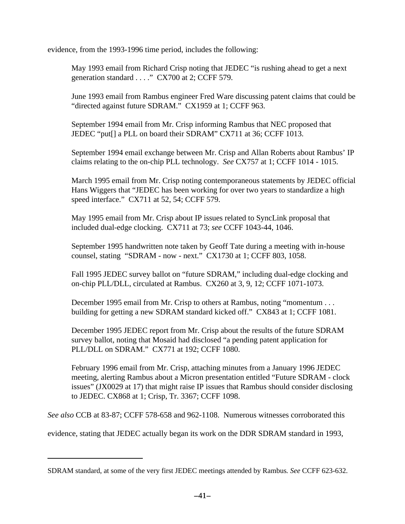evidence, from the 1993-1996 time period, includes the following:

May 1993 email from Richard Crisp noting that JEDEC "is rushing ahead to get a next generation standard  $\ldots$ ." CX700 at 2; CCFF 579.

June 1993 email from Rambus engineer Fred Ware discussing patent claims that could be "directed against future SDRAM." CX1959 at 1; CCFF 963.

September 1994 email from Mr. Crisp informing Rambus that NEC proposed that JEDEC "put[] a PLL on board their SDRAM" CX711 at 36; CCFF 1013.

September 1994 email exchange between Mr. Crisp and Allan Roberts about Rambus' IP claims relating to the on-chip PLL technology. *See* CX757 at 1; CCFF 1014 - 1015.

March 1995 email from Mr. Crisp noting contemporaneous statements by JEDEC official Hans Wiggers that "JEDEC has been working for over two years to standardize a high speed interface." CX711 at 52, 54; CCFF 579.

May 1995 email from Mr. Crisp about IP issues related to SyncLink proposal that included dual-edge clocking. CX711 at 73; *see* CCFF 1043-44, 1046.

September 1995 handwritten note taken by Geoff Tate during a meeting with in-house counsel, stating "SDRAM - now - next." CX1730 at 1; CCFF 803, 1058.

Fall 1995 JEDEC survey ballot on "future SDRAM," including dual-edge clocking and on-chip PLL/DLL, circulated at Rambus. CX260 at 3, 9, 12; CCFF 1071-1073.

December 1995 email from Mr. Crisp to others at Rambus, noting "momentum . . . building for getting a new SDRAM standard kicked off." CX843 at 1; CCFF 1081.

December 1995 JEDEC report from Mr. Crisp about the results of the future SDRAM survey ballot, noting that Mosaid had disclosed "a pending patent application for PLL/DLL on SDRAM." CX771 at 192; CCFF 1080.

February 1996 email from Mr. Crisp, attaching minutes from a January 1996 JEDEC meeting, alerting Rambus about a Micron presentation entitled "Future SDRAM - clock issues" (JX0029 at 17) that might raise IP issues that Rambus should consider disclosing to JEDEC. CX868 at 1; Crisp, Tr. 3367; CCFF 1098.

*See also* CCB at 83-87; CCFF 578-658 and 962-1108. Numerous witnesses corroborated this

evidence, stating that JEDEC actually began its work on the DDR SDRAM standard in 1993,

SDRAM standard, at some of the very first JEDEC meetings attended by Rambus*. See* CCFF 623-632.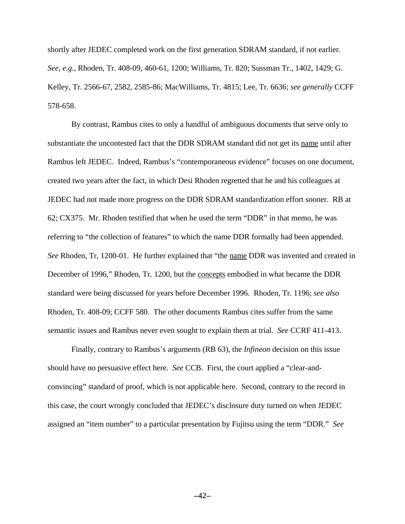shortly after JEDEC completed work on the first generation SDRAM standard, if not earlier. *See, e.g.*, Rhoden, Tr. 408-09, 460-61, 1200; Williams, Tr. 820; Sussman Tr., 1402, 1429; G. Kelley, Tr. 2566-67, 2582, 2585-86; MacWilliams, Tr. 4815; Lee, Tr. 6636; *see generally* CCFF 578-658.

By contrast, Rambus cites to only a handful of ambiguous documents that serve only to substantiate the uncontested fact that the DDR SDRAM standard did not get its name until after Rambus left JEDEC. Indeed, Rambus's "contemporaneous evidence" focuses on one document, created two years after the fact, in which Desi Rhoden regretted that he and his colleagues at JEDEC had not made more progress on the DDR SDRAM standardization effort sooner. RB at 62; CX375. Mr. Rhoden testified that when he used the term "DDR" in that memo, he was referring to "the collection of features" to which the name DDR formally had been appended. *See* Rhoden, Tr, 1200-01. He further explained that "the name DDR was invented and created in December of 1996," Rhoden, Tr. 1200, but the concepts embodied in what became the DDR standard were being discussed for years before December 1996. Rhoden, Tr. 1196; *see also* Rhoden, Tr. 408-09; CCFF 580. The other documents Rambus cites suffer from the same semantic issues and Rambus never even sought to explain them at trial. *See* CCRF 411-413.

Finally, contrary to Rambus's arguments (RB 63), the *Infineon* decision on this issue should have no persuasive effect here. *See* CCB. First, the court applied a "clear-andconvincing" standard of proof, which is not applicable here. Second, contrary to the record in this case, the court wrongly concluded that JEDEC's disclosure duty turned on when JEDEC assigned an "item number" to a particular presentation by Fujitsu using the term "DDR." *See*

 $-42-$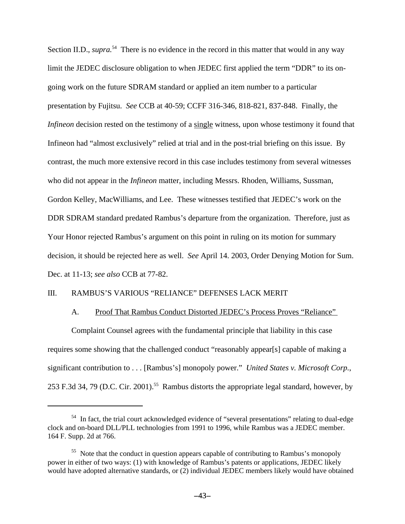Section II.D., *supra*<sup>54</sup> There is no evidence in the record in this matter that would in any way limit the JEDEC disclosure obligation to when JEDEC first applied the term "DDR" to its ongoing work on the future SDRAM standard or applied an item number to a particular presentation by Fujitsu. *See* CCB at 40-59; CCFF 316-346, 818-821, 837-848. Finally, the *Infineon* decision rested on the testimony of a single witness, upon whose testimony it found that Infineon had "almost exclusively" relied at trial and in the post-trial briefing on this issue. By contrast, the much more extensive record in this case includes testimony from several witnesses who did not appear in the *Infineon* matter, including Messrs. Rhoden, Williams, Sussman, Gordon Kelley, MacWilliams, and Lee. These witnesses testified that JEDEC's work on the DDR SDRAM standard predated Rambus's departure from the organization. Therefore, just as Your Honor rejected Rambus's argument on this point in ruling on its motion for summary decision, it should be rejected here as well. *See* April 14. 2003, Order Denying Motion for Sum. Dec. at 11-13; *see also* CCB at 77-82.

## III. RAMBUS'S VARIOUS "RELIANCE" DEFENSES LACK MERIT

## A. Proof That Rambus Conduct Distorted JEDEC's Process Proves "Reliance"

Complaint Counsel agrees with the fundamental principle that liability in this case requires some showing that the challenged conduct "reasonably appear[s] capable of making a significant contribution to . . . [Rambus's] monopoly power." *United States v. Microsoft Corp.*, 253 F.3d 34, 79 (D.C. Cir. 2001).<sup>55</sup> Rambus distorts the appropriate legal standard, however, by

<sup>&</sup>lt;sup>54</sup> In fact, the trial court acknowledged evidence of "several presentations" relating to dual-edge clock and on-board DLL/PLL technologies from 1991 to 1996, while Rambus was a JEDEC member. 164 F. Supp. 2d at 766.

<sup>&</sup>lt;sup>55</sup> Note that the conduct in question appears capable of contributing to Rambus's monopoly power in either of two ways: (1) with knowledge of Rambus's patents or applications, JEDEC likely would have adopted alternative standards, or (2) individual JEDEC members likely would have obtained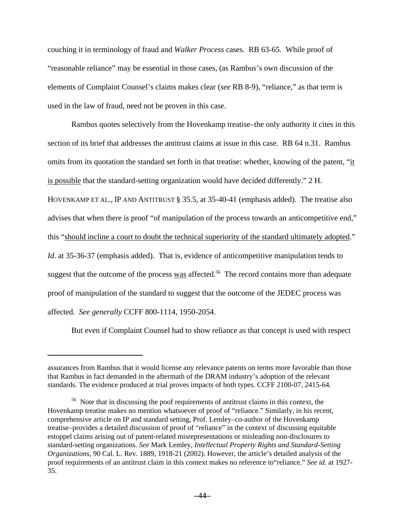couching it in terminology of fraud and *Walker Process* cases. RB 63-65. While proof of "reasonable reliance" may be essential in those cases, (as Rambus's own discussion of the elements of Complaint Counsel's claims makes clear (*see* RB 8-9), "reliance," as that term is used in the law of fraud, need not be proven in this case.

Rambus quotes selectively from the Hovenkamp treatise–the only authority it cites in this section of its brief that addresses the antitrust claims at issue in this case. RB 64 n.31. Rambus omits from its quotation the standard set forth in that treatise: whether, knowing of the patent, "it is possible that the standard-setting organization would have decided differently." 2 H.

HOVENKAMP ET AL., IP AND ANTITRUST § 35.5, at 35-40-41 (emphasis added). The treatise also advises that when there is proof "of manipulation of the process towards an anticompetitive end," this "should incline a court to doubt the technical superiority of the standard ultimately adopted." *Id.* at 35-36-37 (emphasis added). That is, evidence of anticompetitive manipulation tends to suggest that the outcome of the process was affected.<sup>56</sup> The record contains more than adequate

proof of manipulation of the standard to suggest that the outcome of the JEDEC process was

affected. *See generally* CCFF 800-1114, 1950-2054.

But even if Complaint Counsel had to show reliance as that concept is used with respect

assurances from Rambus that it would license any relevance patents on terms more favorable than those that Rambus in fact demanded in the aftermath of the DRAM industry's adoption of the relevant standards. The evidence produced at trial proves impacts of both types. CCFF 2100-07, 2415-64.

<sup>&</sup>lt;sup>56</sup> Note that in discussing the poof requirements of antitrust claims in this context, the Hovenkamp treatise makes no mention whatsoever of proof of "reliance." Similarly, in his recent, comprehensive article on IP and standard setting, Prof. Lemley–co-author of the Hovenkamp treatise–provides a detailed discussion of proof of "reliance" in the context of discussing equitable estoppel claims arising out of patent-related misrepresentations or misleading non-disclosures to standard-setting organizations. *See* Mark Lemley, *Intellectual Property Rights and Standard-Setting Organizations*, 90 Cal. L. Rev. 1889, 1918-21 (2002). However, the article's detailed analysis of the proof requirements of an antitrust claim in this context makes no reference to"reliance." *See id.* at 1927- 35.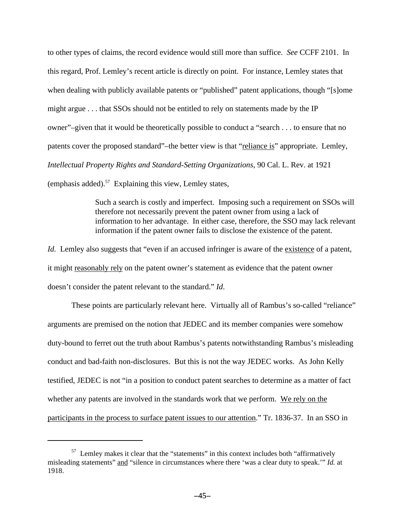to other types of claims, the record evidence would still more than suffice. *See* CCFF 2101. In this regard, Prof. Lemley's recent article is directly on point. For instance, Lemley states that when dealing with publicly available patents or "published" patent applications, though "[s]ome might argue . . . that SSOs should not be entitled to rely on statements made by the IP owner"–given that it would be theoretically possible to conduct a "search . . . to ensure that no patents cover the proposed standard"–the better view is that "reliance is" appropriate. Lemley, *Intellectual Property Rights and Standard-Setting Organizations*, 90 Cal. L. Rev. at 1921 (emphasis added). $57$  Explaining this view, Lemley states,

> Such a search is costly and imperfect. Imposing such a requirement on SSOs will therefore not necessarily prevent the patent owner from using a lack of information to her advantage. In either case, therefore, the SSO may lack relevant information if the patent owner fails to disclose the existence of the patent.

*Id.* Lemley also suggests that "even if an accused infringer is aware of the existence of a patent, it might reasonably rely on the patent owner's statement as evidence that the patent owner doesn't consider the patent relevant to the standard." *Id*.

These points are particularly relevant here. Virtually all of Rambus's so-called "reliance" arguments are premised on the notion that JEDEC and its member companies were somehow duty-bound to ferret out the truth about Rambus's patents notwithstanding Rambus's misleading conduct and bad-faith non-disclosures. But this is not the way JEDEC works. As John Kelly testified, JEDEC is not "in a position to conduct patent searches to determine as a matter of fact whether any patents are involved in the standards work that we perform. We rely on the participants in the process to surface patent issues to our attention." Tr. 1836-37. In an SSO in

<sup>&</sup>lt;sup>57</sup> Lemley makes it clear that the "statements" in this context includes both "affirmatively misleading statements" and "silence in circumstances where there 'was a clear duty to speak.'" *Id.* at 1918.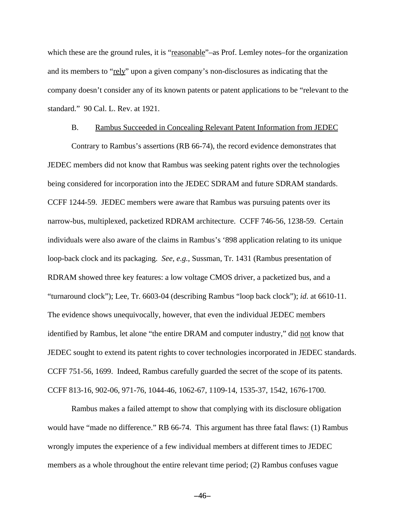which these are the ground rules, it is "reasonable"–as Prof. Lemley notes–for the organization and its members to "rely" upon a given company's non-disclosures as indicating that the company doesn't consider any of its known patents or patent applications to be "relevant to the standard." 90 Cal. L. Rev. at 1921.

#### B. Rambus Succeeded in Concealing Relevant Patent Information from JEDEC

Contrary to Rambus's assertions (RB 66-74), the record evidence demonstrates that JEDEC members did not know that Rambus was seeking patent rights over the technologies being considered for incorporation into the JEDEC SDRAM and future SDRAM standards. CCFF 1244-59. JEDEC members were aware that Rambus was pursuing patents over its narrow-bus, multiplexed, packetized RDRAM architecture. CCFF 746-56, 1238-59. Certain individuals were also aware of the claims in Rambus's '898 application relating to its unique loop-back clock and its packaging. *See, e.g.*, Sussman, Tr. 1431 (Rambus presentation of RDRAM showed three key features: a low voltage CMOS driver, a packetized bus, and a "turnaround clock"); Lee, Tr. 6603-04 (describing Rambus "loop back clock"); *id*. at 6610-11. The evidence shows unequivocally, however, that even the individual JEDEC members identified by Rambus, let alone "the entire DRAM and computer industry," did not know that JEDEC sought to extend its patent rights to cover technologies incorporated in JEDEC standards. CCFF 751-56, 1699. Indeed, Rambus carefully guarded the secret of the scope of its patents. CCFF 813-16, 902-06, 971-76, 1044-46, 1062-67, 1109-14, 1535-37, 1542, 1676-1700.

Rambus makes a failed attempt to show that complying with its disclosure obligation would have "made no difference." RB 66-74. This argument has three fatal flaws: (1) Rambus wrongly imputes the experience of a few individual members at different times to JEDEC members as a whole throughout the entire relevant time period; (2) Rambus confuses vague

 $-46-$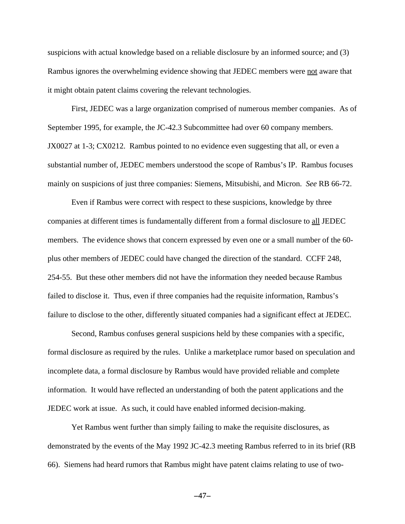suspicions with actual knowledge based on a reliable disclosure by an informed source; and (3) Rambus ignores the overwhelming evidence showing that JEDEC members were not aware that it might obtain patent claims covering the relevant technologies.

First, JEDEC was a large organization comprised of numerous member companies. As of September 1995, for example, the JC-42.3 Subcommittee had over 60 company members. JX0027 at 1-3; CX0212. Rambus pointed to no evidence even suggesting that all, or even a substantial number of, JEDEC members understood the scope of Rambus's IP. Rambus focuses mainly on suspicions of just three companies: Siemens, Mitsubishi, and Micron. *See* RB 66-72.

Even if Rambus were correct with respect to these suspicions, knowledge by three companies at different times is fundamentally different from a formal disclosure to all JEDEC members. The evidence shows that concern expressed by even one or a small number of the 60 plus other members of JEDEC could have changed the direction of the standard. CCFF 248, 254-55. But these other members did not have the information they needed because Rambus failed to disclose it. Thus, even if three companies had the requisite information, Rambus's failure to disclose to the other, differently situated companies had a significant effect at JEDEC.

Second, Rambus confuses general suspicions held by these companies with a specific, formal disclosure as required by the rules. Unlike a marketplace rumor based on speculation and incomplete data, a formal disclosure by Rambus would have provided reliable and complete information. It would have reflected an understanding of both the patent applications and the JEDEC work at issue. As such, it could have enabled informed decision-making.

Yet Rambus went further than simply failing to make the requisite disclosures, as demonstrated by the events of the May 1992 JC-42.3 meeting Rambus referred to in its brief (RB 66). Siemens had heard rumors that Rambus might have patent claims relating to use of two-

 $-47-$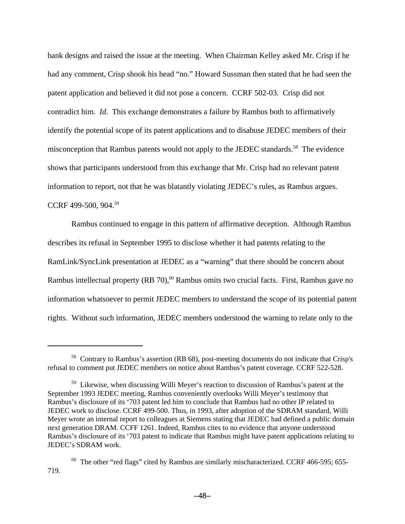bank designs and raised the issue at the meeting. When Chairman Kelley asked Mr. Crisp if he had any comment, Crisp shook his head "no." Howard Sussman then stated that he had seen the patent application and believed it did not pose a concern. CCRF 502-03. Crisp did not contradict him. *Id*. This exchange demonstrates a failure by Rambus both to affirmatively identify the potential scope of its patent applications and to disabuse JEDEC members of their misconception that Rambus patents would not apply to the JEDEC standards.<sup>58</sup> The evidence shows that participants understood from this exchange that Mr. Crisp had no relevant patent information to report, not that he was blatantly violating JEDEC's rules, as Rambus argues. CCRF 499-500, 904.<sup>59</sup>

Rambus continued to engage in this pattern of affirmative deception. Although Rambus describes its refusal in September 1995 to disclose whether it had patents relating to the RamLink/SyncLink presentation at JEDEC as a "warning" that there should be concern about Rambus intellectual property (RB 70),<sup>60</sup> Rambus omits two crucial facts. First, Rambus gave no information whatsoever to permit JEDEC members to understand the scope of its potential patent rights. Without such information, JEDEC members understood the warning to relate only to the

<sup>&</sup>lt;sup>58</sup> Contrary to Rambus's assertion (RB 68), post-meeting documents do not indicate that Crisp's refusal to comment put JEDEC members on notice about Rambus's patent coverage. CCRF 522-528.

<sup>&</sup>lt;sup>59</sup> Likewise, when discussing Willi Meyer's reaction to discussion of Rambus's patent at the September 1993 JEDEC meeting, Rambus conveniently overlooks Willi Meyer's testimony that Rambus's disclosure of its '703 patent led him to conclude that Rambus had no other IP related to JEDEC work to disclose. CCRF 499-500. Thus, in 1993, after adoption of the SDRAM standard, Willi Meyer wrote an internal report to colleagues at Siemens stating that JEDEC had defined a public domain next generation DRAM. CCFF 1261. Indeed, Rambus cites to no evidence that anyone understood Rambus's disclosure of its '703 patent to indicate that Rambus might have patent applications relating to JEDEC's SDRAM work.

 $60$  The other "red flags" cited by Rambus are similarly mischaracterized. CCRF 466-595; 655-719.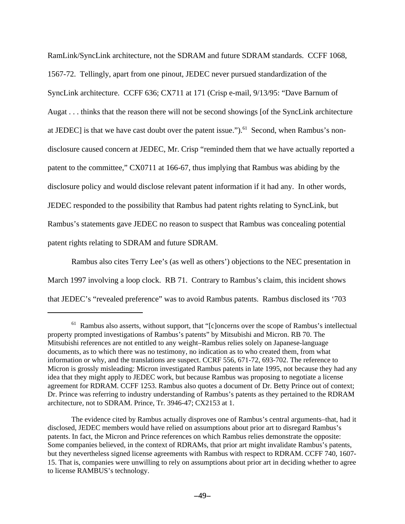RamLink/SyncLink architecture, not the SDRAM and future SDRAM standards. CCFF 1068, 1567-72. Tellingly, apart from one pinout, JEDEC never pursued standardization of the SyncLink architecture. CCFF 636; CX711 at 171 (Crisp e-mail, 9/13/95: "Dave Barnum of Augat . . . thinks that the reason there will not be second showings [of the SyncLink architecture at JEDEC] is that we have cast doubt over the patent issue.").<sup>61</sup> Second, when Rambus's nondisclosure caused concern at JEDEC, Mr. Crisp "reminded them that we have actually reported a patent to the committee," CX0711 at 166-67, thus implying that Rambus was abiding by the disclosure policy and would disclose relevant patent information if it had any. In other words, JEDEC responded to the possibility that Rambus had patent rights relating to SyncLink, but Rambus's statements gave JEDEC no reason to suspect that Rambus was concealing potential patent rights relating to SDRAM and future SDRAM.

Rambus also cites Terry Lee's (as well as others') objections to the NEC presentation in March 1997 involving a loop clock. RB 71. Contrary to Rambus's claim, this incident shows that JEDEC's "revealed preference" was to avoid Rambus patents. Rambus disclosed its '703

<sup>&</sup>lt;sup>61</sup> Rambus also asserts, without support, that "[c]oncerns over the scope of Rambus's intellectual property prompted investigations of Rambus's patents" by Mitsubishi and Micron. RB 70. The Mitsubishi references are not entitled to any weight–Rambus relies solely on Japanese-language documents, as to which there was no testimony, no indication as to who created them, from what information or why, and the translations are suspect. CCRF 556, 671-72, 693-702. The reference to Micron is grossly misleading: Micron investigated Rambus patents in late 1995, not because they had any idea that they might apply to JEDEC work, but because Rambus was proposing to negotiate a license agreement for RDRAM. CCFF 1253. Rambus also quotes a document of Dr. Betty Prince out of context; Dr. Prince was referring to industry understanding of Rambus's patents as they pertained to the RDRAM architecture, not to SDRAM. Prince, Tr. 3946-47; CX2153 at 1.

The evidence cited by Rambus actually disproves one of Rambus's central arguments–that, had it disclosed, JEDEC members would have relied on assumptions about prior art to disregard Rambus's patents. In fact, the Micron and Prince references on which Rambus relies demonstrate the opposite: Some companies believed, in the context of RDRAMs, that prior art might invalidate Rambus's patents, but they nevertheless signed license agreements with Rambus with respect to RDRAM. CCFF 740, 1607- 15. That is, companies were unwilling to rely on assumptions about prior art in deciding whether to agree to license RAMBUS's technology.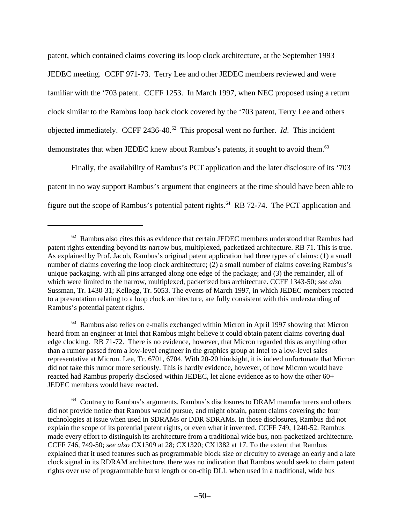patent, which contained claims covering its loop clock architecture, at the September 1993 JEDEC meeting. CCFF 971-73. Terry Lee and other JEDEC members reviewed and were familiar with the '703 patent. CCFF 1253. In March 1997, when NEC proposed using a return clock similar to the Rambus loop back clock covered by the '703 patent, Terry Lee and others objected immediately. CCFF 2436-40.<sup>62</sup> This proposal went no further. *Id*. This incident demonstrates that when JEDEC knew about Rambus's patents, it sought to avoid them.<sup>63</sup>

Finally, the availability of Rambus's PCT application and the later disclosure of its '703 patent in no way support Rambus's argument that engineers at the time should have been able to figure out the scope of Rambus's potential patent rights.64 RB 72-74. The PCT application and

<sup>63</sup> Rambus also relies on e-mails exchanged within Micron in April 1997 showing that Micron heard from an engineer at Intel that Rambus might believe it could obtain patent claims covering dual edge clocking. RB 71-72. There is no evidence, however, that Micron regarded this as anything other than a rumor passed from a low-level engineer in the graphics group at Intel to a low-level sales representative at Micron. Lee, Tr. 6701, 6704. With 20-20 hindsight, it is indeed unfortunate that Micron did not take this rumor more seriously. This is hardly evidence, however, of how Micron would have reacted had Rambus properly disclosed within JEDEC, let alone evidence as to how the other 60+ JEDEC members would have reacted.

 $62$  Rambus also cites this as evidence that certain JEDEC members understood that Rambus had patent rights extending beyond its narrow bus, multiplexed, packetized architecture. RB 71. This is true. As explained by Prof. Jacob, Rambus's original patent application had three types of claims: (1) a small number of claims covering the loop clock architecture; (2) a small number of claims covering Rambus's unique packaging, with all pins arranged along one edge of the package; and (3) the remainder, all of which were limited to the narrow, multiplexed, packetized bus architecture. CCFF 1343-50; *see also* Sussman, Tr. 1430-31; Kellogg, Tr. 5053. The events of March 1997, in which JEDEC members reacted to a presentation relating to a loop clock architecture, are fully consistent with this understanding of Rambus's potential patent rights.

<sup>&</sup>lt;sup>64</sup> Contrary to Rambus's arguments, Rambus's disclosures to DRAM manufacturers and others did not provide notice that Rambus would pursue, and might obtain, patent claims covering the four technologies at issue when used in SDRAMs or DDR SDRAMs. In those disclosures, Rambus did not explain the scope of its potential patent rights, or even what it invented. CCFF 749, 1240-52. Rambus made every effort to distinguish its architecture from a traditional wide bus, non-packetized architecture. CCFF 746, 749-50; *see also* CX1309 at 28; CX1320; CX1382 at 17. To the extent that Rambus explained that it used features such as programmable block size or circuitry to average an early and a late clock signal in its RDRAM architecture, there was no indication that Rambus would seek to claim patent rights over use of programmable burst length or on-chip DLL when used in a traditional, wide bus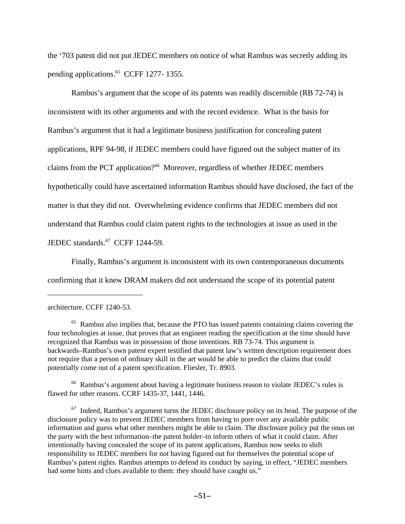the '703 patent did not put JEDEC members on notice of what Rambus was secretly adding its pending applications.<sup>65</sup> CCFF 1277- 1355.

Rambus's argument that the scope of its patents was readily discernible (RB 72-74) is inconsistent with its other arguments and with the record evidence. What is the basis for Rambus's argument that it had a legitimate business justification for concealing patent applications, RPF 94-98, if JEDEC members could have figured out the subject matter of its claims from the PCT application?<sup>66</sup> Moreover, regardless of whether JEDEC members hypothetically could have ascertained information Rambus should have disclosed, the fact of the matter is that they did not. Overwhelming evidence confirms that JEDEC members did not understand that Rambus could claim patent rights to the technologies at issue as used in the JEDEC standards.<sup>67</sup> CCFF 1244-59.

Finally, Rambus's argument is inconsistent with its own contemporaneous documents confirming that it knew DRAM makers did not understand the scope of its potential patent

<sup>66</sup> Rambus's argument about having a legitimate business reason to violate JEDEC's rules is flawed for other reasons. CCRF 1435-37, 1441, 1446.

architecture. CCFF 1240-53.

<sup>&</sup>lt;sup>65</sup> Rambus also implies that, because the PTO has issued patents containing claims covering the four technologies at issue, that proves that an engineer reading the specification at the time should have recognized that Rambus was in possession of those inventions. RB 73-74. This argument is backwards–Rambus's own patent expert testified that patent law's written description requirement does not require that a person of ordinary skill in the art would be able to predict the claims that could potentially come out of a patent specification. Fliesler, Tr. 8903.

 $67$  Indeed, Rambus's argument turns the JEDEC disclosure policy on its head. The purpose of the disclosure policy was to prevent JEDEC members from having to pore over any available public information and guess what other members might be able to claim. The disclosure policy put the onus on the party with the best information–the patent holder–to inform others of what it could claim. After intentionally having concealed the scope of its patent applications, Rambus now seeks to shift responsibility to JEDEC members for not having figured out for themselves the potential scope of Rambus's patent rights. Rambus attempts to defend its conduct by saying, in effect, "JEDEC members had some hints and clues available to them: they should have caught us."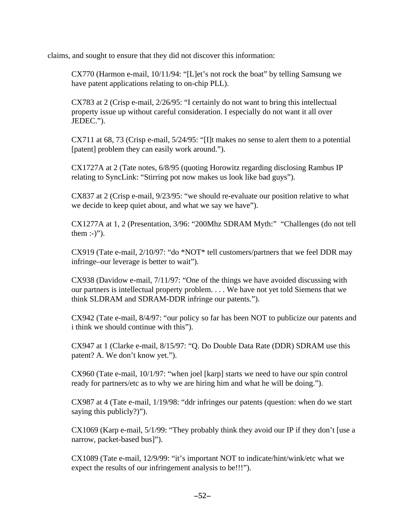claims, and sought to ensure that they did not discover this information:

CX770 (Harmon e-mail, 10/11/94: "[L]et's not rock the boat" by telling Samsung we have patent applications relating to on-chip PLL).

CX783 at 2 (Crisp e-mail, 2/26/95: "I certainly do not want to bring this intellectual property issue up without careful consideration. I especially do not want it all over JEDEC.").

CX711 at 68, 73 (Crisp e-mail, 5/24/95: "[I]t makes no sense to alert them to a potential [patent] problem they can easily work around.").

CX1727A at 2 (Tate notes, 6/8/95 (quoting Horowitz regarding disclosing Rambus IP relating to SyncLink: "Stirring pot now makes us look like bad guys").

CX837 at 2 (Crisp e-mail, 9/23/95: "we should re-evaluate our position relative to what we decide to keep quiet about, and what we say we have").

CX1277A at 1, 2 (Presentation, 3/96: "200Mhz SDRAM Myth:" "Challenges (do not tell them  $:-$ )").

CX919 (Tate e-mail, 2/10/97: "do \*NOT\* tell customers/partners that we feel DDR may infringe–our leverage is better to wait").

CX938 (Davidow e-mail, 7/11/97: "One of the things we have avoided discussing with our partners is intellectual property problem. . . . We have not yet told Siemens that we think SLDRAM and SDRAM-DDR infringe our patents.").

CX942 (Tate e-mail, 8/4/97: "our policy so far has been NOT to publicize our patents and i think we should continue with this").

CX947 at 1 (Clarke e-mail, 8/15/97: "Q. Do Double Data Rate (DDR) SDRAM use this patent? A. We don't know yet.").

CX960 (Tate e-mail, 10/1/97: "when joel [karp] starts we need to have our spin control ready for partners/etc as to why we are hiring him and what he will be doing.").

CX987 at 4 (Tate e-mail, 1/19/98: "ddr infringes our patents (question: when do we start saying this publicly?)").

CX1069 (Karp e-mail, 5/1/99: "They probably think they avoid our IP if they don't [use a narrow, packet-based bus]").

CX1089 (Tate e-mail, 12/9/99: "it's important NOT to indicate/hint/wink/etc what we expect the results of our infringement analysis to be!!!").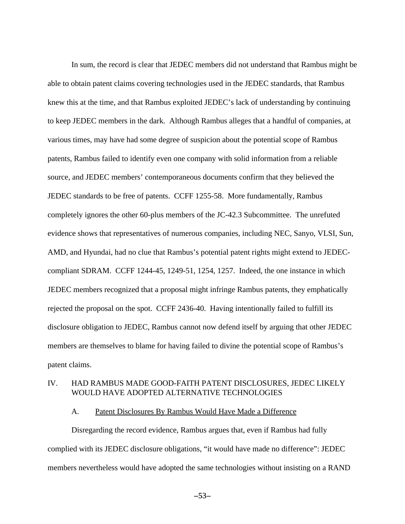In sum, the record is clear that JEDEC members did not understand that Rambus might be able to obtain patent claims covering technologies used in the JEDEC standards, that Rambus knew this at the time, and that Rambus exploited JEDEC's lack of understanding by continuing to keep JEDEC members in the dark. Although Rambus alleges that a handful of companies, at various times, may have had some degree of suspicion about the potential scope of Rambus patents, Rambus failed to identify even one company with solid information from a reliable source, and JEDEC members' contemporaneous documents confirm that they believed the JEDEC standards to be free of patents. CCFF 1255-58. More fundamentally, Rambus completely ignores the other 60-plus members of the JC-42.3 Subcommittee. The unrefuted evidence shows that representatives of numerous companies, including NEC, Sanyo, VLSI, Sun, AMD, and Hyundai, had no clue that Rambus's potential patent rights might extend to JEDECcompliant SDRAM. CCFF 1244-45, 1249-51, 1254, 1257. Indeed, the one instance in which JEDEC members recognized that a proposal might infringe Rambus patents, they emphatically rejected the proposal on the spot. CCFF 2436-40. Having intentionally failed to fulfill its disclosure obligation to JEDEC, Rambus cannot now defend itself by arguing that other JEDEC members are themselves to blame for having failed to divine the potential scope of Rambus's patent claims.

# IV. HAD RAMBUS MADE GOOD-FAITH PATENT DISCLOSURES, JEDEC LIKELY WOULD HAVE ADOPTED ALTERNATIVE TECHNOLOGIES

## A. Patent Disclosures By Rambus Would Have Made a Difference

Disregarding the record evidence, Rambus argues that, even if Rambus had fully complied with its JEDEC disclosure obligations, "it would have made no difference": JEDEC members nevertheless would have adopted the same technologies without insisting on a RAND

 $-53-$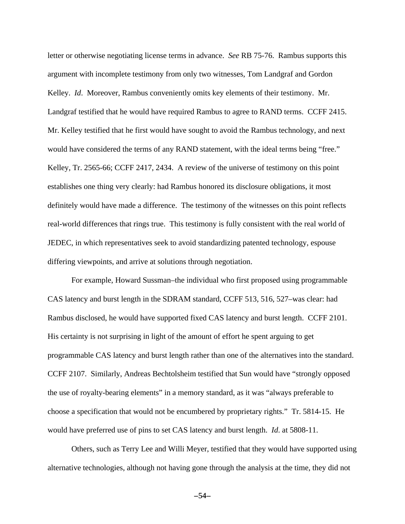letter or otherwise negotiating license terms in advance. *See* RB 75-76. Rambus supports this argument with incomplete testimony from only two witnesses, Tom Landgraf and Gordon Kelley. *Id*. Moreover, Rambus conveniently omits key elements of their testimony. Mr. Landgraf testified that he would have required Rambus to agree to RAND terms. CCFF 2415. Mr. Kelley testified that he first would have sought to avoid the Rambus technology, and next would have considered the terms of any RAND statement, with the ideal terms being "free." Kelley, Tr. 2565-66; CCFF 2417, 2434. A review of the universe of testimony on this point establishes one thing very clearly: had Rambus honored its disclosure obligations, it most definitely would have made a difference. The testimony of the witnesses on this point reflects real-world differences that rings true. This testimony is fully consistent with the real world of JEDEC, in which representatives seek to avoid standardizing patented technology, espouse differing viewpoints, and arrive at solutions through negotiation.

For example, Howard Sussman–the individual who first proposed using programmable CAS latency and burst length in the SDRAM standard, CCFF 513, 516, 527–was clear: had Rambus disclosed, he would have supported fixed CAS latency and burst length. CCFF 2101. His certainty is not surprising in light of the amount of effort he spent arguing to get programmable CAS latency and burst length rather than one of the alternatives into the standard. CCFF 2107. Similarly, Andreas Bechtolsheim testified that Sun would have "strongly opposed the use of royalty-bearing elements" in a memory standard, as it was "always preferable to choose a specification that would not be encumbered by proprietary rights." Tr. 5814-15. He would have preferred use of pins to set CAS latency and burst length. *Id*. at 5808-11.

Others, such as Terry Lee and Willi Meyer, testified that they would have supported using alternative technologies, although not having gone through the analysis at the time, they did not

 $-54-$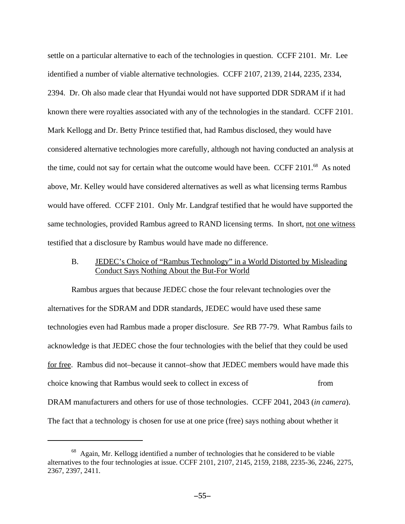settle on a particular alternative to each of the technologies in question. CCFF 2101. Mr. Lee identified a number of viable alternative technologies. CCFF 2107, 2139, 2144, 2235, 2334, 2394. Dr. Oh also made clear that Hyundai would not have supported DDR SDRAM if it had known there were royalties associated with any of the technologies in the standard. CCFF 2101. Mark Kellogg and Dr. Betty Prince testified that, had Rambus disclosed, they would have considered alternative technologies more carefully, although not having conducted an analysis at the time, could not say for certain what the outcome would have been. CCFF 2101.<sup>68</sup> As noted above, Mr. Kelley would have considered alternatives as well as what licensing terms Rambus would have offered. CCFF 2101. Only Mr. Landgraf testified that he would have supported the same technologies, provided Rambus agreed to RAND licensing terms. In short, not one witness testified that a disclosure by Rambus would have made no difference.

# B. JEDEC's Choice of "Rambus Technology" in a World Distorted by Misleading Conduct Says Nothing About the But-For World

Rambus argues that because JEDEC chose the four relevant technologies over the alternatives for the SDRAM and DDR standards, JEDEC would have used these same technologies even had Rambus made a proper disclosure. *See* RB 77-79. What Rambus fails to acknowledge is that JEDEC chose the four technologies with the belief that they could be used for free. Rambus did not–because it cannot–show that JEDEC members would have made this choice knowing that Rambus would seek to collect in excess of from DRAM manufacturers and others for use of those technologies. CCFF 2041, 2043 (*in camera*). The fact that a technology is chosen for use at one price (free) says nothing about whether it

<sup>&</sup>lt;sup>68</sup> Again, Mr. Kellogg identified a number of technologies that he considered to be viable alternatives to the four technologies at issue. CCFF 2101, 2107, 2145, 2159, 2188, 2235-36, 2246, 2275, 2367, 2397, 2411.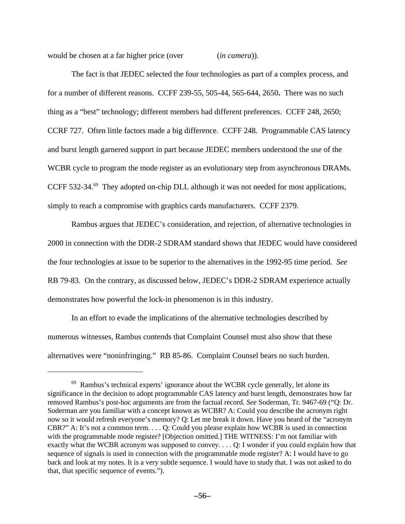would be chosen at a far higher price (over (*in camera*)).

The fact is that JEDEC selected the four technologies as part of a complex process, and for a number of different reasons. CCFF 239-55, 505-44, 565-644, 2650**.** There was no such thing as a "best" technology; different members had different preferences. CCFF 248, 2650; CCRF 727. Often little factors made a big difference. CCFF 248. Programmable CAS latency and burst length garnered support in part because JEDEC members understood the use of the WCBR cycle to program the mode register as an evolutionary step from asynchronous DRAMs. CCFF 532-34.<sup>69</sup> They adopted on-chip DLL although it was not needed for most applications, simply to reach a compromise with graphics cards manufacturers. CCFF 2379.

Rambus argues that JEDEC's consideration, and rejection, of alternative technologies in 2000 in connection with the DDR-2 SDRAM standard shows that JEDEC would have considered the four technologies at issue to be superior to the alternatives in the 1992-95 time period. *See* RB 79-83. On the contrary, as discussed below, JEDEC's DDR-2 SDRAM experience actually demonstrates how powerful the lock-in phenomenon is in this industry.

In an effort to evade the implications of the alternative technologies described by numerous witnesses, Rambus contends that Complaint Counsel must also show that these alternatives were "noninfringing." RB 85-86. Complaint Counsel bears no such burden.

 $69$  Rambus's technical experts' ignorance about the WCBR cycle generally, let alone its significance in the decision to adopt programmable CAS latency and burst length, demonstrates how far removed Rambus's post-hoc arguments are from the factual record. *See* Soderman, Tr. 9467-69 ("Q: Dr. Soderman are you familiar with a concept known as WCBR? A: Could you describe the acronym right now so it would refresh everyone's memory? Q: Let me break it down. Have you heard of the "acronym CBR?" A: It's not a common term. . . . Q: Could you please explain how WCBR is used in connection with the programmable mode register? [Objection omitted.] THE WITNESS: I'm not familiar with exactly what the WCBR acronym was supposed to convey. . . . Q: I wonder if you could explain how that sequence of signals is used in connection with the programmable mode register? A: I would have to go back and look at my notes. It is a very subtle sequence. I would have to study that. I was not asked to do that, that specific sequence of events.").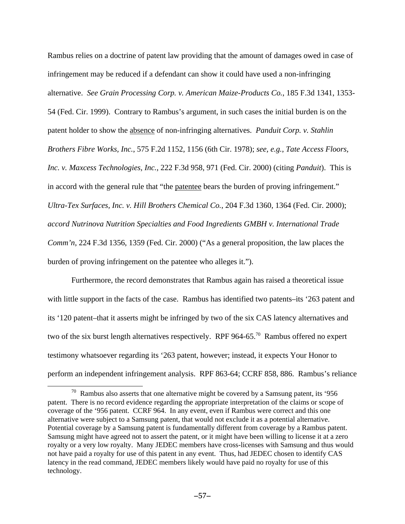Rambus relies on a doctrine of patent law providing that the amount of damages owed in case of infringement may be reduced if a defendant can show it could have used a non-infringing alternative. *See Grain Processing Corp. v. American Maize-Products Co.*, 185 F.3d 1341, 1353- 54 (Fed. Cir. 1999). Contrary to Rambus's argument, in such cases the initial burden is on the patent holder to show the absence of non-infringing alternatives. *Panduit Corp. v. Stahlin Brothers Fibre Works, Inc.*, 575 F.2d 1152, 1156 (6th Cir. 1978); *see, e.g.*, *Tate Access Floors, Inc. v. Maxcess Technologies, Inc.*, 222 F.3d 958, 971 (Fed. Cir. 2000) (citing *Panduit*). This is in accord with the general rule that "the patentee bears the burden of proving infringement." *Ultra-Tex Surfaces, Inc. v. Hill Brothers Chemical Co.*, 204 F.3d 1360, 1364 (Fed. Cir. 2000); *accord Nutrinova Nutrition Specialties and Food Ingredients GMBH v. International Trade Comm'n*, 224 F.3d 1356, 1359 (Fed. Cir. 2000) ("As a general proposition, the law places the burden of proving infringement on the patentee who alleges it.").

Furthermore, the record demonstrates that Rambus again has raised a theoretical issue with little support in the facts of the case. Rambus has identified two patents–its '263 patent and its '120 patent–that it asserts might be infringed by two of the six CAS latency alternatives and two of the six burst length alternatives respectively. RPF 964-65.<sup>70</sup> Rambus offered no expert testimony whatsoever regarding its '263 patent, however; instead, it expects Your Honor to perform an independent infringement analysis. RPF 863-64; CCRF 858, 886. Rambus's reliance

 $70$  Rambus also asserts that one alternative might be covered by a Samsung patent, its '956 patent. There is no record evidence regarding the appropriate interpretation of the claims or scope of coverage of the '956 patent. CCRF 964. In any event, even if Rambus were correct and this one alternative were subject to a Samsung patent, that would not exclude it as a potential alternative. Potential coverage by a Samsung patent is fundamentally different from coverage by a Rambus patent. Samsung might have agreed not to assert the patent, or it might have been willing to license it at a zero royalty or a very low royalty. Many JEDEC members have cross-licenses with Samsung and thus would not have paid a royalty for use of this patent in any event. Thus, had JEDEC chosen to identify CAS latency in the read command, JEDEC members likely would have paid no royalty for use of this technology.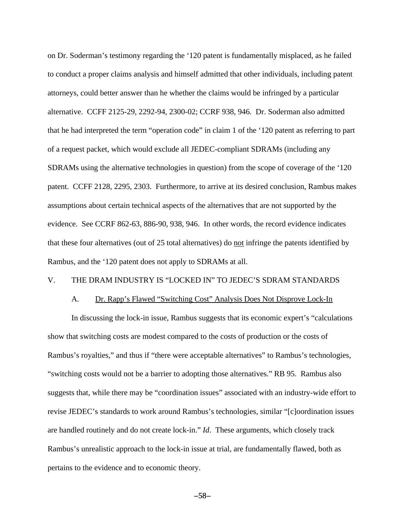on Dr. Soderman's testimony regarding the '120 patent is fundamentally misplaced, as he failed to conduct a proper claims analysis and himself admitted that other individuals, including patent attorneys, could better answer than he whether the claims would be infringed by a particular alternative. CCFF 2125-29, 2292-94, 2300-02; CCRF 938, 946. Dr. Soderman also admitted that he had interpreted the term "operation code" in claim 1 of the '120 patent as referring to part of a request packet, which would exclude all JEDEC-compliant SDRAMs (including any SDRAMs using the alternative technologies in question) from the scope of coverage of the '120 patent. CCFF 2128, 2295, 2303. Furthermore, to arrive at its desired conclusion, Rambus makes assumptions about certain technical aspects of the alternatives that are not supported by the evidence. See CCRF 862-63, 886-90, 938, 946. In other words, the record evidence indicates that these four alternatives (out of 25 total alternatives) do not infringe the patents identified by Rambus, and the '120 patent does not apply to SDRAMs at all.

## V. THE DRAM INDUSTRY IS "LOCKED IN" TO JEDEC'S SDRAM STANDARDS

#### A. Dr. Rapp's Flawed "Switching Cost" Analysis Does Not Disprove Lock-In

In discussing the lock-in issue, Rambus suggests that its economic expert's "calculations show that switching costs are modest compared to the costs of production or the costs of Rambus's royalties," and thus if "there were acceptable alternatives" to Rambus's technologies, "switching costs would not be a barrier to adopting those alternatives." RB 95. Rambus also suggests that, while there may be "coordination issues" associated with an industry-wide effort to revise JEDEC's standards to work around Rambus's technologies, similar "[c]oordination issues are handled routinely and do not create lock-in." *Id*. These arguments, which closely track Rambus's unrealistic approach to the lock-in issue at trial, are fundamentally flawed, both as pertains to the evidence and to economic theory.

 $-58-$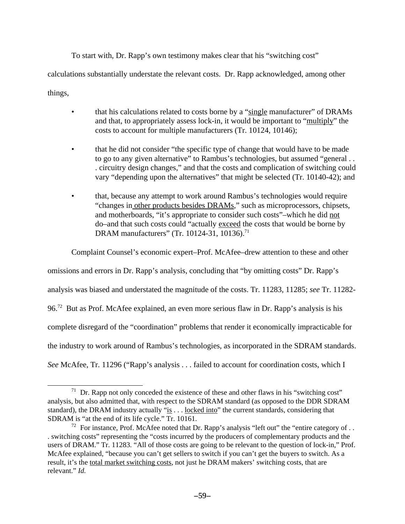To start with, Dr. Rapp's own testimony makes clear that his "switching cost"

calculations substantially understate the relevant costs. Dr. Rapp acknowledged, among other

things,

- that his calculations related to costs borne by a "single manufacturer" of DRAMs and that, to appropriately assess lock-in, it would be important to "multiply" the costs to account for multiple manufacturers (Tr. 10124, 10146);
- that he did not consider "the specific type of change that would have to be made to go to any given alternative" to Rambus's technologies, but assumed "general . . . circuitry design changes," and that the costs and complication of switching could vary "depending upon the alternatives" that might be selected (Tr. 10140-42); and
- that, because any attempt to work around Rambus's technologies would require "changes in other products besides DRAMs," such as microprocessors, chipsets, and motherboards, "it's appropriate to consider such costs"–which he did not do–and that such costs could "actually exceed the costs that would be borne by DRAM manufacturers" (Tr. 10124-31, 10136).<sup>71</sup>

Complaint Counsel's economic expert–Prof. McAfee–drew attention to these and other

omissions and errors in Dr. Rapp's analysis, concluding that "by omitting costs" Dr. Rapp's analysis was biased and understated the magnitude of the costs. Tr. 11283, 11285; *see* Tr. 11282- 96.<sup>72</sup> But as Prof. McAfee explained, an even more serious flaw in Dr. Rapp's analysis is his complete disregard of the "coordination" problems that render it economically impracticable for the industry to work around of Rambus's technologies, as incorporated in the SDRAM standards. *See* McAfee, Tr. 11296 ("Rapp's analysis . . . failed to account for coordination costs, which I

 $71$  Dr. Rapp not only conceded the existence of these and other flaws in his "switching cost" analysis, but also admitted that, with respect to the SDRAM standard (as opposed to the DDR SDRAM standard), the DRAM industry actually "is . . . locked into" the current standards, considering that SDRAM is "at the end of its life cycle." Tr. 10161.

<sup>&</sup>lt;sup>72</sup> For instance, Prof. McAfee noted that Dr. Rapp's analysis "left out" the "entire category of . . . switching costs" representing the "costs incurred by the producers of complementary products and the users of DRAM." Tr. 11283. "All of those costs are going to be relevant to the question of lock-in," Prof. McAfee explained, "because you can't get sellers to switch if you can't get the buyers to switch. As a result, it's the total market switching costs, not just he DRAM makers' switching costs, that are relevant." *Id.*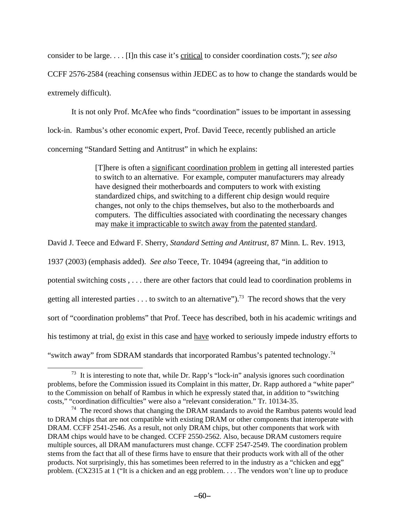consider to be large. . . . [I]n this case it's critical to consider coordination costs."); s*ee also*

CCFF 2576-2584 (reaching consensus within JEDEC as to how to change the standards would be extremely difficult).

It is not only Prof. McAfee who finds "coordination" issues to be important in assessing lock-in. Rambus's other economic expert, Prof. David Teece, recently published an article concerning "Standard Setting and Antitrust" in which he explains:

> [T]here is often a significant coordination problem in getting all interested parties to switch to an alternative. For example, computer manufacturers may already have designed their motherboards and computers to work with existing standardized chips, and switching to a different chip design would require changes, not only to the chips themselves, but also to the motherboards and computers. The difficulties associated with coordinating the necessary changes may make it impracticable to switch away from the patented standard.

David J. Teece and Edward F. Sherry, *Standard Setting and Antitrust*, 87 Minn. L. Rev. 1913,

1937 (2003) (emphasis added). *See also* Teece, Tr. 10494 (agreeing that, "in addition to potential switching costs , . . . there are other factors that could lead to coordination problems in getting all interested parties . . . to switch to an alternative").<sup>73</sup> The record shows that the very sort of "coordination problems" that Prof. Teece has described, both in his academic writings and his testimony at trial, do exist in this case and have worked to seriously impede industry efforts to "switch away" from SDRAM standards that incorporated Rambus's patented technology.<sup>74</sup>

 $73$  It is interesting to note that, while Dr. Rapp's "lock-in" analysis ignores such coordination problems, before the Commission issued its Complaint in this matter, Dr. Rapp authored a "white paper" to the Commission on behalf of Rambus in which he expressly stated that, in addition to "switching costs," "coordination difficulties" were also a "relevant consideration." Tr. 10134-35.

 $74$  The record shows that changing the DRAM standards to avoid the Rambus patents would lead to DRAM chips that are not compatible with existing DRAM or other components that interoperate with DRAM. CCFF 2541-2546. As a result, not only DRAM chips, but other components that work with DRAM chips would have to be changed. CCFF 2550-2562. Also, because DRAM customers require multiple sources, all DRAM manufacturers must change. CCFF 2547-2549. The coordination problem stems from the fact that all of these firms have to ensure that their products work with all of the other products. Not surprisingly, this has sometimes been referred to in the industry as a "chicken and egg" problem. (CX2315 at 1 ("It is a chicken and an egg problem. . . . The vendors won't line up to produce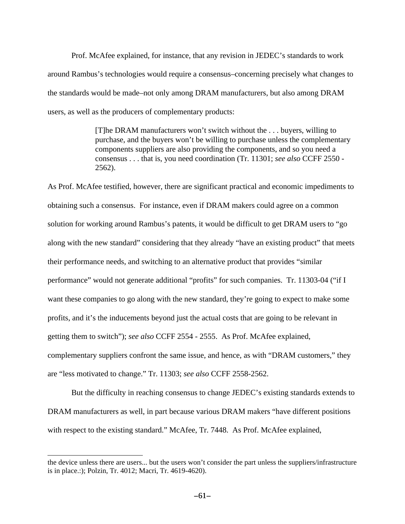Prof. McAfee explained, for instance, that any revision in JEDEC's standards to work around Rambus's technologies would require a consensus–concerning precisely what changes to the standards would be made–not only among DRAM manufacturers, but also among DRAM users, as well as the producers of complementary products:

> [T]he DRAM manufacturers won't switch without the . . . buyers, willing to purchase, and the buyers won't be willing to purchase unless the complementary components suppliers are also providing the components, and so you need a consensus . . . that is, you need coordination (Tr. 11301; *see also* CCFF 2550 - 2562).

As Prof. McAfee testified, however, there are significant practical and economic impediments to obtaining such a consensus. For instance, even if DRAM makers could agree on a common solution for working around Rambus's patents, it would be difficult to get DRAM users to "go along with the new standard" considering that they already "have an existing product" that meets their performance needs, and switching to an alternative product that provides "similar performance" would not generate additional "profits" for such companies. Tr. 11303-04 ("if I want these companies to go along with the new standard, they're going to expect to make some profits, and it's the inducements beyond just the actual costs that are going to be relevant in getting them to switch"); *see also* CCFF 2554 - 2555. As Prof. McAfee explained, complementary suppliers confront the same issue, and hence, as with "DRAM customers," they are "less motivated to change." Tr. 11303; *see also* CCFF 2558-2562.

But the difficulty in reaching consensus to change JEDEC's existing standards extends to DRAM manufacturers as well, in part because various DRAM makers "have different positions with respect to the existing standard." McAfee, Tr. 7448. As Prof. McAfee explained,

the device unless there are users... but the users won't consider the part unless the suppliers/infrastructure is in place.:); Polzin, Tr. 4012; Macri, Tr. 4619-4620).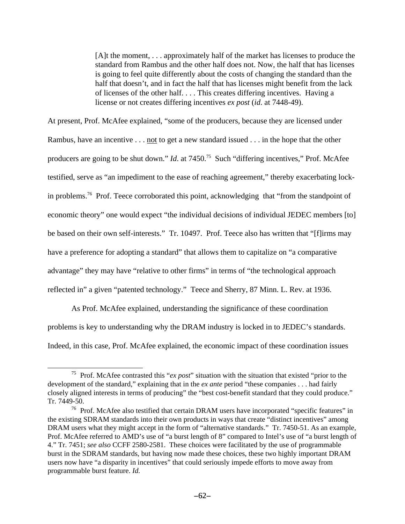[A]t the moment, . . . approximately half of the market has licenses to produce the standard from Rambus and the other half does not. Now, the half that has licenses is going to feel quite differently about the costs of changing the standard than the half that doesn't, and in fact the half that has licenses might benefit from the lack of licenses of the other half. . . . This creates differing incentives. Having a license or not creates differing incentives *ex post* (*id*. at 7448-49).

At present, Prof. McAfee explained, "some of the producers, because they are licensed under Rambus, have an incentive . . . <u>not</u> to get a new standard issued . . . in the hope that the other producers are going to be shut down." *Id.* at 7450.<sup>75</sup> Such "differing incentives," Prof. McAfee testified, serve as "an impediment to the ease of reaching agreement," thereby exacerbating lockin problems.<sup>76</sup> Prof. Teece corroborated this point, acknowledging that "from the standpoint of economic theory" one would expect "the individual decisions of individual JEDEC members [to] be based on their own self-interests." Tr. 10497. Prof. Teece also has written that "[f]irms may have a preference for adopting a standard" that allows them to capitalize on "a comparative advantage" they may have "relative to other firms" in terms of "the technological approach reflected in" a given "patented technology." Teece and Sherry, 87 Minn. L. Rev. at 1936.

As Prof. McAfee explained, understanding the significance of these coordination problems is key to understanding why the DRAM industry is locked in to JEDEC's standards. Indeed, in this case, Prof. McAfee explained, the economic impact of these coordination issues

<sup>75</sup> Prof. McAfee contrasted this "*ex post*" situation with the situation that existed "prior to the development of the standard," explaining that in the *ex ante* period "these companies . . . had fairly closely aligned interests in terms of producing" the "best cost-benefit standard that they could produce." Tr. 7449-50.

<sup>&</sup>lt;sup>76</sup> Prof. McAfee also testified that certain DRAM users have incorporated "specific features" in the existing SDRAM standards into their own products in ways that create "distinct incentives" among DRAM users what they might accept in the form of "alternative standards." Tr. 7450-51. As an example, Prof. McAfee referred to AMD's use of "a burst length of 8" compared to Intel's use of "a burst length of 4." Tr. 7451; *see also* CCFF 2580-2581. These choices were facilitated by the use of programmable burst in the SDRAM standards, but having now made these choices, these two highly important DRAM users now have "a disparity in incentives" that could seriously impede efforts to move away from programmable burst feature. *Id.*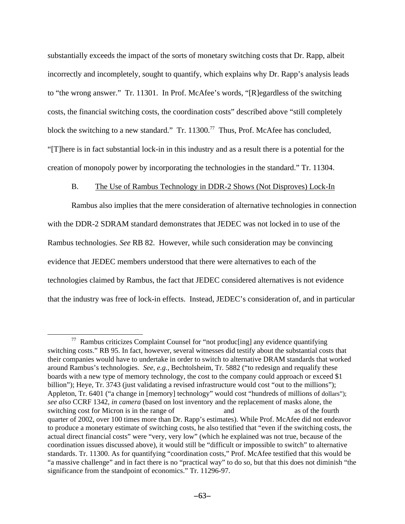substantially exceeds the impact of the sorts of monetary switching costs that Dr. Rapp, albeit incorrectly and incompletely, sought to quantify, which explains why Dr. Rapp's analysis leads to "the wrong answer." Tr. 11301. In Prof. McAfee's words, "[R]egardless of the switching costs, the financial switching costs, the coordination costs" described above "still completely block the switching to a new standard." Tr.  $11300$ .<sup>77</sup> Thus, Prof. McAfee has concluded, "[T]here is in fact substantial lock-in in this industry and as a result there is a potential for the creation of monopoly power by incorporating the technologies in the standard." Tr. 11304.

# B. The Use of Rambus Technology in DDR-2 Shows (Not Disproves) Lock-In

Rambus also implies that the mere consideration of alternative technologies in connection with the DDR-2 SDRAM standard demonstrates that JEDEC was not locked in to use of the Rambus technologies. *See* RB 82. However, while such consideration may be convincing evidence that JEDEC members understood that there were alternatives to each of the technologies claimed by Rambus, the fact that JEDEC considered alternatives is not evidence that the industry was free of lock-in effects. Instead, JEDEC's consideration of, and in particular

 $77$  Rambus criticizes Complaint Counsel for "not produc[ing] any evidence quantifying switching costs." RB 95. In fact, however, several witnesses did testify about the substantial costs that their companies would have to undertake in order to switch to alternative DRAM standards that worked around Rambus's technologies. *See, e.g.*, Bechtolsheim, Tr. 5882 ("to redesign and requalify these boards with a new type of memory technology, the cost to the company could approach or exceed \$1 billion"); Heye, Tr. 3743 (just validating a revised infrastructure would cost "out to the millions"); Appleton, Tr. 6401 ("a change in [memory] technology" would cost "hundreds of millions of dollars"); *see also* CCRF 1342, *in camera* (based on lost inventory and the replacement of masks alone, the switching cost for Micron is in the range of and as of the fourth quarter of 2002, over 100 times more than Dr. Rapp's estimates). While Prof. McAfee did not endeavor to produce a monetary estimate of switching costs, he also testified that "even if the switching costs, the actual direct financial costs" were "very, very low" (which he explained was not true, because of the coordination issues discussed above), it would still be "difficult or impossible to switch" to alternative standards. Tr. 11300. As for quantifying "coordination costs," Prof. McAfee testified that this would be "a massive challenge" and in fact there is no "practical way" to do so, but that this does not diminish "the significance from the standpoint of economics." Tr. 11296-97.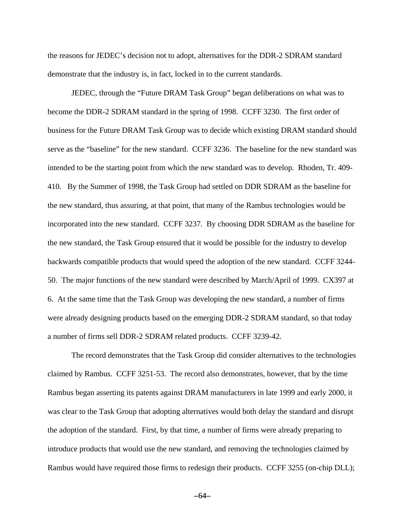the reasons for JEDEC's decision not to adopt, alternatives for the DDR-2 SDRAM standard demonstrate that the industry is, in fact, locked in to the current standards.

JEDEC, through the "Future DRAM Task Group" began deliberations on what was to become the DDR-2 SDRAM standard in the spring of 1998. CCFF 3230. The first order of business for the Future DRAM Task Group was to decide which existing DRAM standard should serve as the "baseline" for the new standard. CCFF 3236. The baseline for the new standard was intended to be the starting point from which the new standard was to develop. Rhoden, Tr. 409- 410. By the Summer of 1998, the Task Group had settled on DDR SDRAM as the baseline for the new standard, thus assuring, at that point, that many of the Rambus technologies would be incorporated into the new standard. CCFF 3237. By choosing DDR SDRAM as the baseline for the new standard, the Task Group ensured that it would be possible for the industry to develop backwards compatible products that would speed the adoption of the new standard. CCFF 3244- 50. The major functions of the new standard were described by March/April of 1999. CX397 at 6. At the same time that the Task Group was developing the new standard, a number of firms were already designing products based on the emerging DDR-2 SDRAM standard, so that today a number of firms sell DDR-2 SDRAM related products. CCFF 3239-42.

The record demonstrates that the Task Group did consider alternatives to the technologies claimed by Rambus. CCFF 3251-53. The record also demonstrates, however, that by the time Rambus began asserting its patents against DRAM manufacturers in late 1999 and early 2000, it was clear to the Task Group that adopting alternatives would both delay the standard and disrupt the adoption of the standard. First, by that time, a number of firms were already preparing to introduce products that would use the new standard, and removing the technologies claimed by Rambus would have required those firms to redesign their products. CCFF 3255 (on-chip DLL);

 $-64-$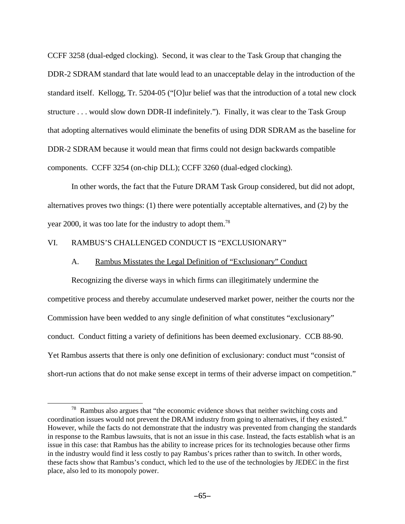CCFF 3258 (dual-edged clocking). Second, it was clear to the Task Group that changing the DDR-2 SDRAM standard that late would lead to an unacceptable delay in the introduction of the standard itself. Kellogg, Tr. 5204-05 ("[O]ur belief was that the introduction of a total new clock structure . . . would slow down DDR-II indefinitely."). Finally, it was clear to the Task Group that adopting alternatives would eliminate the benefits of using DDR SDRAM as the baseline for DDR-2 SDRAM because it would mean that firms could not design backwards compatible components. CCFF 3254 (on-chip DLL); CCFF 3260 (dual-edged clocking).

In other words, the fact that the Future DRAM Task Group considered, but did not adopt, alternatives proves two things: (1) there were potentially acceptable alternatives, and (2) by the year 2000, it was too late for the industry to adopt them.<sup>78</sup>

## VI. RAMBUS'S CHALLENGED CONDUCT IS "EXCLUSIONARY"

## A. Rambus Misstates the Legal Definition of "Exclusionary" Conduct

Recognizing the diverse ways in which firms can illegitimately undermine the competitive process and thereby accumulate undeserved market power, neither the courts nor the Commission have been wedded to any single definition of what constitutes "exclusionary" conduct. Conduct fitting a variety of definitions has been deemed exclusionary. CCB 88-90. Yet Rambus asserts that there is only one definition of exclusionary: conduct must "consist of short-run actions that do not make sense except in terms of their adverse impact on competition."

 $78$  Rambus also argues that "the economic evidence shows that neither switching costs and coordination issues would not prevent the DRAM industry from going to alternatives, if they existed." However, while the facts do not demonstrate that the industry was prevented from changing the standards in response to the Rambus lawsuits, that is not an issue in this case. Instead, the facts establish what is an issue in this case: that Rambus has the ability to increase prices for its technologies because other firms in the industry would find it less costly to pay Rambus's prices rather than to switch. In other words, these facts show that Rambus's conduct, which led to the use of the technologies by JEDEC in the first place, also led to its monopoly power.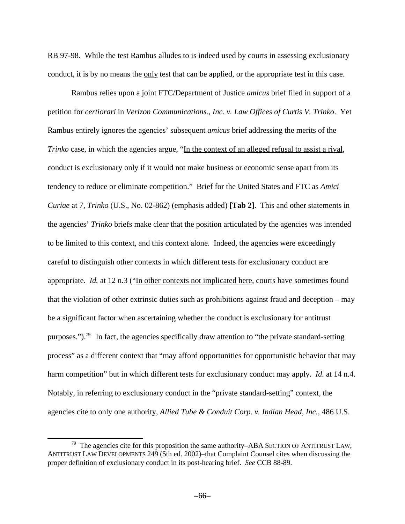RB 97-98. While the test Rambus alludes to is indeed used by courts in assessing exclusionary conduct, it is by no means the only test that can be applied, or the appropriate test in this case.

Rambus relies upon a joint FTC/Department of Justice *amicus* brief filed in support of a petition for *certiorari* in *Verizon Communications., Inc. v. Law Offices of Curtis V. Trinko*. Yet Rambus entirely ignores the agencies' subsequent *amicus* brief addressing the merits of the *Trinko* case, in which the agencies argue, "In the context of an alleged refusal to assist a rival, conduct is exclusionary only if it would not make business or economic sense apart from its tendency to reduce or eliminate competition." Brief for the United States and FTC as *Amici Curiae* at 7, *Trinko* (U.S., No. 02-862) (emphasis added) **[Tab 2]**. This and other statements in the agencies' *Trinko* briefs make clear that the position articulated by the agencies was intended to be limited to this context, and this context alone. Indeed, the agencies were exceedingly careful to distinguish other contexts in which different tests for exclusionary conduct are appropriate. *Id.* at 12 n.3 ("In other contexts not implicated here, courts have sometimes found that the violation of other extrinsic duties such as prohibitions against fraud and deception – may be a significant factor when ascertaining whether the conduct is exclusionary for antitrust purposes.").<sup>79</sup> In fact, the agencies specifically draw attention to "the private standard-setting process" as a different context that "may afford opportunities for opportunistic behavior that may harm competition" but in which different tests for exclusionary conduct may apply. *Id.* at 14 n.4. Notably, in referring to exclusionary conduct in the "private standard-setting" context, the agencies cite to only one authority, *Allied Tube & Conduit Corp. v. Indian Head, Inc.*, 486 U.S.

<sup>79</sup> The agencies cite for this proposition the same authority–ABA SECTION OF ANTITRUST LAW, ANTITRUST LAW DEVELOPMENTS 249 (5th ed. 2002)–that Complaint Counsel cites when discussing the proper definition of exclusionary conduct in its post-hearing brief. *See* CCB 88-89.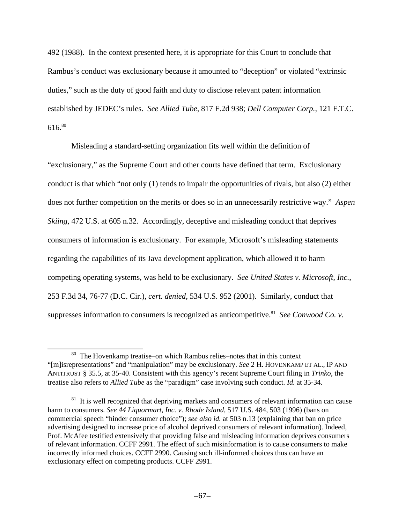492 (1988). In the context presented here, it is appropriate for this Court to conclude that Rambus's conduct was exclusionary because it amounted to "deception" or violated "extrinsic duties," such as the duty of good faith and duty to disclose relevant patent information established by JEDEC's rules. *See Allied Tube*, 817 F.2d 938; *Dell Computer Corp.*, 121 F.T.C. 616.<sup>80</sup>

Misleading a standard-setting organization fits well within the definition of "exclusionary," as the Supreme Court and other courts have defined that term. Exclusionary conduct is that which "not only (1) tends to impair the opportunities of rivals, but also (2) either does not further competition on the merits or does so in an unnecessarily restrictive way." *Aspen Skiing*, 472 U.S. at 605 n.32. Accordingly, deceptive and misleading conduct that deprives consumers of information is exclusionary. For example, Microsoft's misleading statements regarding the capabilities of its Java development application, which allowed it to harm competing operating systems, was held to be exclusionary. *See United States v. Microsoft, Inc.*, 253 F.3d 34, 76-77 (D.C. Cir.), *cert. denied*, 534 U.S. 952 (2001). Similarly, conduct that suppresses information to consumers is recognized as anticompetitive.<sup>81</sup> See Conwood Co. v.

<sup>80</sup> The Hovenkamp treatise–on which Rambus relies–notes that in this context "[m]isrepresentations" and "manipulation" may be exclusionary. *See* 2 H. HOVENKAMP ET AL., IP AND ANTITRUST § 35.5, at 35-40. Consistent with this agency's recent Supreme Court filing in *Trinko*, the treatise also refers to *Allied Tube* as the "paradigm" case involving such conduct. *Id.* at 35-34.

 $81$  It is well recognized that depriving markets and consumers of relevant information can cause harm to consumers. *See 44 Liquormart, Inc. v. Rhode Island*, 517 U.S. 484, 503 (1996) (bans on commercial speech "hinder consumer choice"); *see also id.* at 503 n.13 (explaining that ban on price advertising designed to increase price of alcohol deprived consumers of relevant information). Indeed, Prof. McAfee testified extensively that providing false and misleading information deprives consumers of relevant information. CCFF 2991. The effect of such misinformation is to cause consumers to make incorrectly informed choices. CCFF 2990. Causing such ill-informed choices thus can have an exclusionary effect on competing products. CCFF 2991.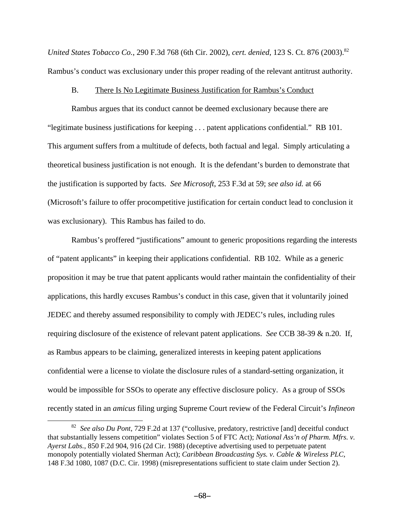*United States Tobacco Co., 290 F.3d 768 (6th Cir. 2002), cert. denied, 123 S. Ct. 876 (2003).*<sup>82</sup> Rambus's conduct was exclusionary under this proper reading of the relevant antitrust authority.

#### B. There Is No Legitimate Business Justification for Rambus's Conduct

Rambus argues that its conduct cannot be deemed exclusionary because there are "legitimate business justifications for keeping . . . patent applications confidential." RB 101. This argument suffers from a multitude of defects, both factual and legal. Simply articulating a theoretical business justification is not enough. It is the defendant's burden to demonstrate that the justification is supported by facts. *See Microsoft*, 253 F.3d at 59; *see also id.* at 66 (Microsoft's failure to offer procompetitive justification for certain conduct lead to conclusion it was exclusionary). This Rambus has failed to do.

Rambus's proffered "justifications" amount to generic propositions regarding the interests of "patent applicants" in keeping their applications confidential. RB 102. While as a generic proposition it may be true that patent applicants would rather maintain the confidentiality of their applications, this hardly excuses Rambus's conduct in this case, given that it voluntarily joined JEDEC and thereby assumed responsibility to comply with JEDEC's rules, including rules requiring disclosure of the existence of relevant patent applications. *See* CCB 38-39 & n.20. If, as Rambus appears to be claiming, generalized interests in keeping patent applications confidential were a license to violate the disclosure rules of a standard-setting organization, it would be impossible for SSOs to operate any effective disclosure policy. As a group of SSOs recently stated in an *amicus* filing urging Supreme Court review of the Federal Circuit's *Infineon*

<sup>82</sup> *See also Du Pont*, 729 F.2d at 137 ("collusive, predatory, restrictive [and] deceitful conduct that substantially lessens competition" violates Section 5 of FTC Act); *National Ass'n of Pharm. Mfrs. v. Ayerst Labs.*, 850 F.2d 904, 916 (2d Cir. 1988) (deceptive advertising used to perpetuate patent monopoly potentially violated Sherman Act); *Caribbean Broadcasting Sys. v. Cable & Wireless PLC*, 148 F.3d 1080, 1087 (D.C. Cir. 1998) (misrepresentations sufficient to state claim under Section 2).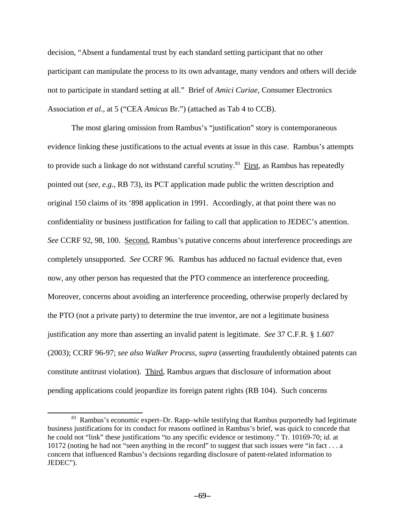decision, "Absent a fundamental trust by each standard setting participant that no other participant can manipulate the process to its own advantage, many vendors and others will decide not to participate in standard setting at all." Brief of *Amici Curiae*, Consumer Electronics Association *et al.*, at 5 ("CEA *Amicus* Br.") (attached as Tab 4 to CCB).

The most glaring omission from Rambus's "justification" story is contemporaneous evidence linking these justifications to the actual events at issue in this case.Rambus's attempts to provide such a linkage do not withstand careful scrutiny.<sup>83</sup> First, as Rambus has repeatedly pointed out (*see, e.g.*, RB 73), its PCT application made public the written description and original 150 claims of its '898 application in 1991. Accordingly, at that point there was no confidentiality or business justification for failing to call that application to JEDEC's attention. *See* CCRF 92, 98, 100. Second, Rambus's putative concerns about interference proceedings are completely unsupported. *See* CCRF 96. Rambus has adduced no factual evidence that, even now, any other person has requested that the PTO commence an interference proceeding. Moreover, concerns about avoiding an interference proceeding, otherwise properly declared by the PTO (not a private party) to determine the true inventor, are not a legitimate business justification any more than asserting an invalid patent is legitimate. *See* 37 C.F.R. § 1.607 (2003); CCRF 96-97; *see also Walker Process*, *supra* (asserting fraudulently obtained patents can constitute antitrust violation). Third, Rambus argues that disclosure of information about pending applications could jeopardize its foreign patent rights (RB 104). Such concerns

<sup>83</sup> Rambus's economic expert–Dr. Rapp–while testifying that Rambus purportedly had legitimate business justifications for its conduct for reasons outlined in Rambus's brief, was quick to concede that he could not "link" these justifications "to any specific evidence or testimony." Tr. 10169-70; *id.* at 10172 (noting he had not "seen anything in the record" to suggest that such issues were "in fact . . . a concern that influenced Rambus's decisions regarding disclosure of patent-related information to JEDEC").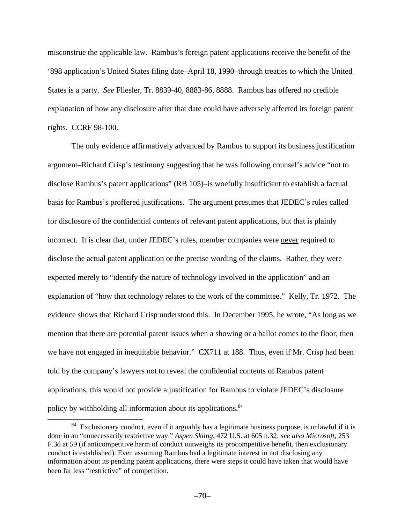misconstrue the applicable law. Rambus's foreign patent applications receive the benefit of the '898 application's United States filing date–April 18, 1990–through treaties to which the United States is a party. *See* Fliesler, Tr. 8839-40, 8883-86, 8888. Rambus has offered no credible explanation of how any disclosure after that date could have adversely affected its foreign patent rights. CCRF 98-100.

The only evidence affirmatively advanced by Rambus to support its business justification argument–Richard Crisp's testimony suggesting that he was following counsel's advice "not to disclose Rambus's patent applications" (RB 105)–is woefully insufficient to establish a factual basis for Rambus's proffered justifications. The argument presumes that JEDEC's rules called for disclosure of the confidential contents of relevant patent applications, but that is plainly incorrect. It is clear that, under JEDEC's rules, member companies were never required to disclose the actual patent application or the precise wording of the claims. Rather, they were expected merely to "identify the nature of technology involved in the application" and an explanation of "how that technology relates to the work of the committee." Kelly, Tr. 1972. The evidence shows that Richard Crisp understood this. In December 1995, he wrote, "As long as we mention that there are potential patent issues when a showing or a ballot comes to the floor, then we have not engaged in inequitable behavior." CX711 at 188. Thus, even if Mr. Crisp had been told by the company's lawyers not to reveal the confidential contents of Rambus patent applications, this would not provide a justification for Rambus to violate JEDEC's disclosure policy by withholding all information about its applications.<sup>84</sup>

 $84$  Exclusionary conduct, even if it arguably has a legitimate business purpose, is unlawful if it is done in an "unnecessarily restrictive way." *Aspen Skiing*, 472 U.S. at 605 n.32; *see also Microsoft*, 253 F.3d at 59 (if anticompetitive harm of conduct outweighs its procompetitive benefit, then exclusionary conduct is established). Even assuming Rambus had a legitimate interest in not disclosing any information about its pending patent applications, there were steps it could have taken that would have been far less "restrictive" of competition.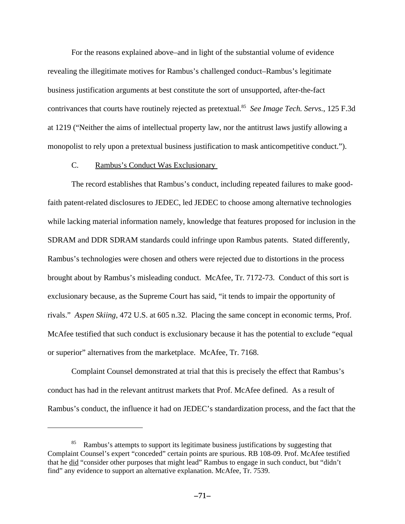For the reasons explained above–and in light of the substantial volume of evidence revealing the illegitimate motives for Rambus's challenged conduct–Rambus's legitimate business justification arguments at best constitute the sort of unsupported, after-the-fact contrivances that courts have routinely rejected as pretextual.<sup>85</sup> See Image Tech. Servs., 125 F.3d at 1219 ("Neither the aims of intellectual property law, nor the antitrust laws justify allowing a monopolist to rely upon a pretextual business justification to mask anticompetitive conduct.").

### C. Rambus's Conduct Was Exclusionary

The record establishes that Rambus's conduct, including repeated failures to make goodfaith patent-related disclosures to JEDEC, led JEDEC to choose among alternative technologies while lacking material information namely, knowledge that features proposed for inclusion in the SDRAM and DDR SDRAM standards could infringe upon Rambus patents. Stated differently, Rambus's technologies were chosen and others were rejected due to distortions in the process brought about by Rambus's misleading conduct. McAfee, Tr. 7172-73. Conduct of this sort is exclusionary because, as the Supreme Court has said, "it tends to impair the opportunity of rivals." *Aspen Skiing*, 472 U.S. at 605 n.32. Placing the same concept in economic terms, Prof. McAfee testified that such conduct is exclusionary because it has the potential to exclude "equal or superior" alternatives from the marketplace. McAfee, Tr. 7168.

Complaint Counsel demonstrated at trial that this is precisely the effect that Rambus's conduct has had in the relevant antitrust markets that Prof. McAfee defined. As a result of Rambus's conduct, the influence it had on JEDEC's standardization process, and the fact that the

<sup>&</sup>lt;sup>85</sup> Rambus's attempts to support its legitimate business justifications by suggesting that Complaint Counsel's expert "conceded" certain points are spurious. RB 108-09. Prof. McAfee testified that he did "consider other purposes that might lead" Rambus to engage in such conduct, but "didn't find" any evidence to support an alternative explanation. McAfee, Tr. 7539.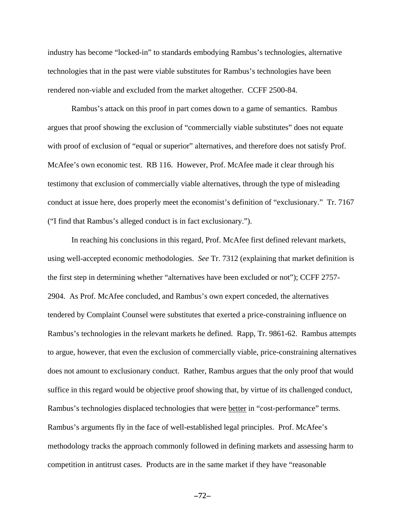industry has become "locked-in" to standards embodying Rambus's technologies, alternative technologies that in the past were viable substitutes for Rambus's technologies have been rendered non-viable and excluded from the market altogether. CCFF 2500-84.

Rambus's attack on this proof in part comes down to a game of semantics. Rambus argues that proof showing the exclusion of "commercially viable substitutes" does not equate with proof of exclusion of "equal or superior" alternatives, and therefore does not satisfy Prof. McAfee's own economic test. RB 116. However, Prof. McAfee made it clear through his testimony that exclusion of commercially viable alternatives, through the type of misleading conduct at issue here, does properly meet the economist's definition of "exclusionary." Tr. 7167 ("I find that Rambus's alleged conduct is in fact exclusionary.").

In reaching his conclusions in this regard, Prof. McAfee first defined relevant markets, using well-accepted economic methodologies. *See* Tr. 7312 (explaining that market definition is the first step in determining whether "alternatives have been excluded or not"); CCFF 2757- 2904. As Prof. McAfee concluded, and Rambus's own expert conceded, the alternatives tendered by Complaint Counsel were substitutes that exerted a price-constraining influence on Rambus's technologies in the relevant markets he defined. Rapp, Tr. 9861-62. Rambus attempts to argue, however, that even the exclusion of commercially viable, price-constraining alternatives does not amount to exclusionary conduct. Rather, Rambus argues that the only proof that would suffice in this regard would be objective proof showing that, by virtue of its challenged conduct, Rambus's technologies displaced technologies that were better in "cost-performance" terms. Rambus's arguments fly in the face of well-established legal principles. Prof. McAfee's methodology tracks the approach commonly followed in defining markets and assessing harm to competition in antitrust cases. Products are in the same market if they have "reasonable

 $-72-$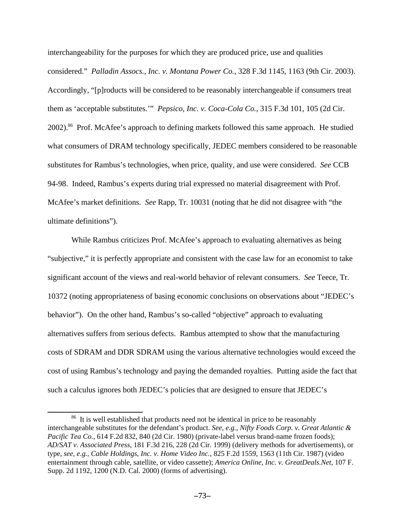interchangeability for the purposes for which they are produced price, use and qualities considered." *Palladin Assocs., Inc. v. Montana Power Co.*, 328 F.3d 1145, 1163 (9th Cir. 2003). Accordingly, "[p]roducts will be considered to be reasonably interchangeable if consumers treat them as 'acceptable substitutes.'" *Pepsico, Inc. v. Coca-Cola Co.*, 315 F.3d 101, 105 (2d Cir. 2002).<sup>86</sup> Prof. McAfee's approach to defining markets followed this same approach. He studied what consumers of DRAM technology specifically, JEDEC members considered to be reasonable substitutes for Rambus's technologies, when price, quality, and use were considered. *See* CCB 94-98. Indeed, Rambus's experts during trial expressed no material disagreement with Prof. McAfee's market definitions. *See* Rapp, Tr. 10031 (noting that he did not disagree with "the ultimate definitions").

While Rambus criticizes Prof. McAfee's approach to evaluating alternatives as being "subjective," it is perfectly appropriate and consistent with the case law for an economist to take significant account of the views and real-world behavior of relevant consumers. *See* Teece, Tr. 10372 (noting appropriateness of basing economic conclusions on observations about "JEDEC's behavior"). On the other hand, Rambus's so-called "objective" approach to evaluating alternatives suffers from serious defects. Rambus attempted to show that the manufacturing costs of SDRAM and DDR SDRAM using the various alternative technologies would exceed the cost of using Rambus's technology and paying the demanded royalties. Putting aside the fact that such a calculus ignores both JEDEC's policies that are designed to ensure that JEDEC's

<sup>&</sup>lt;sup>86</sup> It is well established that products need not be identical in price to be reasonably interchangeable substitutes for the defendant's product. *See, e.g.*, *Nifty Foods Corp. v. Great Atlantic & Pacific Tea Co.*, 614 F.2d 832, 840 (2d Cir. 1980) (private-label versus brand-name frozen foods); *AD/SAT v. Associated Press*, 181 F.3d 216, 228 (2d Cir. 1999) (delivery methods for advertisements), or type, *see, e.g.*, *Cable Holdings, Inc. v. Home Video Inc.*, 825 F.2d 1559, 1563 (11th Cir. 1987) (video entertainment through cable, satellite, or video cassette); *America Online, Inc. v. GreatDeals.Net*, 107 F. Supp. 2d 1192, 1200 (N.D. Cal. 2000) (forms of advertising).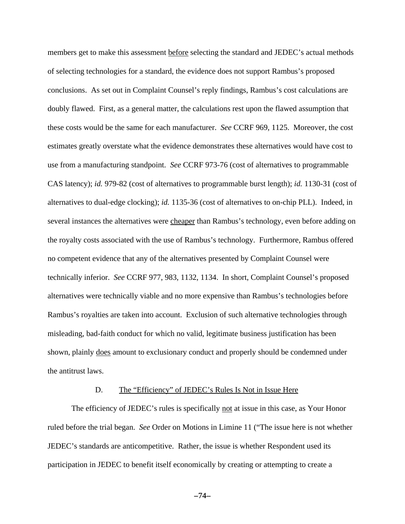members get to make this assessment before selecting the standard and JEDEC's actual methods of selecting technologies for a standard, the evidence does not support Rambus's proposed conclusions. As set out in Complaint Counsel's reply findings, Rambus's cost calculations are doubly flawed. First, as a general matter, the calculations rest upon the flawed assumption that these costs would be the same for each manufacturer. *See* CCRF 969, 1125. Moreover, the cost estimates greatly overstate what the evidence demonstrates these alternatives would have cost to use from a manufacturing standpoint. *See* CCRF 973-76 (cost of alternatives to programmable CAS latency); *id.* 979-82 (cost of alternatives to programmable burst length); *id.* 1130-31 (cost of alternatives to dual-edge clocking); *id.* 1135-36 (cost of alternatives to on-chip PLL). Indeed, in several instances the alternatives were cheaper than Rambus's technology, even before adding on the royalty costs associated with the use of Rambus's technology. Furthermore, Rambus offered no competent evidence that any of the alternatives presented by Complaint Counsel were technically inferior. *See* CCRF 977, 983, 1132, 1134. In short, Complaint Counsel's proposed alternatives were technically viable and no more expensive than Rambus's technologies before Rambus's royalties are taken into account. Exclusion of such alternative technologies through misleading, bad-faith conduct for which no valid, legitimate business justification has been shown, plainly does amount to exclusionary conduct and properly should be condemned under the antitrust laws.

#### D. The "Efficiency" of JEDEC's Rules Is Not in Issue Here

The efficiency of JEDEC's rules is specifically not at issue in this case, as Your Honor ruled before the trial began. *See* Order on Motions in Limine 11 ("The issue here is not whether JEDEC's standards are anticompetitive. Rather, the issue is whether Respondent used its participation in JEDEC to benefit itself economically by creating or attempting to create a

 $-74-$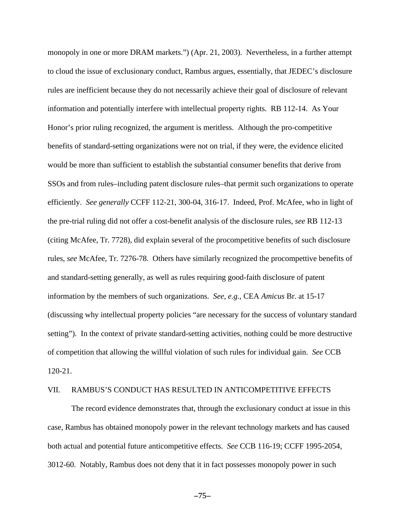monopoly in one or more DRAM markets.") (Apr. 21, 2003). Nevertheless, in a further attempt to cloud the issue of exclusionary conduct, Rambus argues, essentially, that JEDEC's disclosure rules are inefficient because they do not necessarily achieve their goal of disclosure of relevant information and potentially interfere with intellectual property rights. RB 112-14. As Your Honor's prior ruling recognized, the argument is meritless. Although the pro-competitive benefits of standard-setting organizations were not on trial, if they were, the evidence elicited would be more than sufficient to establish the substantial consumer benefits that derive from SSOs and from rules–including patent disclosure rules–that permit such organizations to operate efficiently. *See generally* CCFF 112-21, 300-04, 316-17. Indeed, Prof. McAfee, who in light of the pre-trial ruling did not offer a cost-benefit analysis of the disclosure rules, *see* RB 112-13 (citing McAfee, Tr. 7728), did explain several of the procompetitive benefits of such disclosure rules, *see* McAfee, Tr. 7276-78. Others have similarly recognized the procompettive benefits of and standard-setting generally, as well as rules requiring good-faith disclosure of patent information by the members of such organizations. *See, e.g.*, CEA *Amicus* Br. at 15-17 (discussing why intellectual property policies "are necessary for the success of voluntary standard setting"). In the context of private standard-setting activities, nothing could be more destructive of competition that allowing the willful violation of such rules for individual gain. *See* CCB 120-21.

### VII. RAMBUS'S CONDUCT HAS RESULTED IN ANTICOMPETITIVE EFFECTS

The record evidence demonstrates that, through the exclusionary conduct at issue in this case, Rambus has obtained monopoly power in the relevant technology markets and has caused both actual and potential future anticompetitive effects. *See* CCB 116-19; CCFF 1995-2054, 3012-60. Notably, Rambus does not deny that it in fact possesses monopoly power in such

 $-75-$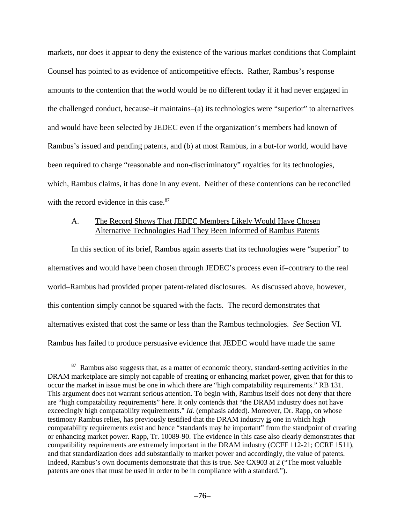markets, nor does it appear to deny the existence of the various market conditions that Complaint Counsel has pointed to as evidence of anticompetitive effects. Rather, Rambus's response amounts to the contention that the world would be no different today if it had never engaged in the challenged conduct, because–it maintains–(a) its technologies were "superior" to alternatives and would have been selected by JEDEC even if the organization's members had known of Rambus's issued and pending patents, and (b) at most Rambus, in a but-for world, would have been required to charge "reasonable and non-discriminatory" royalties for its technologies, which, Rambus claims, it has done in any event. Neither of these contentions can be reconciled with the record evidence in this case.<sup>87</sup>

## A. The Record Shows That JEDEC Members Likely Would Have Chosen Alternative Technologies Had They Been Informed of Rambus Patents

In this section of its brief, Rambus again asserts that its technologies were "superior" to alternatives and would have been chosen through JEDEC's process even if–contrary to the real world–Rambus had provided proper patent-related disclosures. As discussed above, however, this contention simply cannot be squared with the facts. The record demonstrates that alternatives existed that cost the same or less than the Rambus technologies. *See* Section VI. Rambus has failed to produce persuasive evidence that JEDEC would have made the same

<sup>&</sup>lt;sup>87</sup> Rambus also suggests that, as a matter of economic theory, standard-setting activities in the DRAM marketplace are simply not capable of creating or enhancing market power, given that for this to occur the market in issue must be one in which there are "high compatability requirements." RB 131. This argument does not warrant serious attention. To begin with, Rambus itself does not deny that there are "high compatability requirements" here. It only contends that "the DRAM industry does not have exceedingly high compatability requirements." *Id.* (emphasis added). Moreover, Dr. Rapp, on whose testimony Rambus relies, has previously testified that the DRAM industry is one in which high compatability requirements exist and hence "standards may be important" from the standpoint of creating or enhancing market power. Rapp, Tr. 10089-90. The evidence in this case also clearly demonstrates that compatibility requirements are extremely important in the DRAM industry (CCFF 112-21; CCRF 1511), and that standardization does add substantially to market power and accordingly, the value of patents. Indeed, Rambus's own documents demonstrate that this is true. *See* CX903 at 2 ("The most valuable patents are ones that must be used in order to be in compliance with a standard.").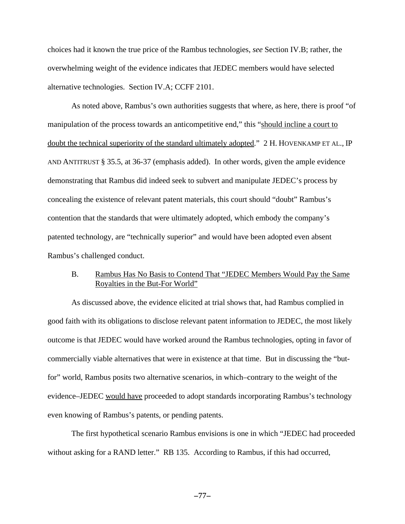choices had it known the true price of the Rambus technologies, *see* Section IV.B; rather, the overwhelming weight of the evidence indicates that JEDEC members would have selected alternative technologies. Section IV.A; CCFF 2101.

As noted above, Rambus's own authorities suggests that where, as here, there is proof "of manipulation of the process towards an anticompetitive end," this "should incline a court to doubt the technical superiority of the standard ultimately adopted." 2 H. HOVENKAMP ET AL., IP AND ANTITRUST § 35.5, at 36-37 (emphasis added). In other words, given the ample evidence demonstrating that Rambus did indeed seek to subvert and manipulate JEDEC's process by concealing the existence of relevant patent materials, this court should "doubt" Rambus's contention that the standards that were ultimately adopted, which embody the company's patented technology, are "technically superior" and would have been adopted even absent Rambus's challenged conduct.

### B. Rambus Has No Basis to Contend That "JEDEC Members Would Pay the Same Royalties in the But-For World"

As discussed above, the evidence elicited at trial shows that, had Rambus complied in good faith with its obligations to disclose relevant patent information to JEDEC, the most likely outcome is that JEDEC would have worked around the Rambus technologies, opting in favor of commercially viable alternatives that were in existence at that time. But in discussing the "butfor" world, Rambus posits two alternative scenarios, in which–contrary to the weight of the evidence–JEDEC would have proceeded to adopt standards incorporating Rambus's technology even knowing of Rambus's patents, or pending patents.

The first hypothetical scenario Rambus envisions is one in which "JEDEC had proceeded without asking for a RAND letter." RB 135. According to Rambus, if this had occurred,

 $-77-$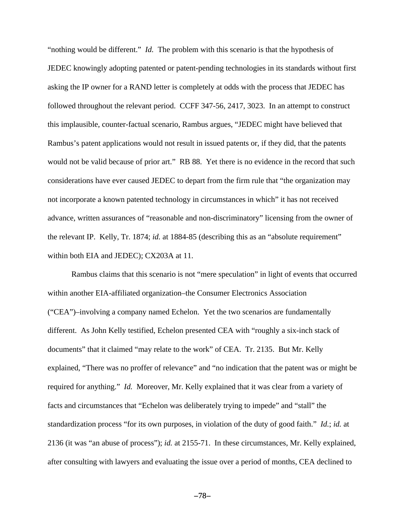"nothing would be different." *Id.* The problem with this scenario is that the hypothesis of JEDEC knowingly adopting patented or patent-pending technologies in its standards without first asking the IP owner for a RAND letter is completely at odds with the process that JEDEC has followed throughout the relevant period. CCFF 347-56, 2417, 3023. In an attempt to construct this implausible, counter-factual scenario, Rambus argues, "JEDEC might have believed that Rambus's patent applications would not result in issued patents or, if they did, that the patents would not be valid because of prior art." RB 88. Yet there is no evidence in the record that such considerations have ever caused JEDEC to depart from the firm rule that "the organization may not incorporate a known patented technology in circumstances in which" it has not received advance, written assurances of "reasonable and non-discriminatory" licensing from the owner of the relevant IP. Kelly, Tr. 1874; *id.* at 1884-85 (describing this as an "absolute requirement" within both EIA and JEDEC); CX203A at 11.

Rambus claims that this scenario is not "mere speculation" in light of events that occurred within another EIA-affiliated organization–the Consumer Electronics Association ("CEA")–involving a company named Echelon. Yet the two scenarios are fundamentally different. As John Kelly testified, Echelon presented CEA with "roughly a six-inch stack of documents" that it claimed "may relate to the work" of CEA. Tr. 2135. But Mr. Kelly explained, "There was no proffer of relevance" and "no indication that the patent was or might be required for anything." *Id.* Moreover, Mr. Kelly explained that it was clear from a variety of facts and circumstances that "Echelon was deliberately trying to impede" and "stall" the standardization process "for its own purposes, in violation of the duty of good faith." *Id.*; *id.* at 2136 (it was "an abuse of process"); *id.* at 2155-71. In these circumstances, Mr. Kelly explained, after consulting with lawyers and evaluating the issue over a period of months, CEA declined to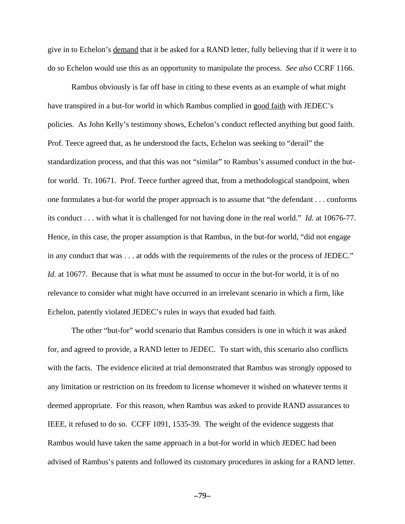give in to Echelon's demand that it be asked for a RAND letter, fully believing that if it were it to do so Echelon would use this as an opportunity to manipulate the process. *See also* CCRF 1166.

Rambus obviously is far off base in citing to these events as an example of what might have transpired in a but-for world in which Rambus complied in good faith with JEDEC's policies. As John Kelly's testimony shows, Echelon's conduct reflected anything but good faith. Prof. Teece agreed that, as he understood the facts, Echelon was seeking to "derail" the standardization process, and that this was not "similar" to Rambus's assumed conduct in the butfor world. Tr. 10671. Prof. Teece further agreed that, from a methodological standpoint, when one formulates a but-for world the proper approach is to assume that "the defendant . . . conforms its conduct . . . with what it is challenged for not having done in the real world." *Id.* at 10676-77. Hence, in this case, the proper assumption is that Rambus, in the but-for world, "did not engage in any conduct that was . . . at odds with the requirements of the rules or the process of JEDEC." *Id.* at 10677. Because that is what must be assumed to occur in the but-for world, it is of no relevance to consider what might have occurred in an irrelevant scenario in which a firm, like Echelon, patently violated JEDEC's rules in ways that exuded bad faith.

The other "but-for" world scenario that Rambus considers is one in which it was asked for, and agreed to provide, a RAND letter to JEDEC. To start with, this scenario also conflicts with the facts. The evidence elicited at trial demonstrated that Rambus was strongly opposed to any limitation or restriction on its freedom to license whomever it wished on whatever terms it deemed appropriate. For this reason, when Rambus was asked to provide RAND assurances to IEEE, it refused to do so. CCFF 1091, 1535-39. The weight of the evidence suggests that Rambus would have taken the same approach in a but-for world in which JEDEC had been advised of Rambus's patents and followed its customary procedures in asking for a RAND letter.

 $-79-$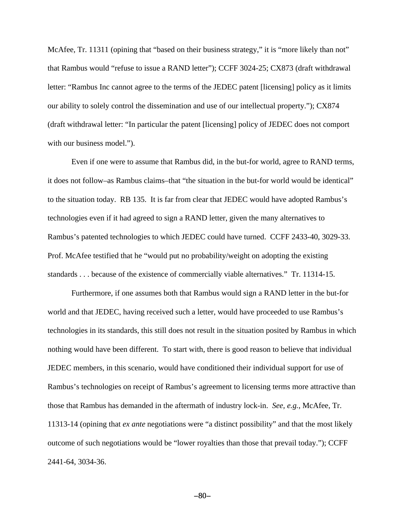McAfee, Tr. 11311 (opining that "based on their business strategy," it is "more likely than not" that Rambus would "refuse to issue a RAND letter"); CCFF 3024-25; CX873 (draft withdrawal letter: "Rambus Inc cannot agree to the terms of the JEDEC patent [licensing] policy as it limits our ability to solely control the dissemination and use of our intellectual property."); CX874 (draft withdrawal letter: "In particular the patent [licensing] policy of JEDEC does not comport with our business model.").

Even if one were to assume that Rambus did, in the but-for world, agree to RAND terms, it does not follow–as Rambus claims–that "the situation in the but-for world would be identical" to the situation today. RB 135. It is far from clear that JEDEC would have adopted Rambus's technologies even if it had agreed to sign a RAND letter, given the many alternatives to Rambus's patented technologies to which JEDEC could have turned. CCFF 2433-40, 3029-33. Prof. McAfee testified that he "would put no probability/weight on adopting the existing standards . . . because of the existence of commercially viable alternatives." Tr. 11314-15.

Furthermore, if one assumes both that Rambus would sign a RAND letter in the but-for world and that JEDEC, having received such a letter, would have proceeded to use Rambus's technologies in its standards, this still does not result in the situation posited by Rambus in which nothing would have been different. To start with, there is good reason to believe that individual JEDEC members, in this scenario, would have conditioned their individual support for use of Rambus's technologies on receipt of Rambus's agreement to licensing terms more attractive than those that Rambus has demanded in the aftermath of industry lock-in. *See, e.g.*, McAfee, Tr. 11313-14 (opining that *ex ante* negotiations were "a distinct possibility" and that the most likely outcome of such negotiations would be "lower royalties than those that prevail today."); CCFF 2441-64, 3034-36.

 $-80-$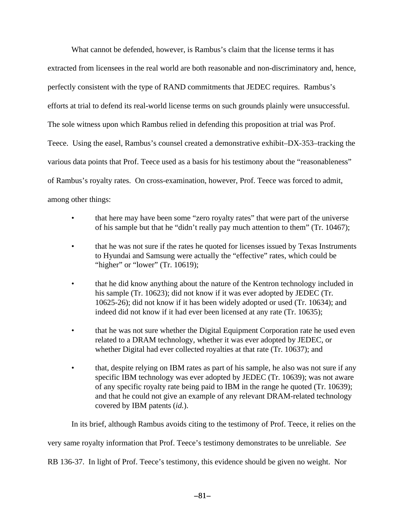What cannot be defended, however, is Rambus's claim that the license terms it has extracted from licensees in the real world are both reasonable and non-discriminatory and, hence, perfectly consistent with the type of RAND commitments that JEDEC requires. Rambus's efforts at trial to defend its real-world license terms on such grounds plainly were unsuccessful. The sole witness upon which Rambus relied in defending this proposition at trial was Prof. Teece. Using the easel, Rambus's counsel created a demonstrative exhibit–DX-353–tracking the various data points that Prof. Teece used as a basis for his testimony about the "reasonableness" of Rambus's royalty rates. On cross-examination, however, Prof. Teece was forced to admit, among other things:

- that here may have been some "zero royalty rates" that were part of the universe of his sample but that he "didn't really pay much attention to them" (Tr. 10467);
- that he was not sure if the rates he quoted for licenses issued by Texas Instruments to Hyundai and Samsung were actually the "effective" rates, which could be "higher" or "lower" (Tr. 10619);
- that he did know anything about the nature of the Kentron technology included in his sample (Tr. 10623); did not know if it was ever adopted by JEDEC (Tr. 10625-26); did not know if it has been widely adopted or used (Tr. 10634); and indeed did not know if it had ever been licensed at any rate (Tr. 10635);
- that he was not sure whether the Digital Equipment Corporation rate he used even related to a DRAM technology, whether it was ever adopted by JEDEC, or whether Digital had ever collected royalties at that rate (Tr. 10637); and
- that, despite relying on IBM rates as part of his sample, he also was not sure if any specific IBM technology was ever adopted by JEDEC (Tr. 10639); was not aware of any specific royalty rate being paid to IBM in the range he quoted (Tr. 10639); and that he could not give an example of any relevant DRAM-related technology covered by IBM patents (*id.*).

In its brief, although Rambus avoids citing to the testimony of Prof. Teece, it relies on the very same royalty information that Prof. Teece's testimony demonstrates to be unreliable. *See* RB 136-37. In light of Prof. Teece's testimony, this evidence should be given no weight. Nor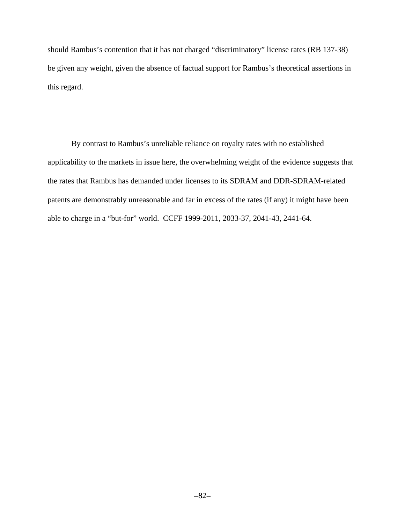should Rambus's contention that it has not charged "discriminatory" license rates (RB 137-38) be given any weight, given the absence of factual support for Rambus's theoretical assertions in this regard.

By contrast to Rambus's unreliable reliance on royalty rates with no established applicability to the markets in issue here, the overwhelming weight of the evidence suggests that the rates that Rambus has demanded under licenses to its SDRAM and DDR-SDRAM-related patents are demonstrably unreasonable and far in excess of the rates (if any) it might have been able to charge in a "but-for" world. CCFF 1999-2011, 2033-37, 2041-43, 2441-64.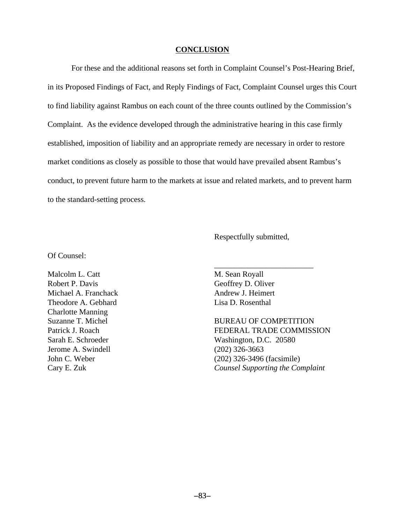#### **CONCLUSION**

For these and the additional reasons set forth in Complaint Counsel's Post-Hearing Brief, in its Proposed Findings of Fact, and Reply Findings of Fact, Complaint Counsel urges this Court to find liability against Rambus on each count of the three counts outlined by the Commission's Complaint. As the evidence developed through the administrative hearing in this case firmly established, imposition of liability and an appropriate remedy are necessary in order to restore market conditions as closely as possible to those that would have prevailed absent Rambus's conduct, to prevent future harm to the markets at issue and related markets, and to prevent harm to the standard-setting process.

Respectfully submitted,

\_\_\_\_\_\_\_\_\_\_\_\_\_\_\_\_\_\_\_\_\_\_\_\_\_

Of Counsel:

Malcolm L. Catt M. Sean Royall Robert P. Davis Geoffrey D. Oliver Michael A. Franchack Andrew J. Heimert Theodore A. Gebhard Lisa D. Rosenthal Charlotte Manning Jerome A. Swindell (202) 326-3663

Suzanne T. Michel **BUREAU OF COMPETITION** Patrick J. Roach FEDERAL TRADE COMMISSION Sarah E. Schroeder Washington, D.C. 20580 John C. Weber (202) 326-3496 (facsimile) Cary E. Zuk *Counsel Supporting the Complaint*